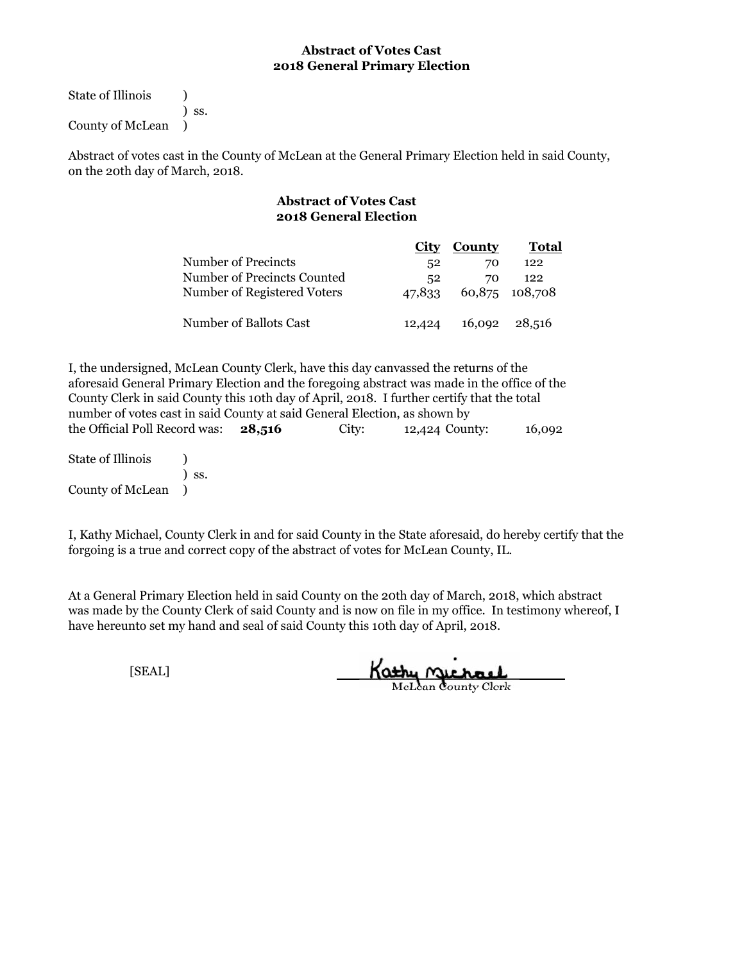State of Illinois (1) ) ss. County of McLean )

Abstract of votes cast in the County of McLean at the General Primary Election held in said County, on the 20th day of March, 2018.

# **Abstract of Votes Cast 2018 General Election**

|                             |                  | City County | Total          |
|-----------------------------|------------------|-------------|----------------|
| Number of Precincts         | 52               | 70          | 122            |
| Number of Precincts Counted | $52\phantom{.0}$ | 70          | 122            |
| Number of Registered Voters | 47.833           |             | 60,875 108,708 |
|                             |                  |             |                |
| Number of Ballots Cast      | 12,424           |             | 16,092 28,516  |

the Official Poll Record was: **28,516** City: 12,424 County: 16,092 I, the undersigned, McLean County Clerk, have this day canvassed the returns of the aforesaid General Primary Election and the foregoing abstract was made in the office of the County Clerk in said County this 10th day of April, 2018. I further certify that the total number of votes cast in said County at said General Election, as shown by

State of Illinois (a) ) ss. County of McLean )

I, Kathy Michael, County Clerk in and for said County in the State aforesaid, do hereby certify that the forgoing is a true and correct copy of the abstract of votes for McLean County, IL.

At a General Primary Election held in said County on the 20th day of March, 2018, which abstract was made by the County Clerk of said County and is now on file in my office. In testimony whereof, I have hereunto set my hand and seal of said County this 10th day of April, 2018.

Kathy Michael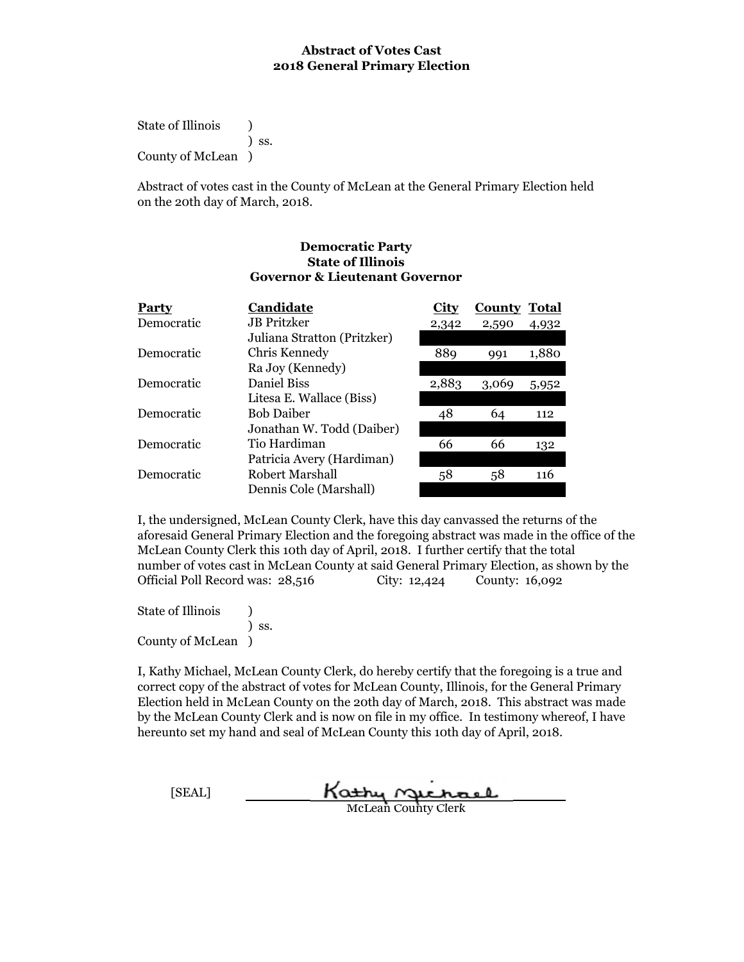State of Illinois (a) ) ss. County of McLean )

Abstract of votes cast in the County of McLean at the General Primary Election held on the 20th day of March, 2018.

#### **Democratic Party State of Illinois Governor & Lieutenant Governor**

| <b>Party</b> | Candidate                   | City  | <b>County Total</b> |       |
|--------------|-----------------------------|-------|---------------------|-------|
| Democratic   | <b>JB</b> Pritzker          | 2,342 | 2,590               | 4,932 |
|              | Juliana Stratton (Pritzker) |       |                     |       |
| Democratic   | Chris Kennedy               | 889   | 991                 | 1,880 |
|              | Ra Joy (Kennedy)            |       |                     |       |
| Democratic   | Daniel Biss                 | 2,883 | 3,069               | 5,952 |
|              | Litesa E. Wallace (Biss)    |       |                     |       |
| Democratic   | <b>Bob Daiber</b>           | 48    | 64                  | 112   |
|              | Jonathan W. Todd (Daiber)   |       |                     |       |
| Democratic   | Tio Hardiman                | 66    | 66                  | 132   |
|              | Patricia Avery (Hardiman)   |       |                     |       |
| Democratic   | Robert Marshall             | 58    | 58                  | 116   |
|              | Dennis Cole (Marshall)      |       |                     |       |

I, the undersigned, McLean County Clerk, have this day canvassed the returns of the aforesaid General Primary Election and the foregoing abstract was made in the office of the McLean County Clerk this 10th day of April, 2018. I further certify that the total number of votes cast in McLean County at said General Primary Election, as shown by the Official Poll Record was: 28,516 City: 12,424 County: 16,092

State of Illinois (a) ) ss. County of McLean )

| [SEAL] | Kathy nechael              |
|--------|----------------------------|
|        | <b>McLean County Clerk</b> |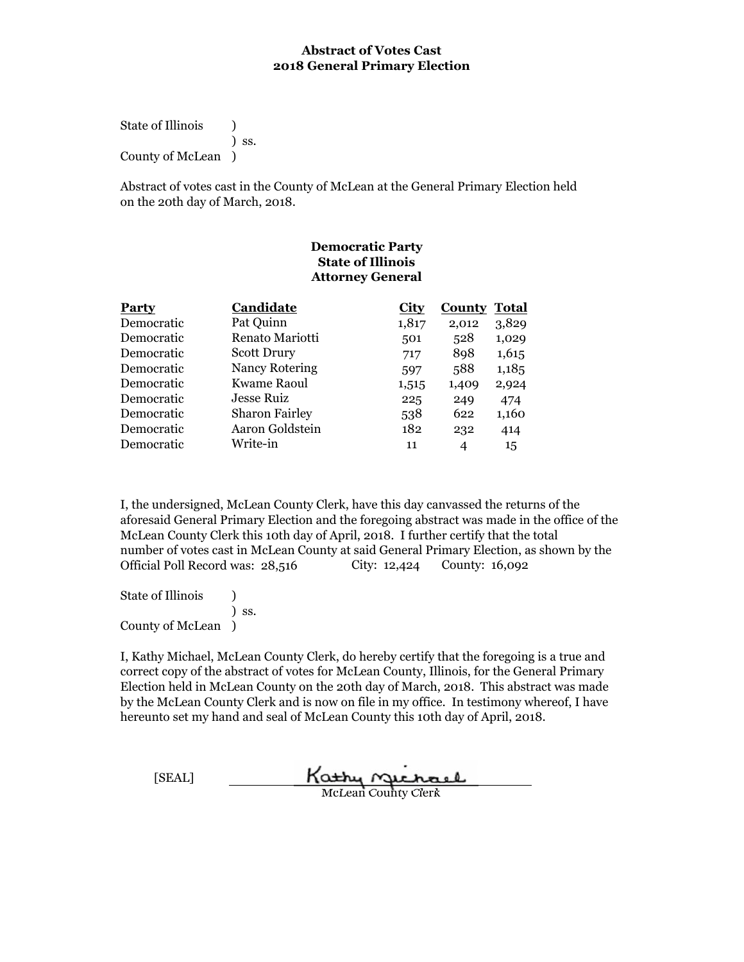State of Illinois (a) ) ss. County of McLean )

Abstract of votes cast in the County of McLean at the General Primary Election held on the 20th day of March, 2018.

# **Democratic Party State of Illinois Attorney General**

| <b>Party</b> | Candidate             | <b>City</b> | <b>County</b> | Total |
|--------------|-----------------------|-------------|---------------|-------|
| Democratic   | Pat Quinn             | 1,817       | 2,012         | 3,829 |
| Democratic   | Renato Mariotti       | 501         | 528           | 1,029 |
| Democratic   | <b>Scott Drury</b>    | 717         | 898           | 1,615 |
| Democratic   | <b>Nancy Rotering</b> | 597         | 588           | 1,185 |
| Democratic   | Kwame Raoul           | 1,515       | 1,409         | 2,924 |
| Democratic   | Jesse Ruiz            | 225         | 249           | 474   |
| Democratic   | <b>Sharon Fairley</b> | 538         | 622           | 1,160 |
| Democratic   | Aaron Goldstein       | 182         | 232           | 414   |
| Democratic   | Write-in              | 11          | 4             | 15    |

I, the undersigned, McLean County Clerk, have this day canvassed the returns of the aforesaid General Primary Election and the foregoing abstract was made in the office of the McLean County Clerk this 10th day of April, 2018. I further certify that the total number of votes cast in McLean County at said General Primary Election, as shown by the Official Poll Record was: 28,516 City: 12,424 County: 16,092

State of Illinois (1) ) ss. County of McLean )

[SEAL] Kathy nichael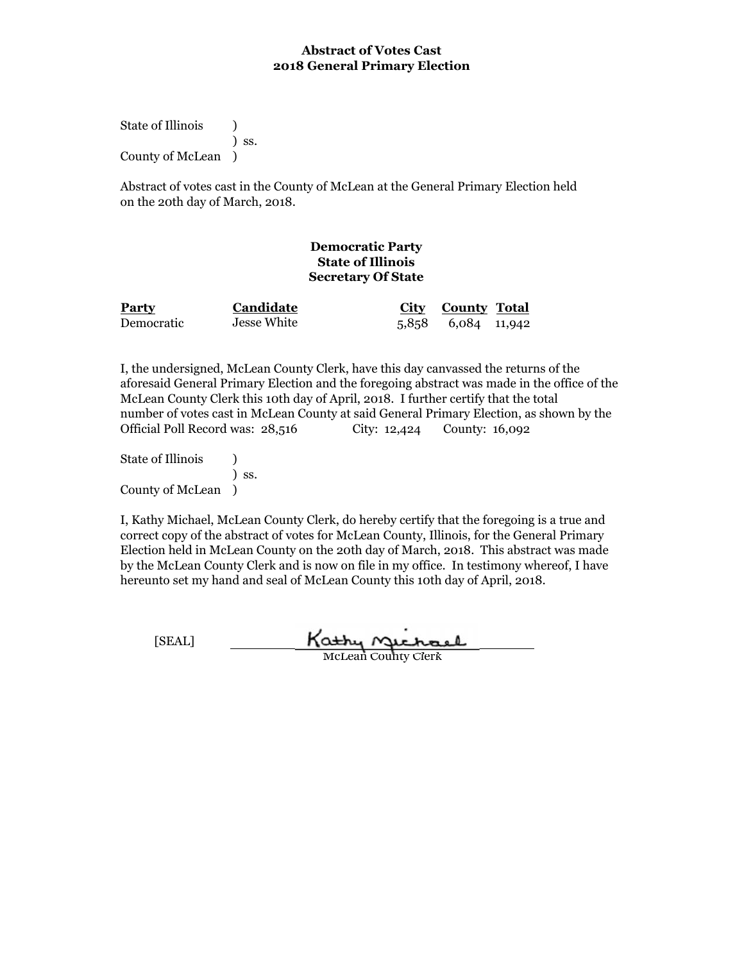State of Illinois (a) ) ss. County of McLean )

Abstract of votes cast in the County of McLean at the General Primary Election held on the 20th day of March, 2018.

# **Democratic Party State of Illinois Secretary Of State**

| <b>Party</b> | Candidate   | City County Total  |  |
|--------------|-------------|--------------------|--|
| Democratic   | Jesse White | 5,858 6,084 11,942 |  |

I, the undersigned, McLean County Clerk, have this day canvassed the returns of the aforesaid General Primary Election and the foregoing abstract was made in the office of the McLean County Clerk this 10th day of April, 2018. I further certify that the total number of votes cast in McLean County at said General Primary Election, as shown by the Official Poll Record was: 28,516 City: 12,424 County: 16,092

State of Illinois (a) ) ss. County of McLean )

I, Kathy Michael, McLean County Clerk, do hereby certify that the foregoing is a true and correct copy of the abstract of votes for McLean County, Illinois, for the General Primary Election held in McLean County on the 20th day of March, 2018. This abstract was made by the McLean County Clerk and is now on file in my office. In testimony whereof, I have hereunto set my hand and seal of McLean County this 10th day of April, 2018.

Kathy Michael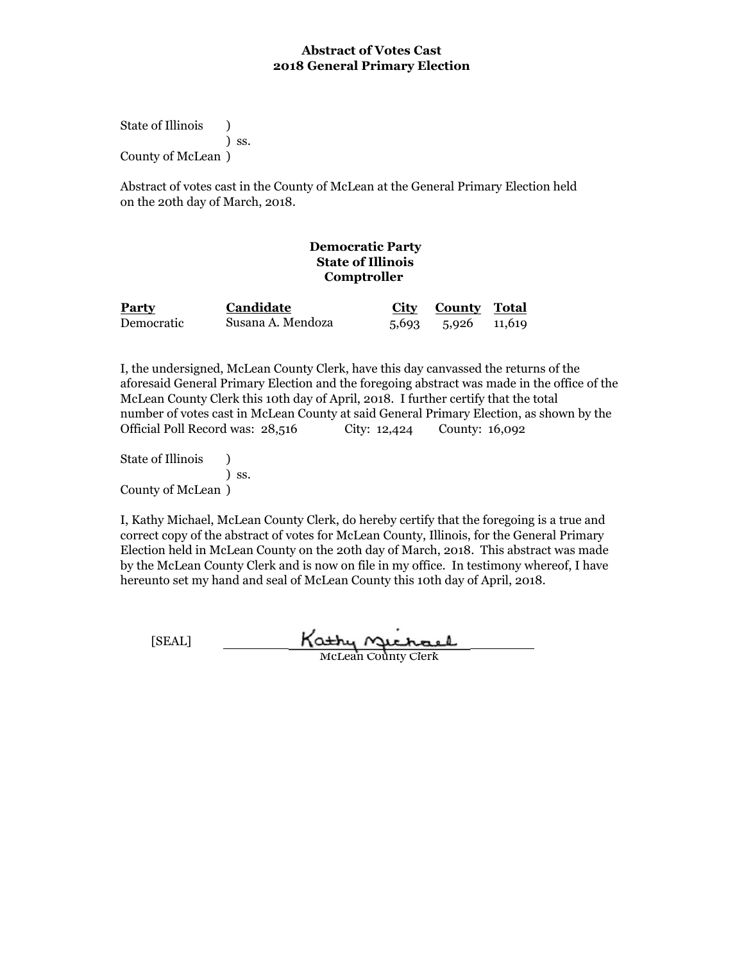State of Illinois (a) ) ss. County of McLean )

Abstract of votes cast in the County of McLean at the General Primary Election held on the 20th day of March, 2018.

# **Democratic Party State of Illinois Comptroller**

| <b>Party</b> | Candidate         | City County Total  |  |
|--------------|-------------------|--------------------|--|
| Democratic   | Susana A. Mendoza | 5,693 5,926 11,619 |  |

I, the undersigned, McLean County Clerk, have this day canvassed the returns of the aforesaid General Primary Election and the foregoing abstract was made in the office of the McLean County Clerk this 10th day of April, 2018. I further certify that the total number of votes cast in McLean County at said General Primary Election, as shown by the Official Poll Record was: 28,516 City: 12,424 County: 16,092

State of Illinois (b) ) ss. County of McLean )

I, Kathy Michael, McLean County Clerk, do hereby certify that the foregoing is a true and correct copy of the abstract of votes for McLean County, Illinois, for the General Primary Election held in McLean County on the 20th day of March, 2018. This abstract was made by the McLean County Clerk and is now on file in my office. In testimony whereof, I have hereunto set my hand and seal of McLean County this 10th day of April, 2018.

[SEAL] Kathy Michael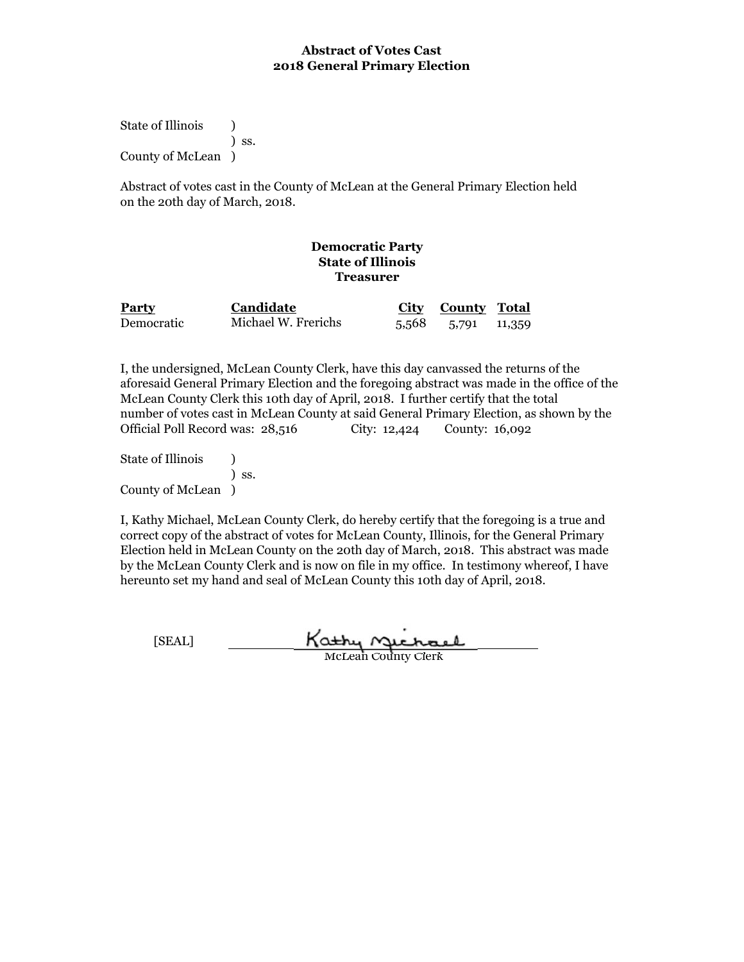State of Illinois (1) ) ss. County of McLean )

Abstract of votes cast in the County of McLean at the General Primary Election held on the 20th day of March, 2018.

# **Democratic Party State of Illinois Treasurer**

| <b>Party</b> | <b>Candidate</b>    | City County Total  |  |
|--------------|---------------------|--------------------|--|
| Democratic   | Michael W. Frerichs | 5,568 5,791 11,359 |  |

I, the undersigned, McLean County Clerk, have this day canvassed the returns of the aforesaid General Primary Election and the foregoing abstract was made in the office of the McLean County Clerk this 10th day of April, 2018. I further certify that the total number of votes cast in McLean County at said General Primary Election, as shown by the Official Poll Record was: 28,516 City: 12,424 County: 16,092

State of Illinois (1) ) ss. County of McLean )

I, Kathy Michael, McLean County Clerk, do hereby certify that the foregoing is a true and correct copy of the abstract of votes for McLean County, Illinois, for the General Primary Election held in McLean County on the 20th day of March, 2018. This abstract was made by the McLean County Clerk and is now on file in my office. In testimony whereof, I have hereunto set my hand and seal of McLean County this 10th day of April, 2018.

Kathy Michael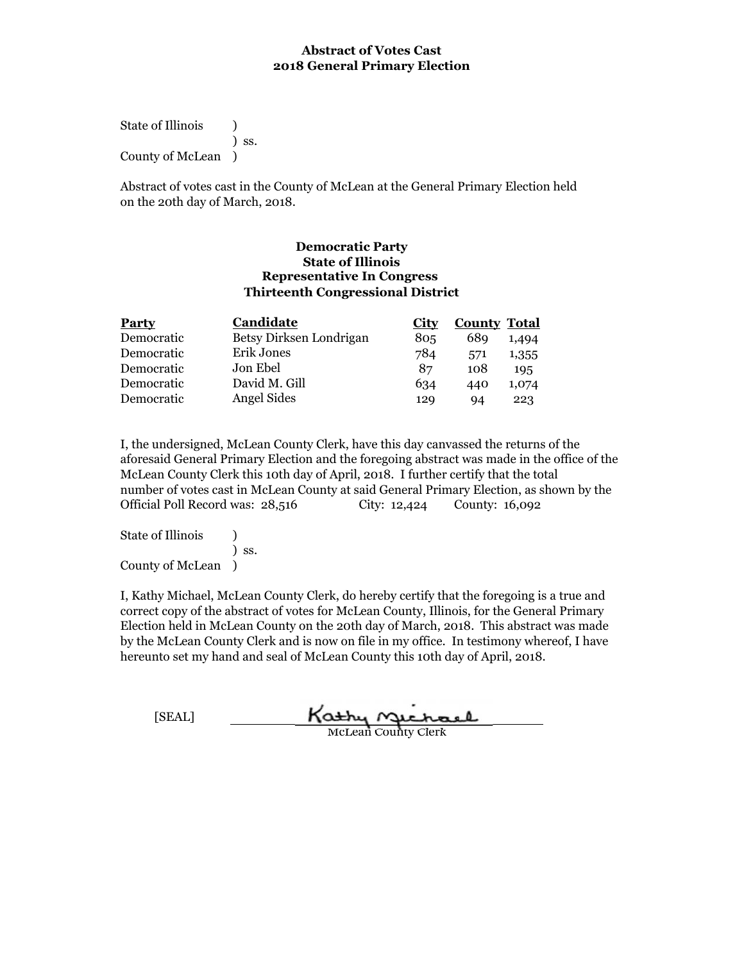State of Illinois (a) ) ss. County of McLean )

Abstract of votes cast in the County of McLean at the General Primary Election held on the 20th day of March, 2018.

#### **Democratic Party State of Illinois Representative In Congress Thirteenth Congressional District**

| <b>Party</b> | Candidate               | <b>City</b> | <b>County Total</b> |       |
|--------------|-------------------------|-------------|---------------------|-------|
| Democratic   | Betsy Dirksen Londrigan | 805         | 689                 | 1,494 |
| Democratic   | Erik Jones              | 784         | 571                 | 1,355 |
| Democratic   | Jon Ebel                | 87          | 108                 | 195   |
| Democratic   | David M. Gill           | 634         | 440                 | 1,074 |
| Democratic   | Angel Sides             | 129         | 94                  | 223   |

I, the undersigned, McLean County Clerk, have this day canvassed the returns of the aforesaid General Primary Election and the foregoing abstract was made in the office of the McLean County Clerk this 10th day of April, 2018. I further certify that the total number of votes cast in McLean County at said General Primary Election, as shown by the Official Poll Record was: 28,516 City: 12,424 County: 16,092

State of Illinois (a) ) ss. County of McLean )

| [SEAL] | Kathy nuchael              |
|--------|----------------------------|
|        | <b>McLean County Clerk</b> |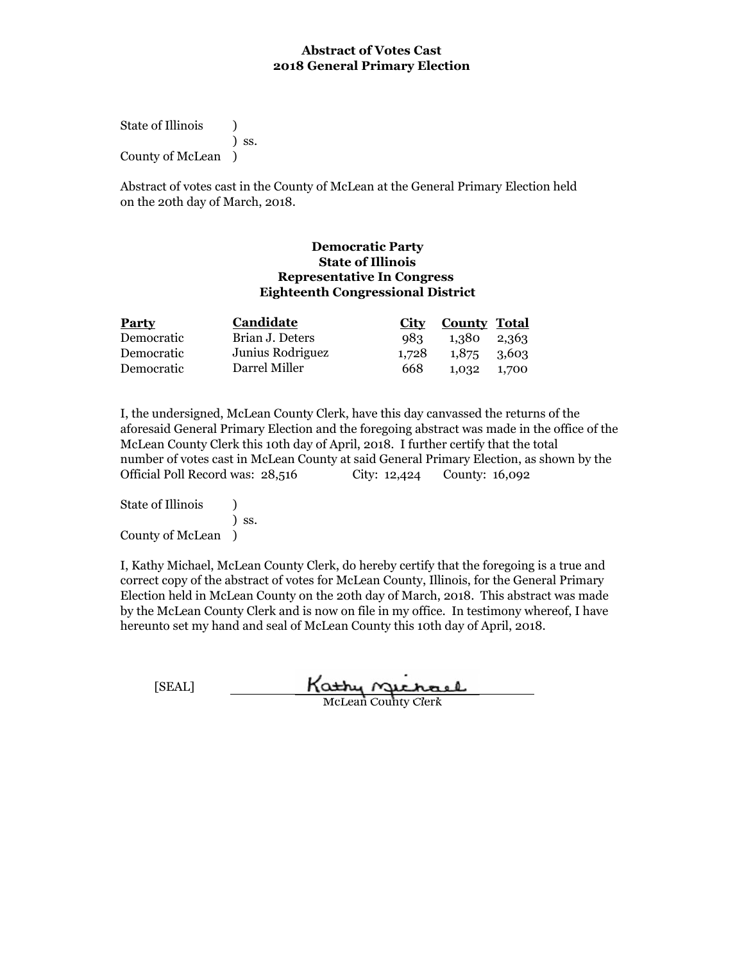State of Illinois (a) ) ss. County of McLean )

Abstract of votes cast in the County of McLean at the General Primary Election held on the 20th day of March, 2018.

#### **Democratic Party State of Illinois Representative In Congress Eighteenth Congressional District**

| <b>Party</b> | Candidate        |       | City County Total |  |
|--------------|------------------|-------|-------------------|--|
| Democratic   | Brian J. Deters  | 983   | 1,380 2,363       |  |
| Democratic   | Junius Rodriguez | 1.728 | 1,875 3,603       |  |
| Democratic   | Darrel Miller    | 668   | 1,032 1,700       |  |

I, the undersigned, McLean County Clerk, have this day canvassed the returns of the aforesaid General Primary Election and the foregoing abstract was made in the office of the McLean County Clerk this 10th day of April, 2018. I further certify that the total number of votes cast in McLean County at said General Primary Election, as shown by the Official Poll Record was: 28,516 City: 12,424 County: 16,092

State of Illinois (a) ) ss. County of McLean )

| [SEAL] | Kathy nuchael              |
|--------|----------------------------|
|        | <b>McLean County Clerk</b> |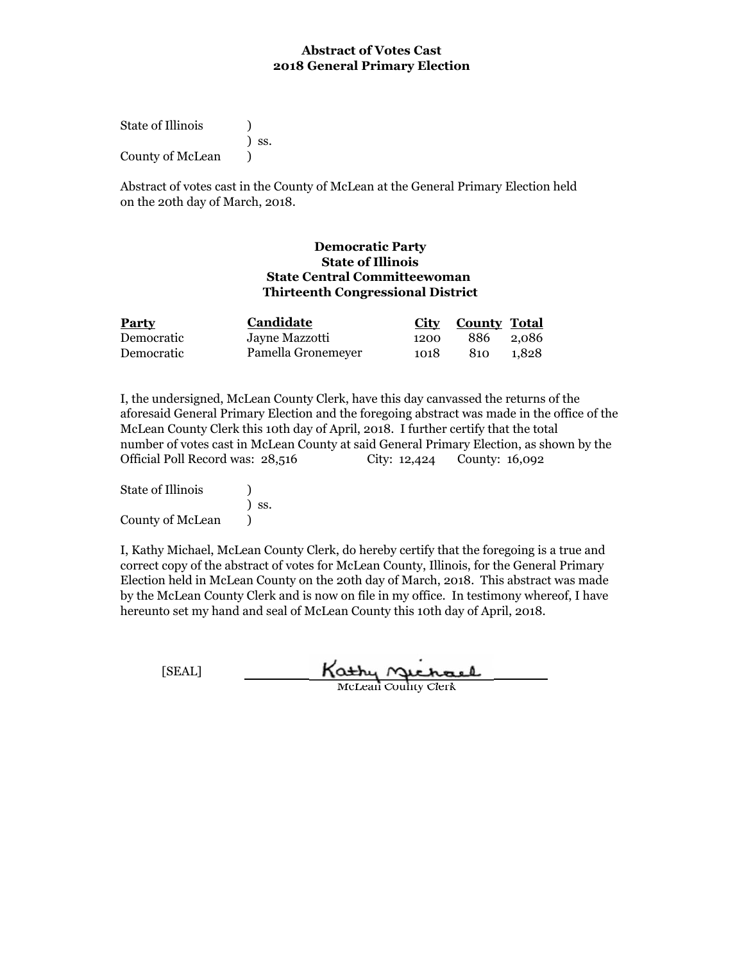State of Illinois (1) ) ss. County of McLean  $\qquad$  )

Abstract of votes cast in the County of McLean at the General Primary Election held on the 20th day of March, 2018.

#### **Thirteenth Congressional District State Central Committeewoman State of Illinois Democratic Party**

| <b>Party</b> | Candidate          |      | City County Total |       |
|--------------|--------------------|------|-------------------|-------|
| Democratic   | Jayne Mazzotti     | 1200 | 886 2.086         |       |
| Democratic   | Pamella Gronemeyer | 1018 | 810               | 1.828 |

I, the undersigned, McLean County Clerk, have this day canvassed the returns of the aforesaid General Primary Election and the foregoing abstract was made in the office of the McLean County Clerk this 10th day of April, 2018. I further certify that the total number of votes cast in McLean County at said General Primary Election, as shown by the Official Poll Record was: 28,516 City: 12,424 County: 16,092

| <b>State of Illinois</b> |            |
|--------------------------|------------|
|                          | $\sum$ SS. |
| County of McLean         |            |

| [SEAL] | Kathy nuchael              |
|--------|----------------------------|
|        | <b>McLean County Clerk</b> |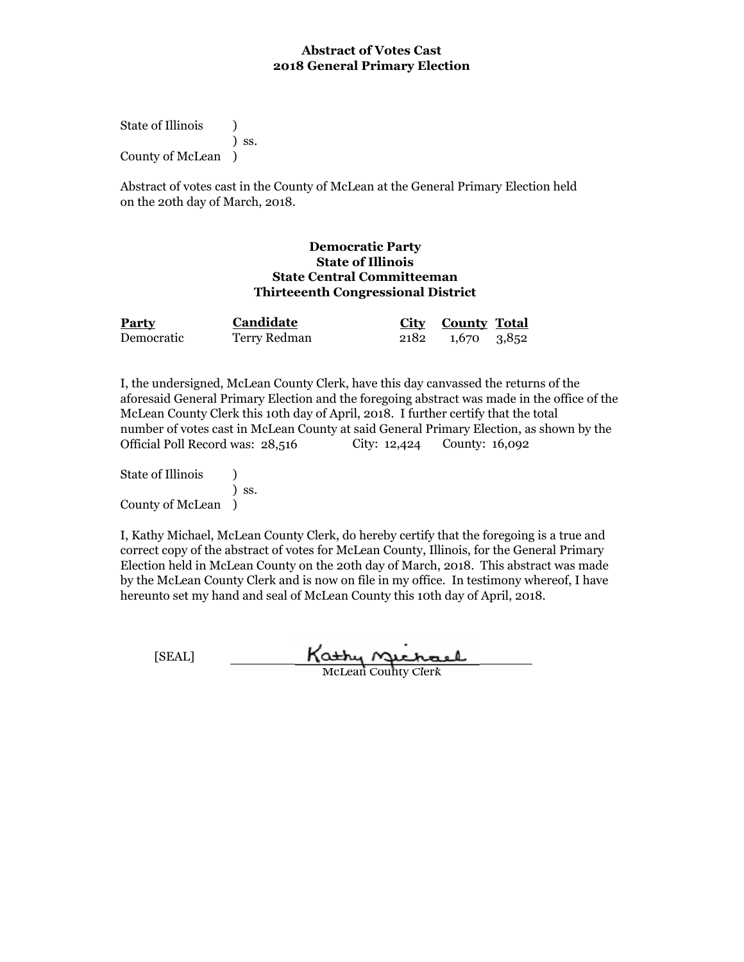State of Illinois (a) ) ss. County of McLean )

Abstract of votes cast in the County of McLean at the General Primary Election held on the 20th day of March, 2018.

#### **Democratic Party State of Illinois State Central Committeeman Thirteeenth Congressional District**

| <b>Party</b> | Candidate    | <b>City County</b> Total |  |
|--------------|--------------|--------------------------|--|
| Democratic   | Terry Redman | 2182 1,670 3,852         |  |

I, the undersigned, McLean County Clerk, have this day canvassed the returns of the aforesaid General Primary Election and the foregoing abstract was made in the office of the McLean County Clerk this 10th day of April, 2018. I further certify that the total number of votes cast in McLean County at said General Primary Election, as shown by the Official Poll Record was: 28,516 City: 12,424 County: 16,092

State of Illinois (1) ) ss. County of McLean )

I, Kathy Michael, McLean County Clerk, do hereby certify that the foregoing is a true and correct copy of the abstract of votes for McLean County, Illinois, for the General Primary Election held in McLean County on the 20th day of March, 2018. This abstract was made by the McLean County Clerk and is now on file in my office. In testimony whereof, I have hereunto set my hand and seal of McLean County this 10th day of April, 2018.

Kathy Michael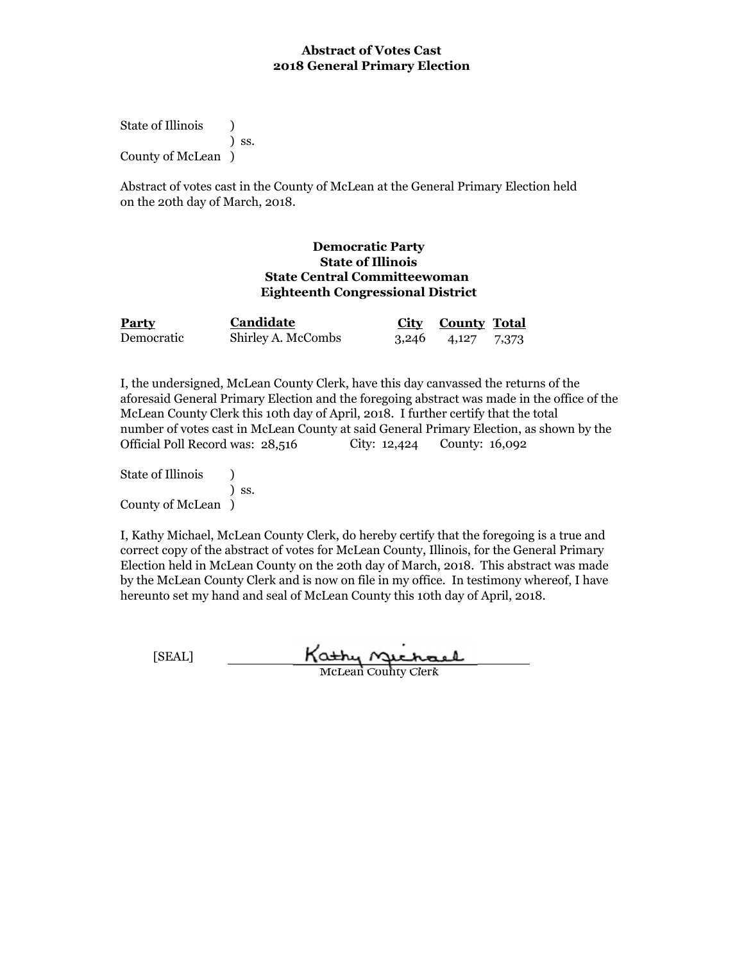State of Illinois (b) ) ss. County of McLean )

Abstract of votes cast in the County of McLean at the General Primary Election held on the 20th day of March, 2018.

#### **Democratic Party State of Illinois State Central Committeewoman Eighteenth Congressional District**

| <b>Party</b> | Candidate          | City County Total       |  |
|--------------|--------------------|-------------------------|--|
| Democratic   | Shirley A. McCombs | $3,246$ $4,127$ $7,373$ |  |

I, the undersigned, McLean County Clerk, have this day canvassed the returns of the aforesaid General Primary Election and the foregoing abstract was made in the office of the McLean County Clerk this 10th day of April, 2018. I further certify that the total number of votes cast in McLean County at said General Primary Election, as shown by the Official Poll Record was: 28,516 County: 16,092

State of Illinois (1) ) ss. County of McLean )

I, Kathy Michael, McLean County Clerk, do hereby certify that the foregoing is a true and correct copy of the abstract of votes for McLean County, Illinois, for the General Primary Election held in McLean County on the 20th day of March, 2018. This abstract was made by the McLean County Clerk and is now on file in my office. In testimony whereof, I have hereunto set my hand and seal of McLean County this 10th day of April, 2018.

Kathy Michael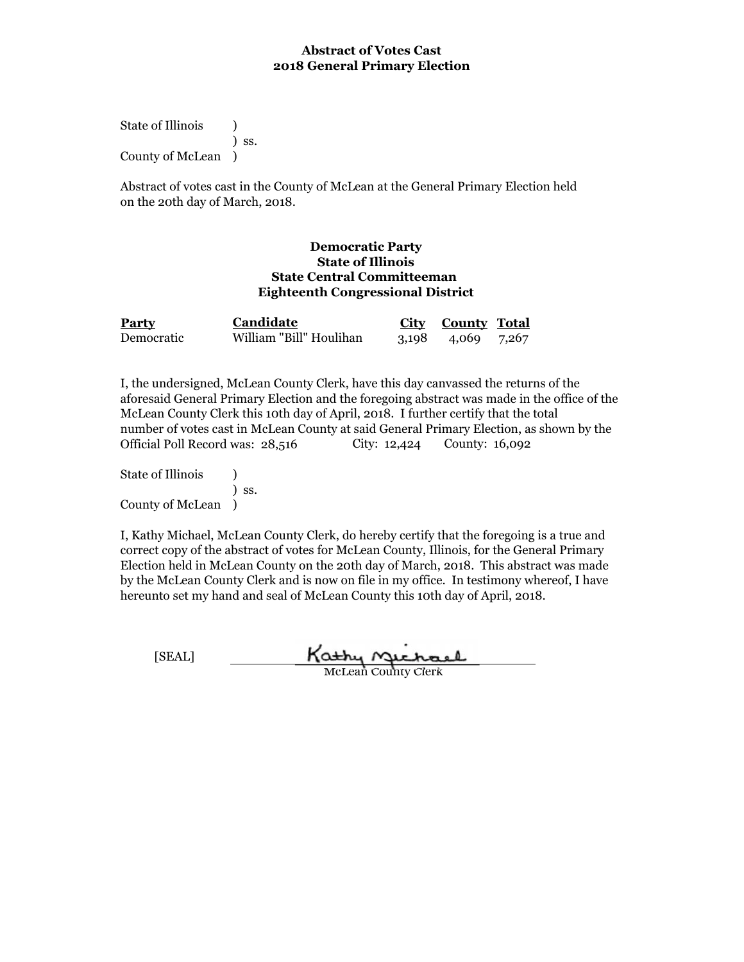State of Illinois (a) ) ss. County of McLean )

Abstract of votes cast in the County of McLean at the General Primary Election held on the 20th day of March, 2018.

#### **Democratic Party State of Illinois State Central Committeeman Eighteenth Congressional District**

| <b>Party</b> | <b>Candidate</b>        | City County Total |  |
|--------------|-------------------------|-------------------|--|
| Democratic   | William "Bill" Houlihan | 3,198 4,069 7,267 |  |

I, the undersigned, McLean County Clerk, have this day canvassed the returns of the aforesaid General Primary Election and the foregoing abstract was made in the office of the McLean County Clerk this 10th day of April, 2018. I further certify that the total number of votes cast in McLean County at said General Primary Election, as shown by the Official Poll Record was: 28,516 City: 12,424 County: 16,092

State of Illinois (1) ) ss. County of McLean )

I, Kathy Michael, McLean County Clerk, do hereby certify that the foregoing is a true and correct copy of the abstract of votes for McLean County, Illinois, for the General Primary Election held in McLean County on the 20th day of March, 2018. This abstract was made by the McLean County Clerk and is now on file in my office. In testimony whereof, I have hereunto set my hand and seal of McLean County this 10th day of April, 2018.

Kathy Michael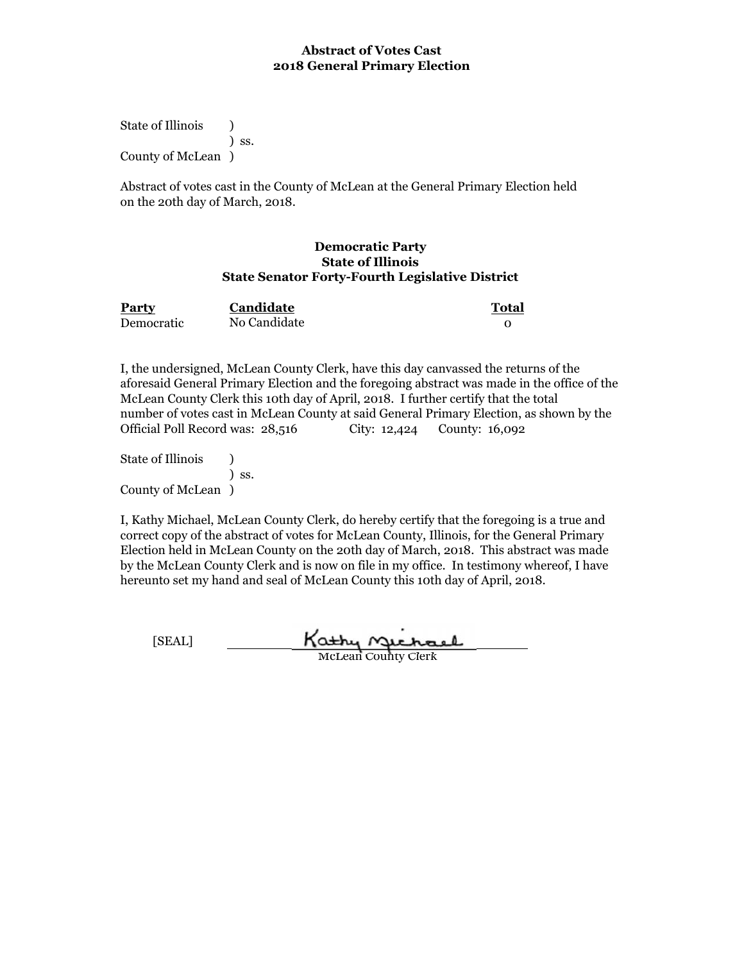State of Illinois (a) ) ss. County of McLean )

Abstract of votes cast in the County of McLean at the General Primary Election held on the 20th day of March, 2018.

#### **Democratic Party State of Illinois State Senator Forty-Fourth Legislative District**

| Party      | Candidate    | Total |
|------------|--------------|-------|
| Democratic | No Candidate |       |

I, the undersigned, McLean County Clerk, have this day canvassed the returns of the aforesaid General Primary Election and the foregoing abstract was made in the office of the McLean County Clerk this 10th day of April, 2018. I further certify that the total number of votes cast in McLean County at said General Primary Election, as shown by the Official Poll Record was: 28,516 City: 12,424 County: 16,092

State of Illinois (a) ) ss. County of McLean )

I, Kathy Michael, McLean County Clerk, do hereby certify that the foregoing is a true and correct copy of the abstract of votes for McLean County, Illinois, for the General Primary Election held in McLean County on the 20th day of March, 2018. This abstract was made by the McLean County Clerk and is now on file in my office. In testimony whereof, I have hereunto set my hand and seal of McLean County this 10th day of April, 2018.

Kathy Michael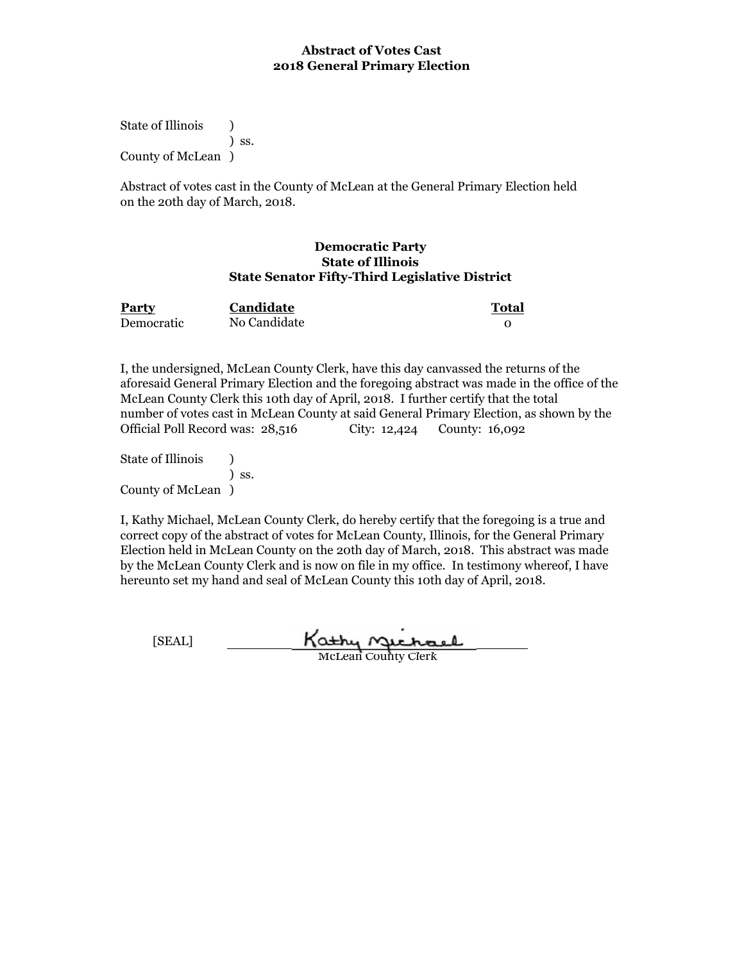State of Illinois (a) ) ss. County of McLean )

Abstract of votes cast in the County of McLean at the General Primary Election held on the 20th day of March, 2018.

#### **Democratic Party State of Illinois State Senator Fifty-Third Legislative District**

| Party      | Candidate    | Total |
|------------|--------------|-------|
| Democratic | No Candidate |       |

I, the undersigned, McLean County Clerk, have this day canvassed the returns of the aforesaid General Primary Election and the foregoing abstract was made in the office of the McLean County Clerk this 10th day of April, 2018. I further certify that the total number of votes cast in McLean County at said General Primary Election, as shown by the Official Poll Record was: 28,516 City: 12,424 County: 16,092

State of Illinois (a) ) ss. County of McLean )

I, Kathy Michael, McLean County Clerk, do hereby certify that the foregoing is a true and correct copy of the abstract of votes for McLean County, Illinois, for the General Primary Election held in McLean County on the 20th day of March, 2018. This abstract was made by the McLean County Clerk and is now on file in my office. In testimony whereof, I have hereunto set my hand and seal of McLean County this 10th day of April, 2018.

Kathy Michael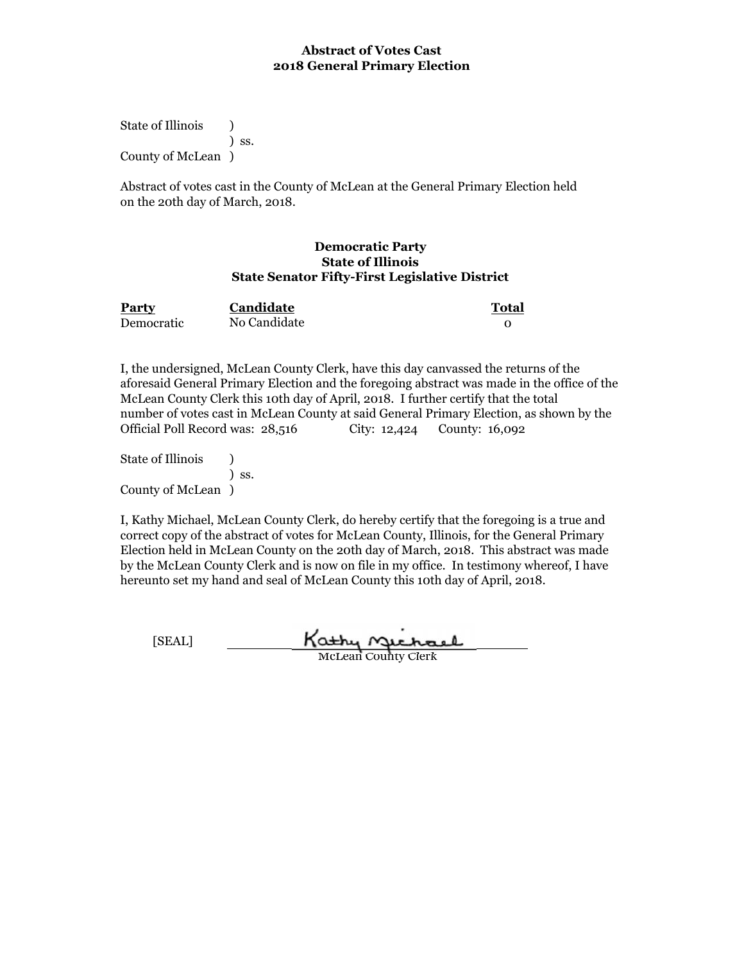State of Illinois (a) ) ss. County of McLean )

Abstract of votes cast in the County of McLean at the General Primary Election held on the 20th day of March, 2018.

#### **Democratic Party State of Illinois State Senator Fifty-First Legislative District**

| Party      | Candidate    | <b>Total</b> |
|------------|--------------|--------------|
| Democratic | No Candidate |              |

I, the undersigned, McLean County Clerk, have this day canvassed the returns of the aforesaid General Primary Election and the foregoing abstract was made in the office of the McLean County Clerk this 10th day of April, 2018. I further certify that the total number of votes cast in McLean County at said General Primary Election, as shown by the Official Poll Record was: 28,516 City: 12,424 County: 16,092

State of Illinois (a) ) ss. County of McLean )

I, Kathy Michael, McLean County Clerk, do hereby certify that the foregoing is a true and correct copy of the abstract of votes for McLean County, Illinois, for the General Primary Election held in McLean County on the 20th day of March, 2018. This abstract was made by the McLean County Clerk and is now on file in my office. In testimony whereof, I have hereunto set my hand and seal of McLean County this 10th day of April, 2018.

Kathy Michael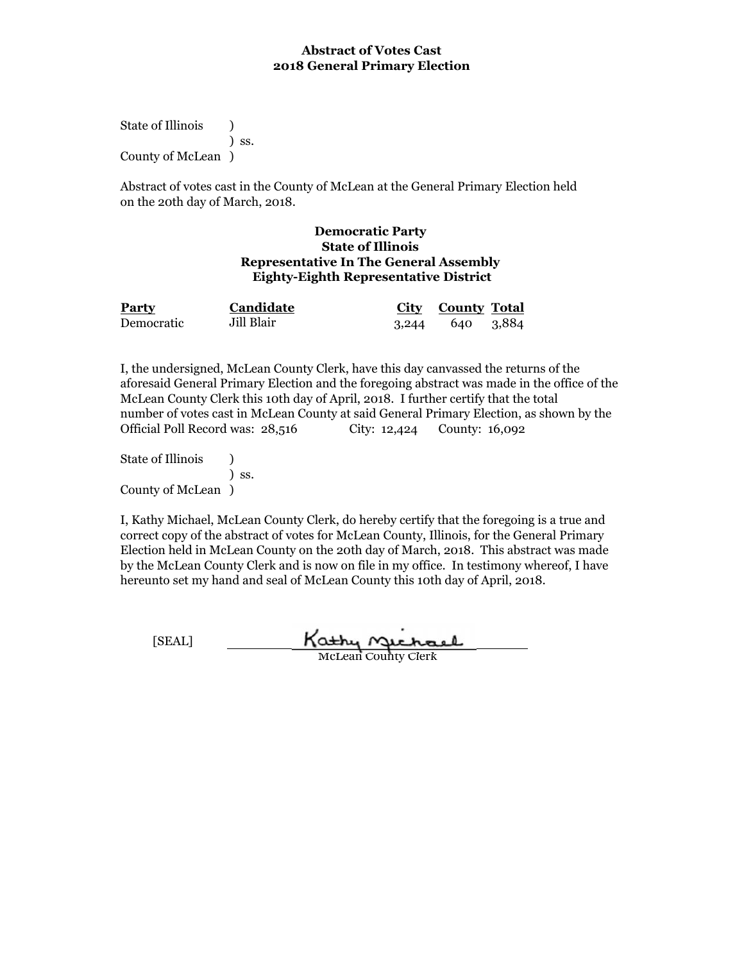State of Illinois (a) ) ss. County of McLean )

Abstract of votes cast in the County of McLean at the General Primary Election held on the 20th day of March, 2018.

#### **Democratic Party State of Illinois Representative In The General Assembly Eighty-Eighth Representative District**

| <b>Party</b> | <b>Candidate</b> | City County Total |  |
|--------------|------------------|-------------------|--|
| Democratic   | Jill Blair       | 3,244 640 3,884   |  |

I, the undersigned, McLean County Clerk, have this day canvassed the returns of the aforesaid General Primary Election and the foregoing abstract was made in the office of the McLean County Clerk this 10th day of April, 2018. I further certify that the total number of votes cast in McLean County at said General Primary Election, as shown by the Official Poll Record was: 28,516 City: 12,424 County: 16,092

State of Illinois (a) ) ss. County of McLean )

I, Kathy Michael, McLean County Clerk, do hereby certify that the foregoing is a true and correct copy of the abstract of votes for McLean County, Illinois, for the General Primary Election held in McLean County on the 20th day of March, 2018. This abstract was made by the McLean County Clerk and is now on file in my office. In testimony whereof, I have hereunto set my hand and seal of McLean County this 10th day of April, 2018.

Kathy Michael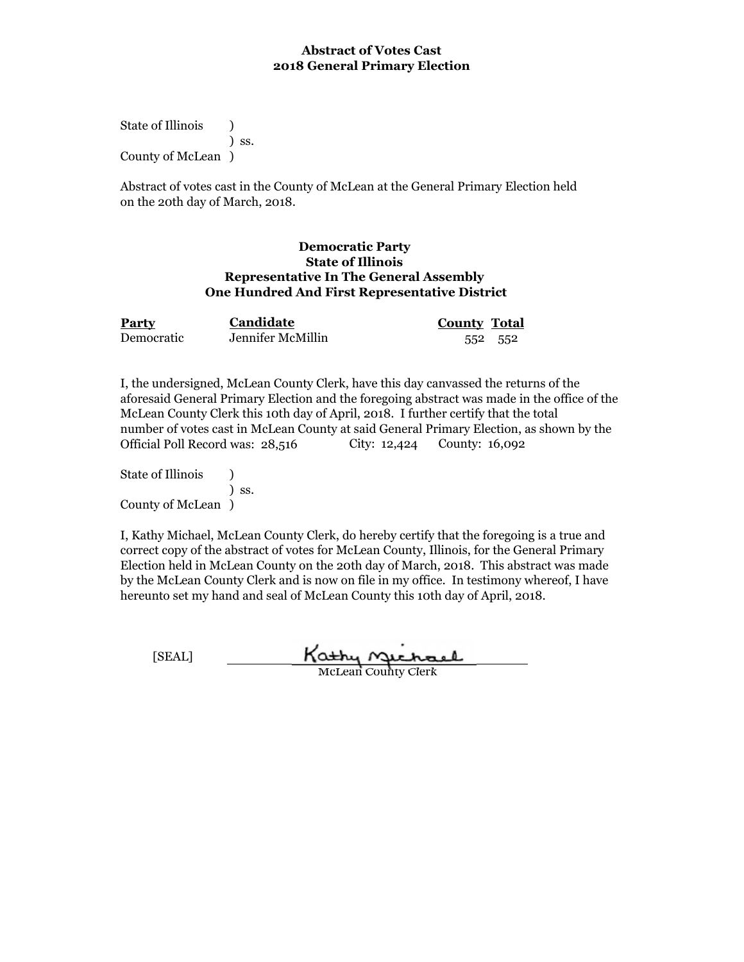State of Illinois (a) ) ss. County of McLean )

Abstract of votes cast in the County of McLean at the General Primary Election held on the 20th day of March, 2018.

### **Democratic Party State of Illinois Representative In The General Assembly One Hundred And First Representative District**

| Party      | Candidate         | <b>County Total</b> |  |
|------------|-------------------|---------------------|--|
| Democratic | Jennifer McMillin | 552 552             |  |

I, the undersigned, McLean County Clerk, have this day canvassed the returns of the aforesaid General Primary Election and the foregoing abstract was made in the office of the McLean County Clerk this 10th day of April, 2018. I further certify that the total number of votes cast in McLean County at said General Primary Election, as shown by the Official Poll Record was: 28,516 City: 12,424 County: 16,092

State of Illinois (1) ) ss. County of McLean )

I, Kathy Michael, McLean County Clerk, do hereby certify that the foregoing is a true and correct copy of the abstract of votes for McLean County, Illinois, for the General Primary Election held in McLean County on the 20th day of March, 2018. This abstract was made by the McLean County Clerk and is now on file in my office. In testimony whereof, I have hereunto set my hand and seal of McLean County this 10th day of April, 2018.

Kathy Michael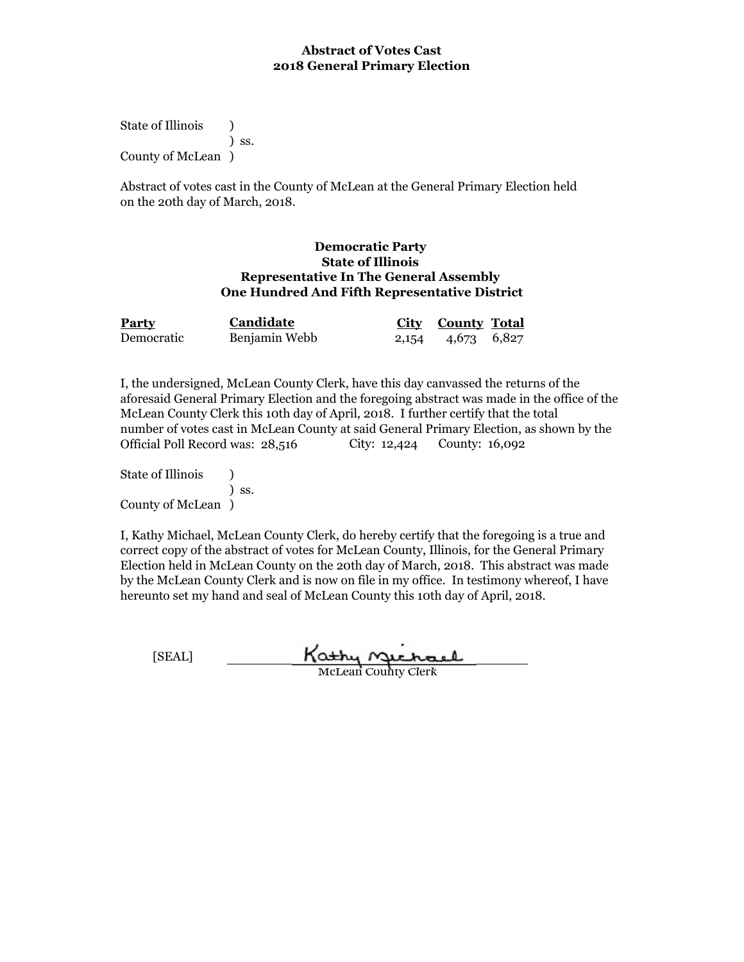State of Illinois (a) ) ss. County of McLean )

Abstract of votes cast in the County of McLean at the General Primary Election held on the 20th day of March, 2018.

#### **Democratic Party State of Illinois Representative In The General Assembly One Hundred And Fifth Representative District**

| <b>Party</b> | Candidate     | City County Total |  |
|--------------|---------------|-------------------|--|
| Democratic   | Benjamin Webb | 2,154 4,673 6,827 |  |

I, the undersigned, McLean County Clerk, have this day canvassed the returns of the aforesaid General Primary Election and the foregoing abstract was made in the office of the McLean County Clerk this 10th day of April, 2018. I further certify that the total number of votes cast in McLean County at said General Primary Election, as shown by the Official Poll Record was: 28,516 County: 16,092

State of Illinois (1) ) ss. County of McLean )

I, Kathy Michael, McLean County Clerk, do hereby certify that the foregoing is a true and correct copy of the abstract of votes for McLean County, Illinois, for the General Primary Election held in McLean County on the 20th day of March, 2018. This abstract was made by the McLean County Clerk and is now on file in my office. In testimony whereof, I have hereunto set my hand and seal of McLean County this 10th day of April, 2018.

Kathy Michael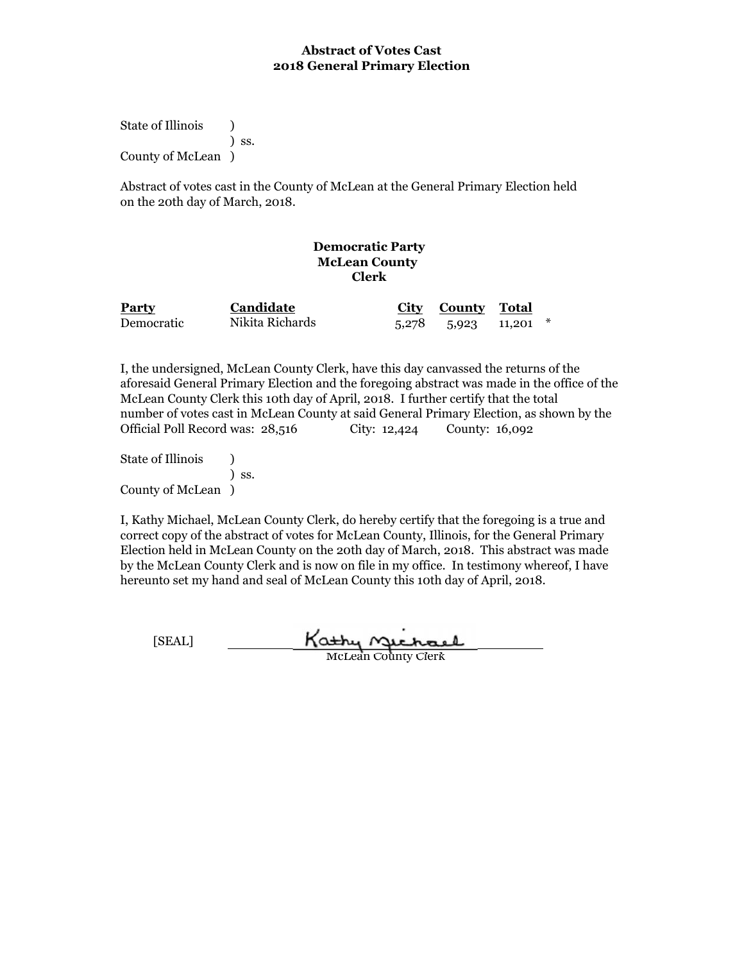State of Illinois (a) ) ss. County of McLean )

Abstract of votes cast in the County of McLean at the General Primary Election held on the 20th day of March, 2018.

## **Democratic Party McLean County Clerk**

| <b>Party</b> | <b>Candidate</b> | City County Total          |  |
|--------------|------------------|----------------------------|--|
| Democratic   | Nikita Richards  | $5,278$ $5,923$ $11,201$ * |  |

I, the undersigned, McLean County Clerk, have this day canvassed the returns of the aforesaid General Primary Election and the foregoing abstract was made in the office of the McLean County Clerk this 10th day of April, 2018. I further certify that the total number of votes cast in McLean County at said General Primary Election, as shown by the Official Poll Record was: 28,516 City: 12,424 County: 16,092

State of Illinois (a) ) ss. County of McLean )

I, Kathy Michael, McLean County Clerk, do hereby certify that the foregoing is a true and correct copy of the abstract of votes for McLean County, Illinois, for the General Primary Election held in McLean County on the 20th day of March, 2018. This abstract was made by the McLean County Clerk and is now on file in my office. In testimony whereof, I have hereunto set my hand and seal of McLean County this 10th day of April, 2018.

Kathy Michael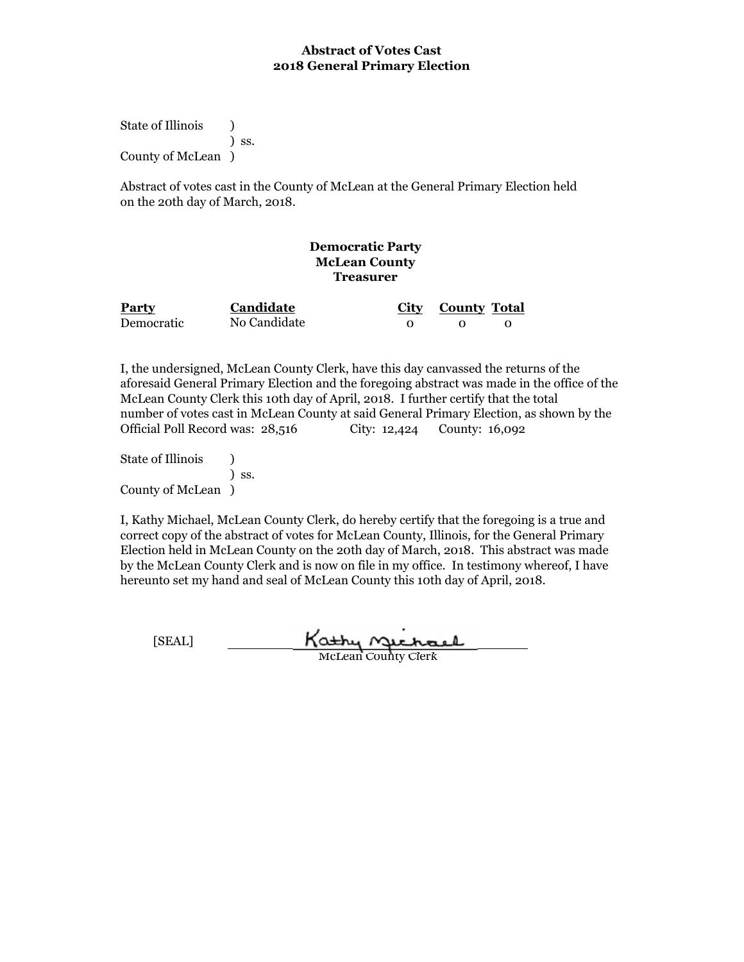State of Illinois (a) ) ss. County of McLean )

Abstract of votes cast in the County of McLean at the General Primary Election held on the 20th day of March, 2018.

# **Democratic Party McLean County Treasurer**

| <b>Party</b> | Candidate    | City County Total |  |
|--------------|--------------|-------------------|--|
| Democratic   | No Candidate |                   |  |

I, the undersigned, McLean County Clerk, have this day canvassed the returns of the aforesaid General Primary Election and the foregoing abstract was made in the office of the McLean County Clerk this 10th day of April, 2018. I further certify that the total number of votes cast in McLean County at said General Primary Election, as shown by the Official Poll Record was: 28,516 City: 12,424 County: 16,092

State of Illinois (a) ) ss. County of McLean )

I, Kathy Michael, McLean County Clerk, do hereby certify that the foregoing is a true and correct copy of the abstract of votes for McLean County, Illinois, for the General Primary Election held in McLean County on the 20th day of March, 2018. This abstract was made by the McLean County Clerk and is now on file in my office. In testimony whereof, I have hereunto set my hand and seal of McLean County this 10th day of April, 2018.

Kathy Michael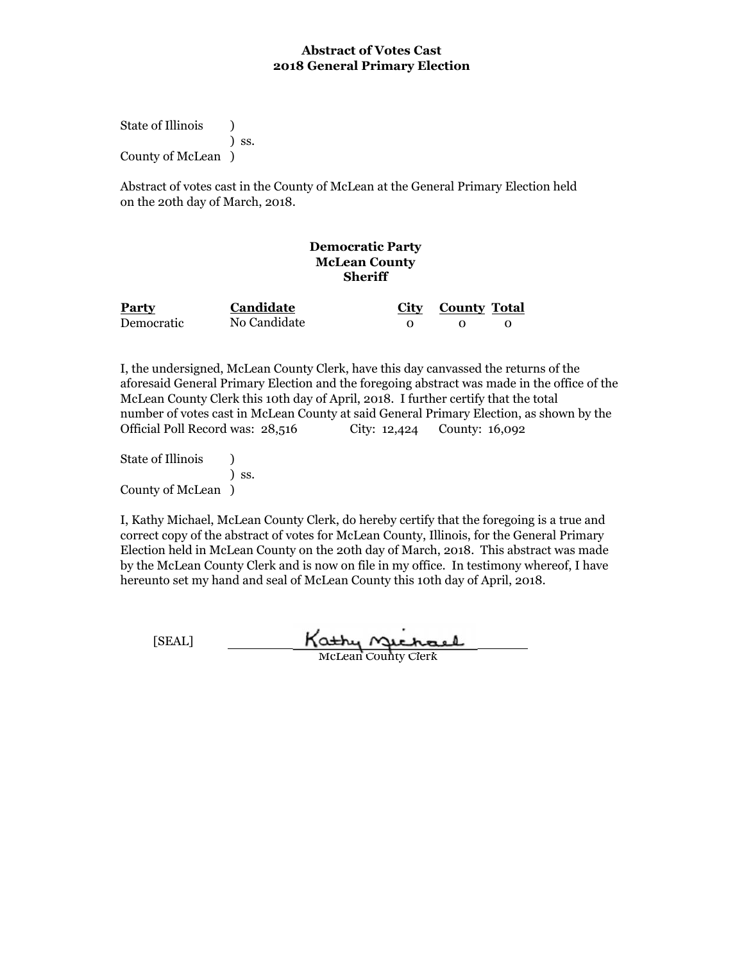State of Illinois (a) ) ss. County of McLean )

Abstract of votes cast in the County of McLean at the General Primary Election held on the 20th day of March, 2018.

# **Democratic Party McLean County Sheriff**

| <b>Party</b> | Candidate    | City County Total |  |
|--------------|--------------|-------------------|--|
| Democratic   | No Candidate |                   |  |

I, the undersigned, McLean County Clerk, have this day canvassed the returns of the aforesaid General Primary Election and the foregoing abstract was made in the office of the McLean County Clerk this 10th day of April, 2018. I further certify that the total number of votes cast in McLean County at said General Primary Election, as shown by the Official Poll Record was: 28,516 City: 12,424 County: 16,092

State of Illinois (a) ) ss. County of McLean )

I, Kathy Michael, McLean County Clerk, do hereby certify that the foregoing is a true and correct copy of the abstract of votes for McLean County, Illinois, for the General Primary Election held in McLean County on the 20th day of March, 2018. This abstract was made by the McLean County Clerk and is now on file in my office. In testimony whereof, I have hereunto set my hand and seal of McLean County this 10th day of April, 2018.

Kathy Michael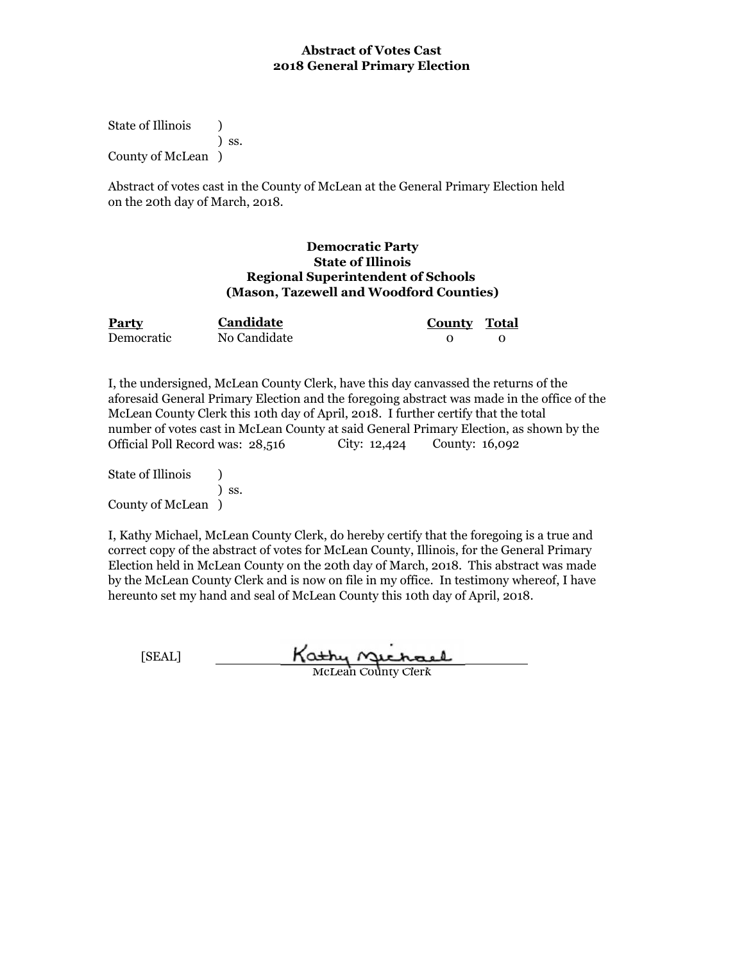State of Illinois (a) ) ss. County of McLean )

Abstract of votes cast in the County of McLean at the General Primary Election held on the 20th day of March, 2018.

### **Democratic Party State of Illinois Regional Superintendent of Schools (Mason, Tazewell and Woodford Counties)**

| Party      | <b>Candidate</b> | County Total |  |
|------------|------------------|--------------|--|
| Democratic | No Candidate     |              |  |

I, the undersigned, McLean County Clerk, have this day canvassed the returns of the aforesaid General Primary Election and the foregoing abstract was made in the office of the McLean County Clerk this 10th day of April, 2018. I further certify that the total number of votes cast in McLean County at said General Primary Election, as shown by the Official Poll Record was: 28,516 City: 12,424 County: 16,092

State of Illinois (1) ) ss. County of McLean )

| [SEAL] | Kathy Gichael              |
|--------|----------------------------|
|        | <b>McLean County Clerk</b> |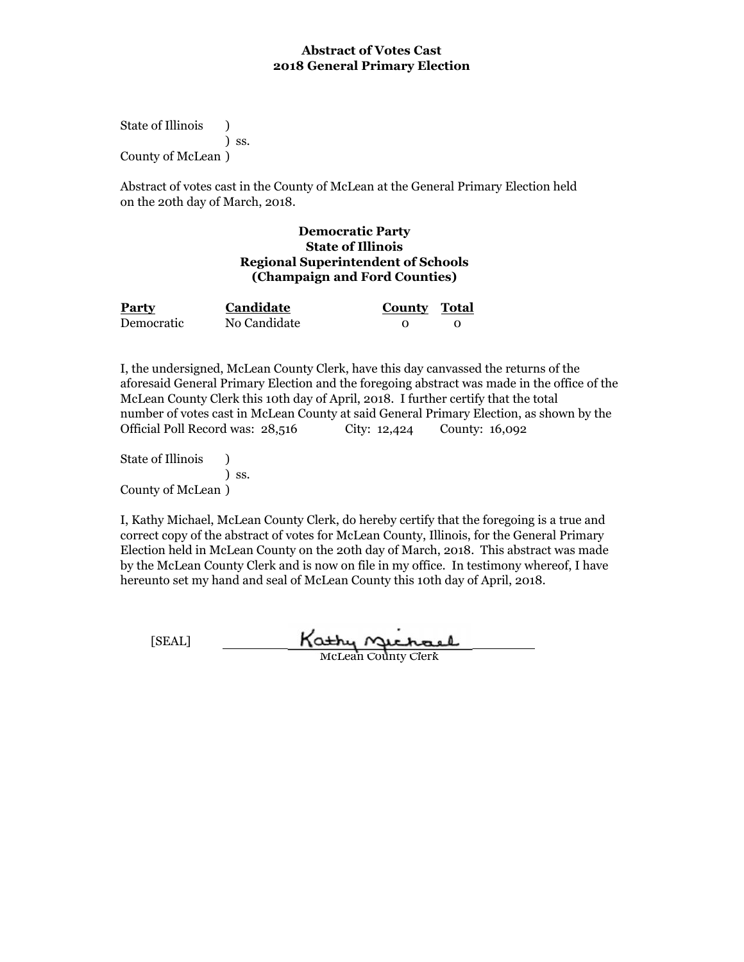State of Illinois (a) ) ss. County of McLean )

Abstract of votes cast in the County of McLean at the General Primary Election held on the 20th day of March, 2018.

### **Democratic Party State of Illinois Regional Superintendent of Schools (Champaign and Ford Counties)**

| Party      | Candidate    | <b>County Total</b> |  |
|------------|--------------|---------------------|--|
| Democratic | No Candidate |                     |  |

I, the undersigned, McLean County Clerk, have this day canvassed the returns of the aforesaid General Primary Election and the foregoing abstract was made in the office of the McLean County Clerk this 10th day of April, 2018. I further certify that the total number of votes cast in McLean County at said General Primary Election, as shown by the Official Poll Record was: 28,516 City: 12,424 County: 16,092

State of Illinois (a) ) ss. County of McLean )

I, Kathy Michael, McLean County Clerk, do hereby certify that the foregoing is a true and correct copy of the abstract of votes for McLean County, Illinois, for the General Primary Election held in McLean County on the 20th day of March, 2018. This abstract was made by the McLean County Clerk and is now on file in my office. In testimony whereof, I have hereunto set my hand and seal of McLean County this 10th day of April, 2018.

Kathy Michael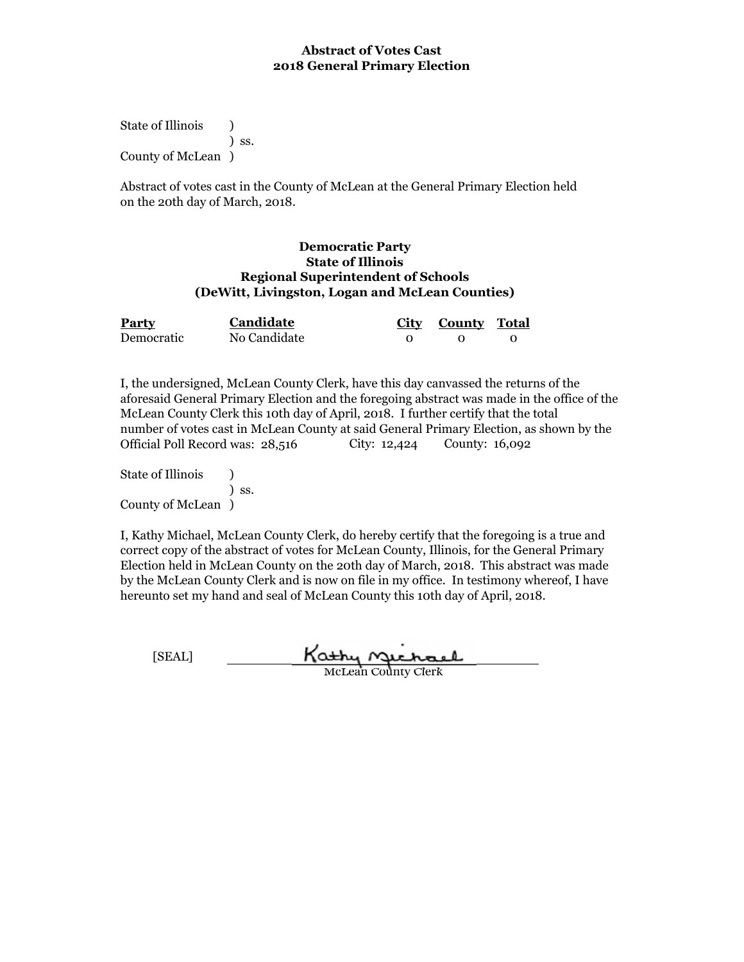State of Illinois (a) ) ss. County of McLean )

Abstract of votes cast in the County of McLean at the General Primary Election held on the 20th day of March, 2018.

#### **State of Illinois Democratic Party (DeWitt, Livingston, Logan and McLean Counties) Regional Superintendent of Schools**

| Party      | <b>Candidate</b> | City County Total |  |
|------------|------------------|-------------------|--|
| Democratic | No Candidate     |                   |  |

I, the undersigned, McLean County Clerk, have this day canvassed the returns of the aforesaid General Primary Election and the foregoing abstract was made in the office of the McLean County Clerk this 10th day of April, 2018. I further certify that the total number of votes cast in McLean County at said General Primary Election, as shown by the Official Poll Record was: 28,516 County: 16,092

State of Illinois (1) ) ss. County of McLean )

I, Kathy Michael, McLean County Clerk, do hereby certify that the foregoing is a true and correct copy of the abstract of votes for McLean County, Illinois, for the General Primary Election held in McLean County on the 20th day of March, 2018. This abstract was made by the McLean County Clerk and is now on file in my office. In testimony whereof, I have hereunto set my hand and seal of McLean County this 10th day of April, 2018.

Kathy Michael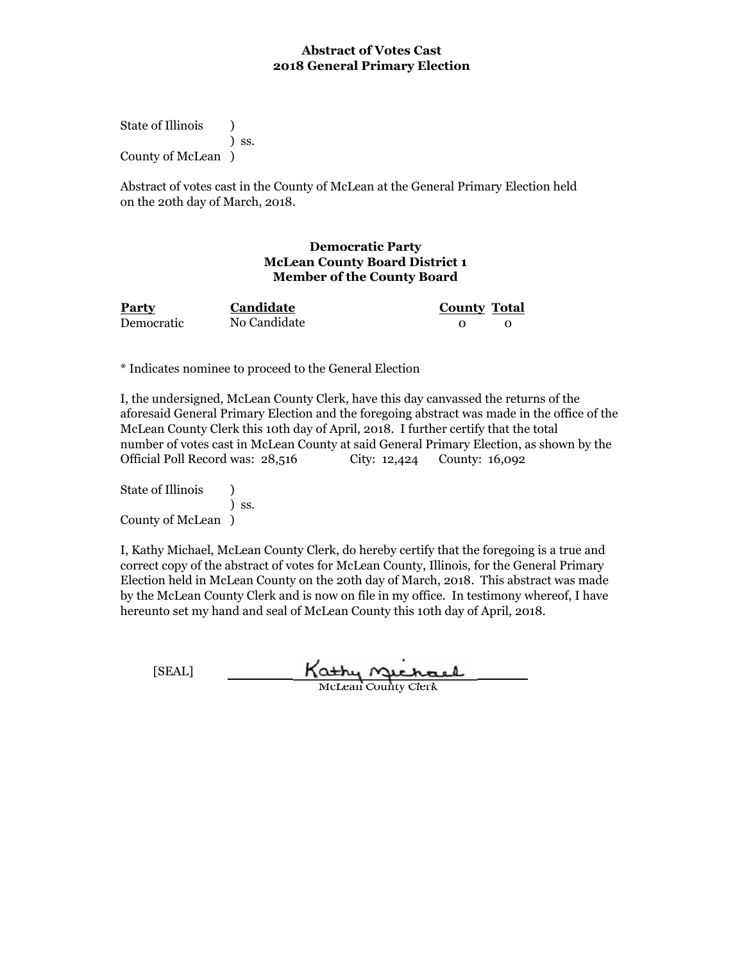State of Illinois (a) ) ss. County of McLean )

Abstract of votes cast in the County of McLean at the General Primary Election held on the 20th day of March, 2018.

### **Democratic Party McLean County Board District 1 Member of the County Board**

| Party      | Candidate    | <b>County Total</b> |  |
|------------|--------------|---------------------|--|
| Democratic | No Candidate |                     |  |

\* Indicates nominee to proceed to the General Election

I, the undersigned, McLean County Clerk, have this day canvassed the returns of the aforesaid General Primary Election and the foregoing abstract was made in the office of the McLean County Clerk this 10th day of April, 2018. I further certify that the total number of votes cast in McLean County at said General Primary Election, as shown by the Official Poll Record was: 28,516 City: 12,424 County: 16,092

State of Illinois (b) ) ss. County of McLean )

| [SEAL] | Kathy Gichael              |
|--------|----------------------------|
|        | <b>McLean County Clerk</b> |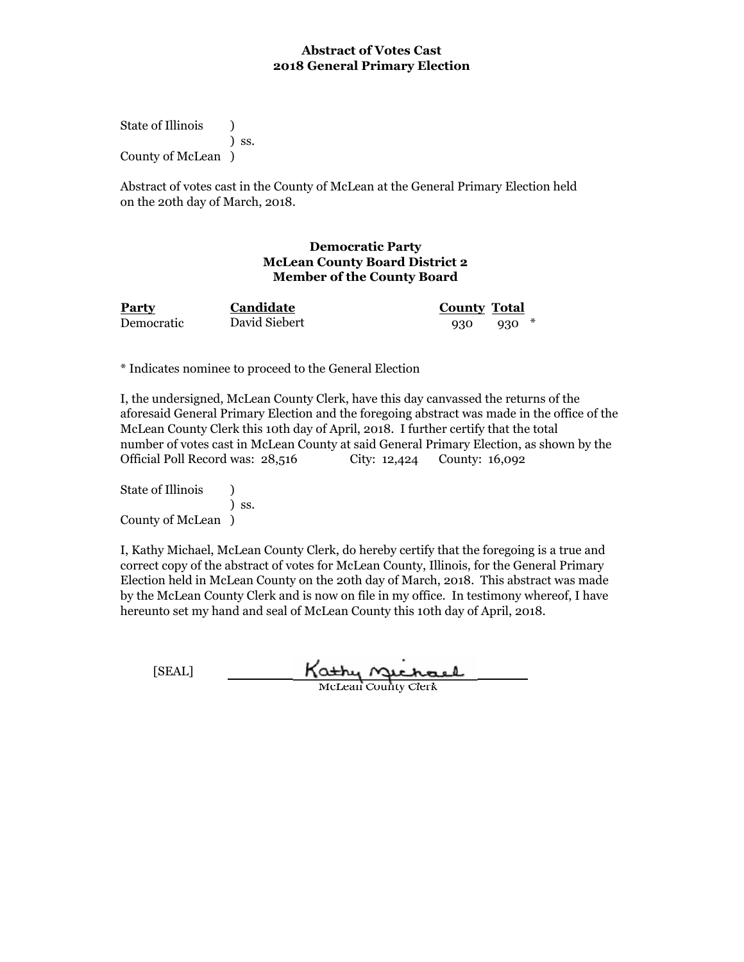State of Illinois (b) ) ss. County of McLean )

Abstract of votes cast in the County of McLean at the General Primary Election held on the 20th day of March, 2018.

### **Democratic Party McLean County Board District 2 Member of the County Board**

**Party Candidate County Total Candidate**

Democratic 930 930 \* David Siebert

\* Indicates nominee to proceed to the General Election

I, the undersigned, McLean County Clerk, have this day canvassed the returns of the aforesaid General Primary Election and the foregoing abstract was made in the office of the McLean County Clerk this 10th day of April, 2018. I further certify that the total number of votes cast in McLean County at said General Primary Election, as shown by the Official Poll Record was: 28,516 City: 12,424 County: 16,092

State of Illinois (1) ) ss. County of McLean )

| [SEAL] | Kathy nuchael              |
|--------|----------------------------|
|        | <b>McLean County Clerk</b> |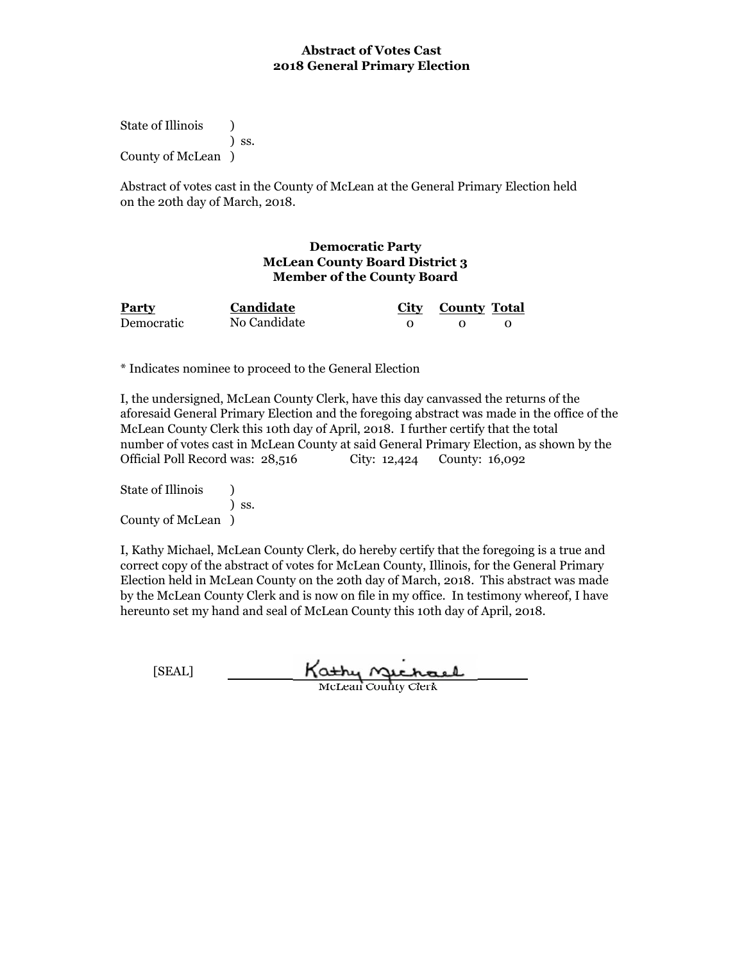State of Illinois (a) ) ss. County of McLean )

Abstract of votes cast in the County of McLean at the General Primary Election held on the 20th day of March, 2018.

#### **Democratic Party McLean County Board District 3 Member of the County Board**

| <b>Party</b> | Candidate    | City County Total |  |
|--------------|--------------|-------------------|--|
| Democratic   | No Candidate |                   |  |

\* Indicates nominee to proceed to the General Election

I, the undersigned, McLean County Clerk, have this day canvassed the returns of the aforesaid General Primary Election and the foregoing abstract was made in the office of the McLean County Clerk this 10th day of April, 2018. I further certify that the total number of votes cast in McLean County at said General Primary Election, as shown by the Official Poll Record was: 28,516 City: 12,424 County: 16,092

State of Illinois (b) ) ss. County of McLean )

| [SEAL] | Kathy nichael              |
|--------|----------------------------|
|        | <b>McLean County Clerk</b> |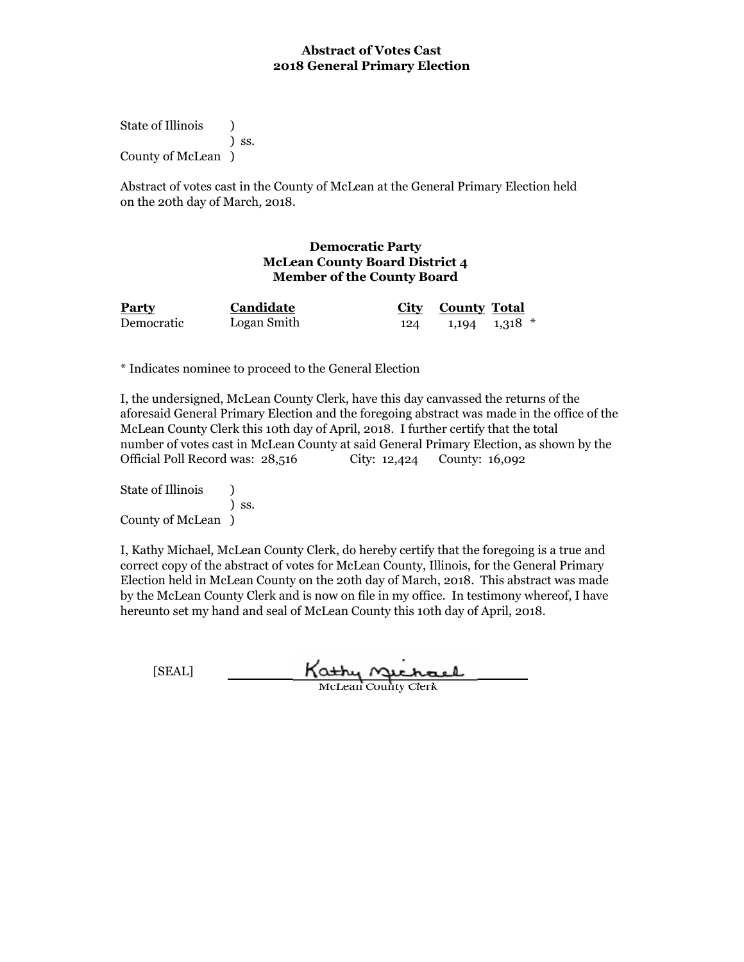State of Illinois (a) ) ss. County of McLean )

Abstract of votes cast in the County of McLean at the General Primary Election held on the 20th day of March, 2018.

#### **Democratic Party McLean County Board District 4 Member of the County Board**

| <b>Party</b> | Candidate   | City County Total     |  |
|--------------|-------------|-----------------------|--|
| Democratic   | Logan Smith | $124$ 1,194 1,318 $*$ |  |

\* Indicates nominee to proceed to the General Election

I, the undersigned, McLean County Clerk, have this day canvassed the returns of the aforesaid General Primary Election and the foregoing abstract was made in the office of the McLean County Clerk this 10th day of April, 2018. I further certify that the total number of votes cast in McLean County at said General Primary Election, as shown by the Official Poll Record was: 28,516 City: 12,424 County: 16,092

State of Illinois (b) ) ss. County of McLean )

| [SEAL] | Kathy nichael              |
|--------|----------------------------|
|        | <b>McLean County Clerk</b> |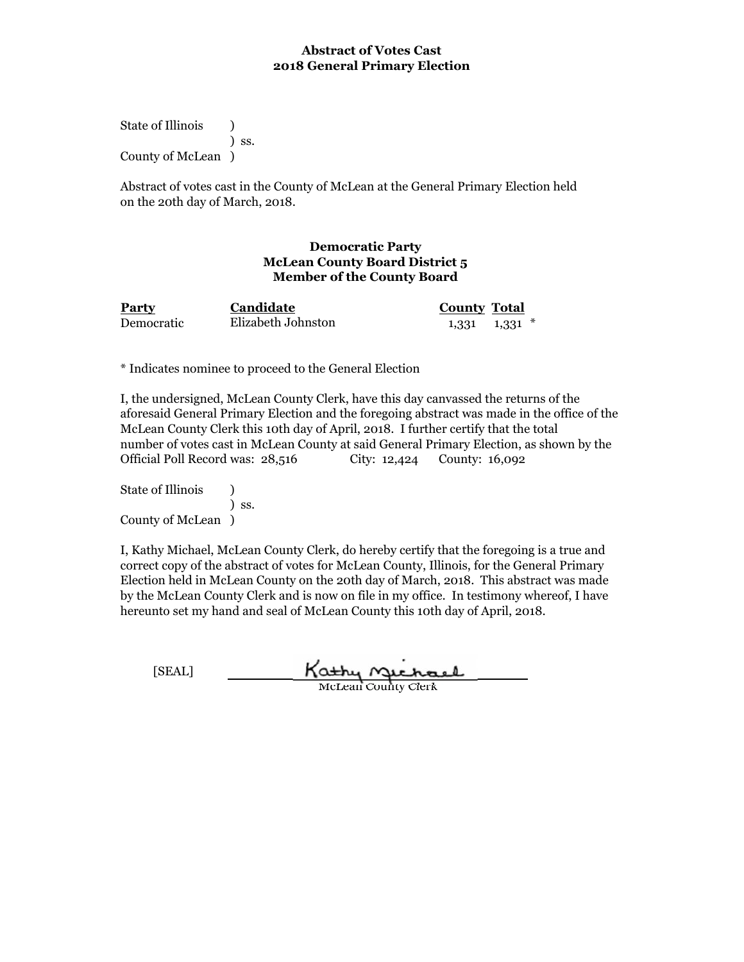State of Illinois (a) ) ss. County of McLean )

Abstract of votes cast in the County of McLean at the General Primary Election held on the 20th day of March, 2018.

# **Democratic Party McLean County Board District 5 Member of the County Board**

| <b>Party</b> | <b>Candidate</b>   | <b>County Total</b> |                     |
|--------------|--------------------|---------------------|---------------------|
| Democratic   | Elizabeth Johnston |                     | $1,331$ $1,331$ $*$ |

\* Indicates nominee to proceed to the General Election

I, the undersigned, McLean County Clerk, have this day canvassed the returns of the aforesaid General Primary Election and the foregoing abstract was made in the office of the McLean County Clerk this 10th day of April, 2018. I further certify that the total number of votes cast in McLean County at said General Primary Election, as shown by the Official Poll Record was: 28,516 City: 12,424 County: 16,092

State of Illinois (b) ) ss. County of McLean )

| [SEAL] | Kathy nuchael              |
|--------|----------------------------|
|        | <b>McLean County Clerk</b> |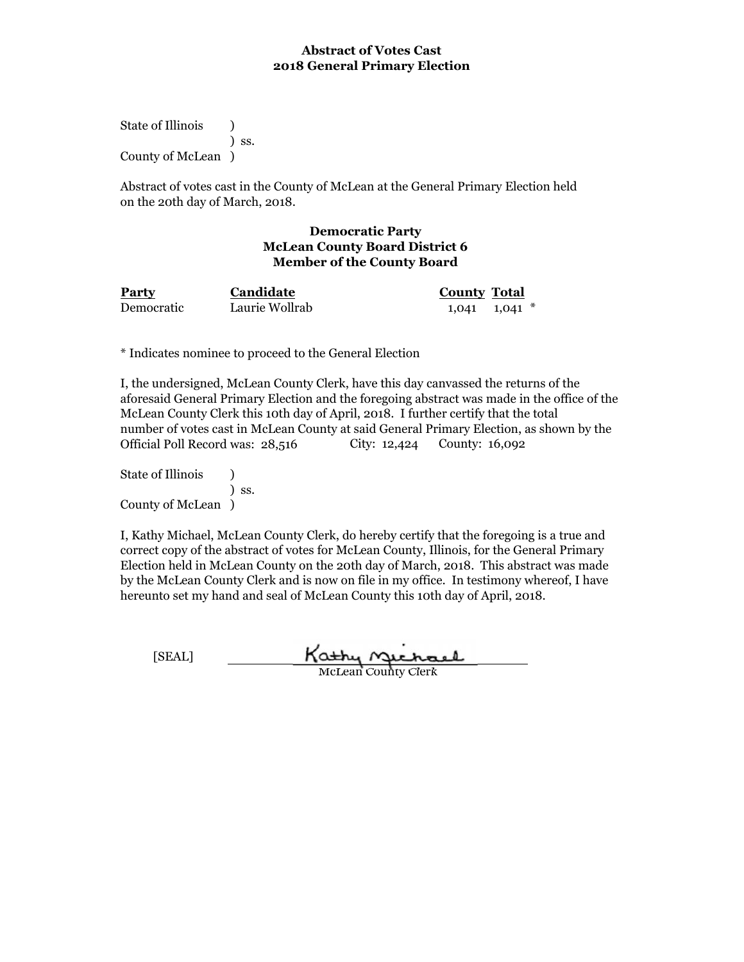State of Illinois (1) ) ss. County of McLean )

Abstract of votes cast in the County of McLean at the General Primary Election held on the 20th day of March, 2018.

#### **Democratic Party McLean County Board District 6 Member of the County Board**

**Party Candidate County Total Candidate** Laurie Wollrab

Democratic Laurie Wollrab 1,041 1,041  $*$ 

\* Indicates nominee to proceed to the General Election

I, the undersigned, McLean County Clerk, have this day canvassed the returns of the aforesaid General Primary Election and the foregoing abstract was made in the office of the McLean County Clerk this 10th day of April, 2018. I further certify that the total number of votes cast in McLean County at said General Primary Election, as shown by the Official Poll Record was: 28,516 City: 12,424 County: 16,092

State of Illinois (1) ) ss. County of McLean )

I, Kathy Michael, McLean County Clerk, do hereby certify that the foregoing is a true and correct copy of the abstract of votes for McLean County, Illinois, for the General Primary Election held in McLean County on the 20th day of March, 2018. This abstract was made by the McLean County Clerk and is now on file in my office. In testimony whereof, I have hereunto set my hand and seal of McLean County this 10th day of April, 2018.

Kathy nechael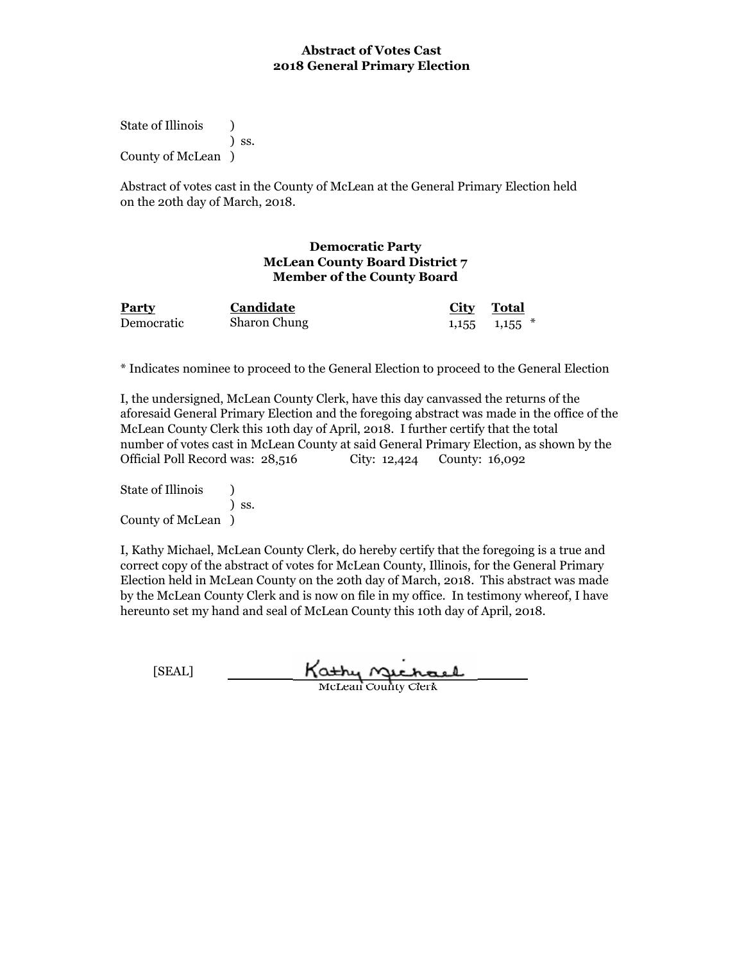State of Illinois (a) ) ss. County of McLean )

Abstract of votes cast in the County of McLean at the General Primary Election held on the 20th day of March, 2018.

## **Democratic Party McLean County Board District 7 Member of the County Board**

| <b>Party</b> | Candidate           | City Total |                     |
|--------------|---------------------|------------|---------------------|
| Democratic   | <b>Sharon Chung</b> |            | $1,155$ $1,155$ $*$ |

\* Indicates nominee to proceed to the General Election to proceed to the General Election

I, the undersigned, McLean County Clerk, have this day canvassed the returns of the aforesaid General Primary Election and the foregoing abstract was made in the office of the McLean County Clerk this 10th day of April, 2018. I further certify that the total number of votes cast in McLean County at said General Primary Election, as shown by the Official Poll Record was: 28,516 City: 12,424 County: 16,092

State of Illinois (b) ) ss. County of McLean )

| [SEAL] | Kathy nuchael              |
|--------|----------------------------|
|        | <b>McLean County Clerk</b> |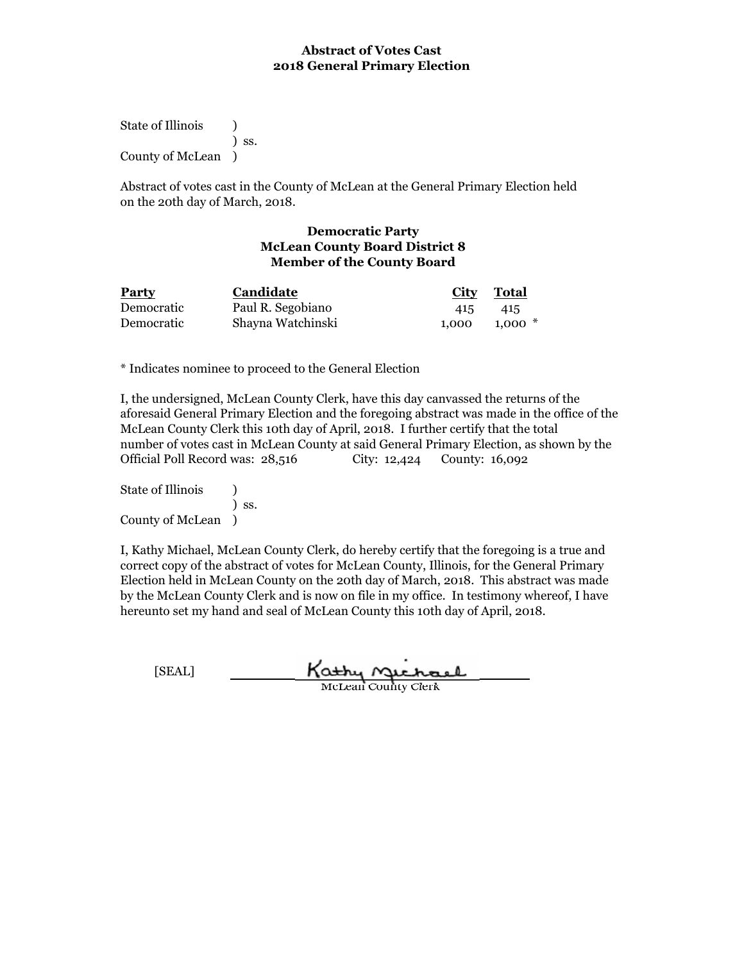State of Illinois (a) ) ss. County of McLean )

Abstract of votes cast in the County of McLean at the General Primary Election held on the 20th day of March, 2018.

### **Democratic Party McLean County Board District 8 Member of the County Board**

| <b>Party</b> | <b>Candidate</b>  | <b>City</b> Total |          |
|--------------|-------------------|-------------------|----------|
| Democratic   | Paul R. Segobiano | 415               | 415      |
| Democratic   | Shayna Watchinski | 1.000             | $1.000*$ |

\* Indicates nominee to proceed to the General Election

I, the undersigned, McLean County Clerk, have this day canvassed the returns of the aforesaid General Primary Election and the foregoing abstract was made in the office of the McLean County Clerk this 10th day of April, 2018. I further certify that the total number of votes cast in McLean County at said General Primary Election, as shown by the Official Poll Record was: 28,516 City: 12,424 County: 16,092

State of Illinois (b) ) ss. County of McLean )

| [SEAL] | Kathy Michael              |
|--------|----------------------------|
|        | <b>McLean County Clerk</b> |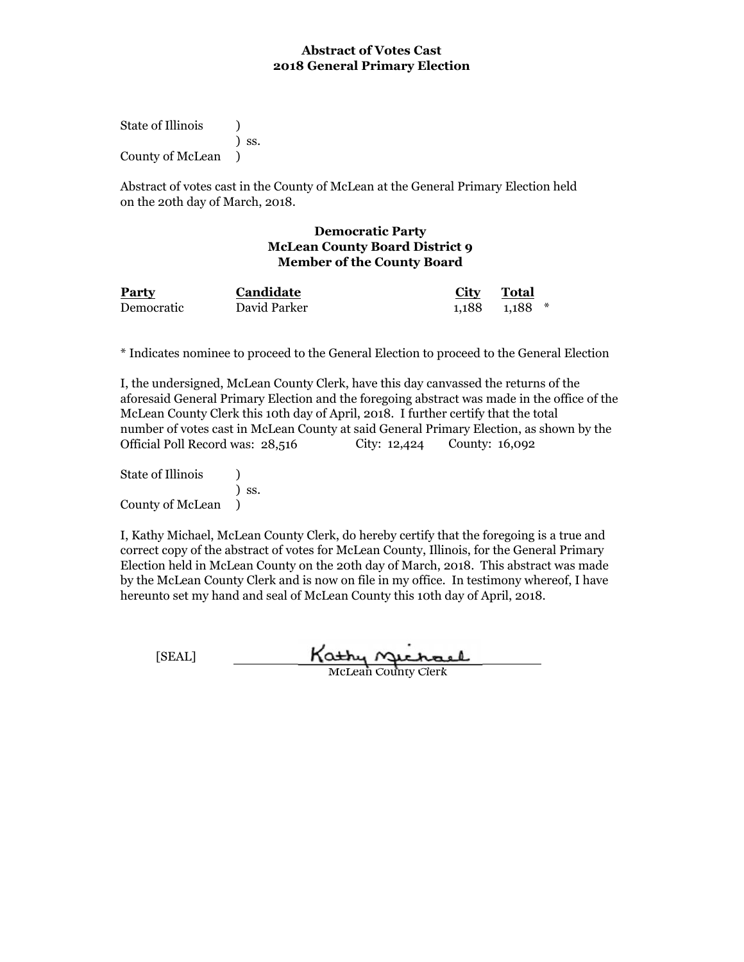State of Illinois (1) ) ss. County of McLean )

Abstract of votes cast in the County of McLean at the General Primary Election held on the 20th day of March, 2018.

#### **Democratic Party McLean County Board District 9 Member of the County Board**

| <b>Party</b> | <b>Candidate</b> | <u>City</u> | <b>Total</b>        |
|--------------|------------------|-------------|---------------------|
| Democratic   | David Parker     |             | $1.188$ $1.188$ $*$ |

\* Indicates nominee to proceed to the General Election to proceed to the General Election

I, the undersigned, McLean County Clerk, have this day canvassed the returns of the aforesaid General Primary Election and the foregoing abstract was made in the office of the McLean County Clerk this 10th day of April, 2018. I further certify that the total number of votes cast in McLean County at said General Primary Election, as shown by the Official Poll Record was: 28,516 City: 12,424 County: 16,092

State of Illinois (1) ) ss. County of McLean )

| [SEAL] | Kathy Michael              |  |
|--------|----------------------------|--|
|        | <b>McLean County Clerk</b> |  |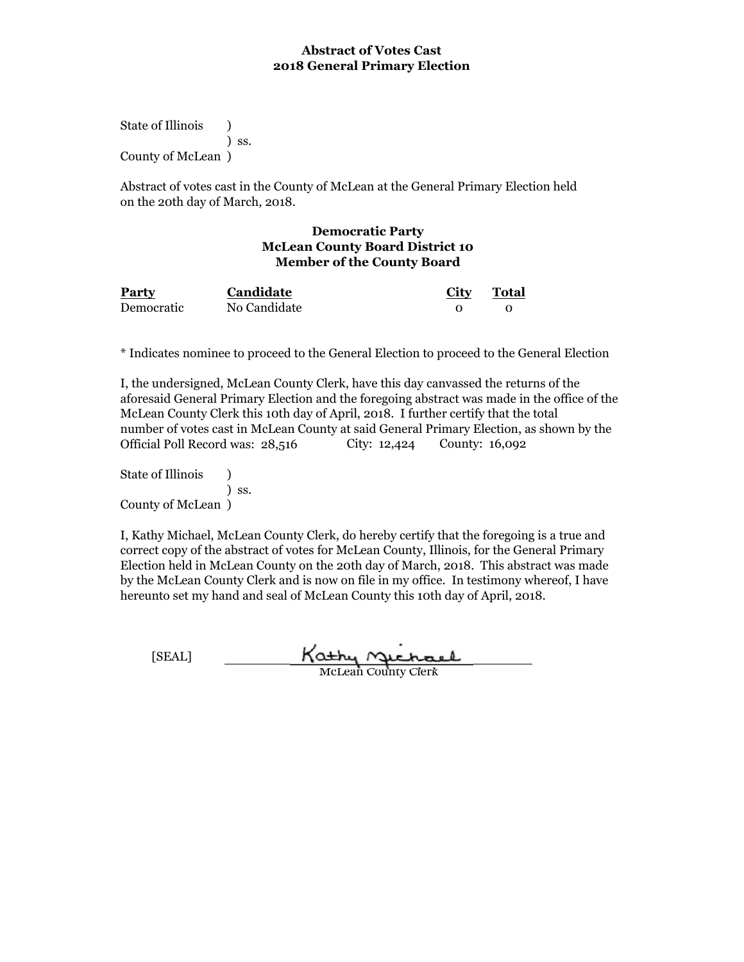State of Illinois (b) ) ss. County of McLean )

Abstract of votes cast in the County of McLean at the General Primary Election held on the 20th day of March, 2018.

#### **Democratic Party McLean County Board District 10 Member of the County Board**

| <b>Party</b> | Candidate    | <u>City</u> | <b>Total</b> |
|--------------|--------------|-------------|--------------|
| Democratic   | No Candidate |             |              |

\* Indicates nominee to proceed to the General Election to proceed to the General Election

I, the undersigned, McLean County Clerk, have this day canvassed the returns of the aforesaid General Primary Election and the foregoing abstract was made in the office of the McLean County Clerk this 10th day of April, 2018. I further certify that the total number of votes cast in McLean County at said General Primary Election, as shown by the Official Poll Record was: 28,516 City: 12,424 County: 16,092

State of Illinois (1) ) ss. County of McLean )

I, Kathy Michael, McLean County Clerk, do hereby certify that the foregoing is a true and correct copy of the abstract of votes for McLean County, Illinois, for the General Primary Election held in McLean County on the 20th day of March, 2018. This abstract was made by the McLean County Clerk and is now on file in my office. In testimony whereof, I have hereunto set my hand and seal of McLean County this 10th day of April, 2018.

Kathy Michael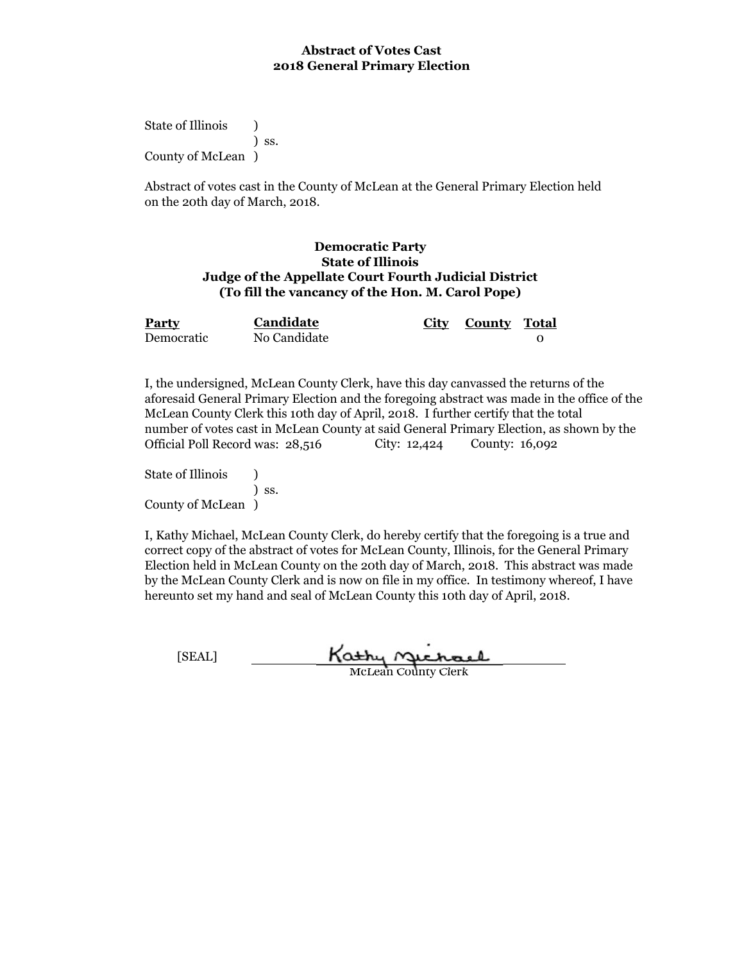State of Illinois (b) ) ss. County of McLean )

Abstract of votes cast in the County of McLean at the General Primary Election held on the 20th day of March, 2018.

#### **Democratic Party State of Illinois Judge of the Appellate Court Fourth Judicial District (To fill the vancancy of the Hon. M. Carol Pope)**

| Party      | <b>Candidate</b> | City County Total |  |
|------------|------------------|-------------------|--|
| Democratic | No Candidate     |                   |  |

I, the undersigned, McLean County Clerk, have this day canvassed the returns of the aforesaid General Primary Election and the foregoing abstract was made in the office of the McLean County Clerk this 10th day of April, 2018. I further certify that the total number of votes cast in McLean County at said General Primary Election, as shown by the Official Poll Record was: 28,516 City: 12,424 County: 16,092

State of Illinois (1) ) ss. County of McLean )

| [SEAL] | Kathy nuchael              |
|--------|----------------------------|
|        | <b>McLean County Clerk</b> |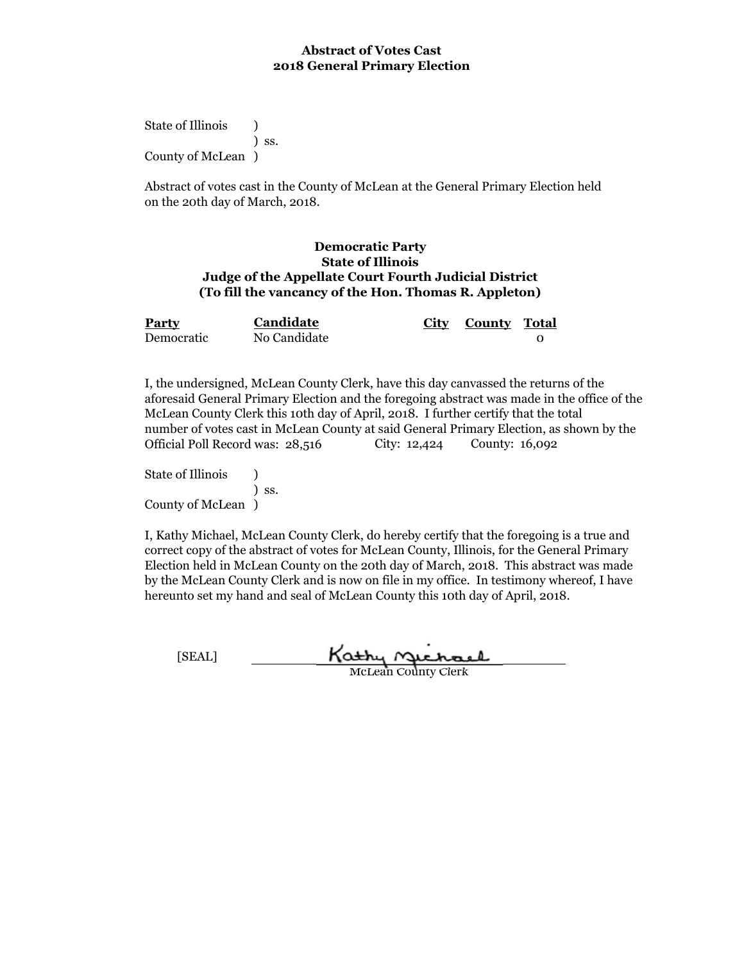State of Illinois (b) ) ss. County of McLean )

Abstract of votes cast in the County of McLean at the General Primary Election held on the 20th day of March, 2018.

#### **Democratic Party State of Illinois Judge of the Appellate Court Fourth Judicial District (To fill the vancancy of the Hon. Thomas R. Appleton)**

| Party      | Candidate    | City County Total |  |
|------------|--------------|-------------------|--|
| Democratic | No Candidate |                   |  |

I, the undersigned, McLean County Clerk, have this day canvassed the returns of the aforesaid General Primary Election and the foregoing abstract was made in the office of the McLean County Clerk this 10th day of April, 2018. I further certify that the total number of votes cast in McLean County at said General Primary Election, as shown by the Official Poll Record was: 28,516 City: 12,424 County: 16,092

State of Illinois (1) ) ss. County of McLean )

| <b>SEALT</b> | Kathy Michael              |
|--------------|----------------------------|
|              | <b>McLean County Clerk</b> |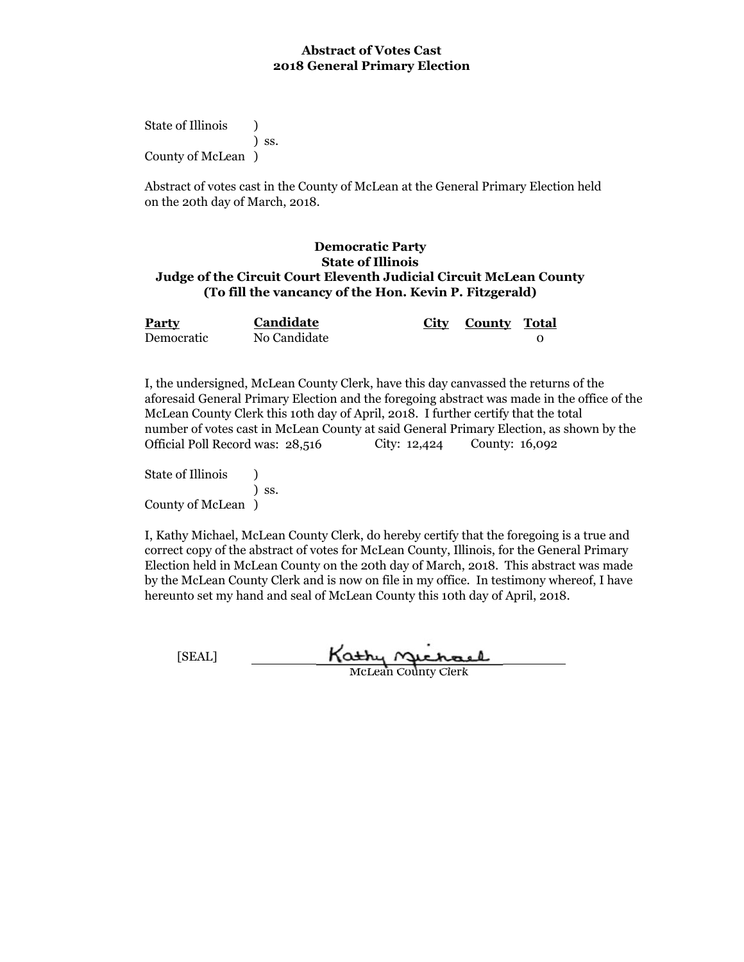State of Illinois (b) ) ss. County of McLean )

Abstract of votes cast in the County of McLean at the General Primary Election held on the 20th day of March, 2018.

#### **Democratic Party State of Illinois Judge of the Circuit Court Eleventh Judicial Circuit McLean County (To fill the vancancy of the Hon. Kevin P. Fitzgerald)**

| <b>Party</b> | Candidate    | City County Total |  |
|--------------|--------------|-------------------|--|
| Democratic   | No Candidate |                   |  |

I, the undersigned, McLean County Clerk, have this day canvassed the returns of the aforesaid General Primary Election and the foregoing abstract was made in the office of the McLean County Clerk this 10th day of April, 2018. I further certify that the total number of votes cast in McLean County at said General Primary Election, as shown by the Official Poll Record was: 28,516 City: 12,424 County: 16,092

State of Illinois (1) ) ss. County of McLean )

| [SEAL] | Kathy nichael       |
|--------|---------------------|
|        | McLean County Clerk |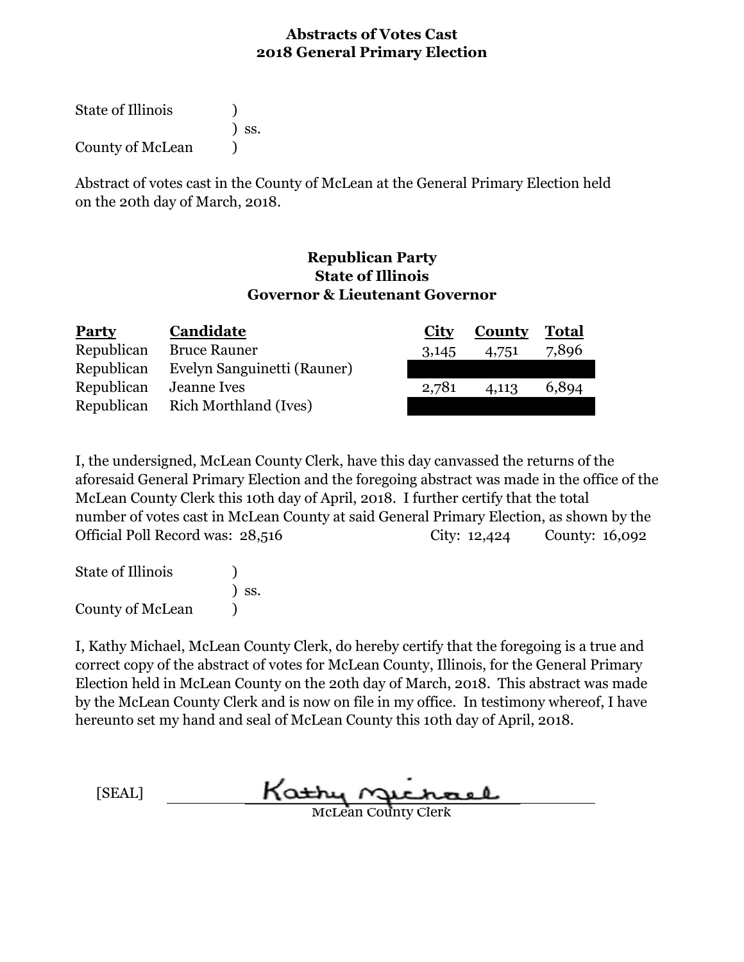State of Illinois (1) ) ss. County of McLean (1)

Abstract of votes cast in the County of McLean at the General Primary Election held on the 20th day of March, 2018.

## **Republican Party State of Illinois Governor & Lieutenant Governor**

| <b>Party</b> | Candidate                    | <b>City</b> | <b>County</b> | <b>Total</b> |
|--------------|------------------------------|-------------|---------------|--------------|
| Republican   | <b>Bruce Rauner</b>          | 3,145       | 4,751         | 7,896        |
| Republican   | Evelyn Sanguinetti (Rauner)  |             |               |              |
| Republican   | <b>Jeanne Ives</b>           | 2,781       | 4,113         | 6,894        |
| Republican   | <b>Rich Morthland (Ives)</b> |             |               |              |

I, the undersigned, McLean County Clerk, have this day canvassed the returns of the aforesaid General Primary Election and the foregoing abstract was made in the office of the McLean County Clerk this 10th day of April, 2018. I further certify that the total number of votes cast in McLean County at said General Primary Election, as shown by the Official Poll Record was: 28,516 County: 16,092 City: 12,424

| <b>State of Illinois</b> |                              |
|--------------------------|------------------------------|
|                          | $\overline{\phantom{a}}$ ss. |
| County of McLean         |                              |

I, Kathy Michael, McLean County Clerk, do hereby certify that the foregoing is a true and correct copy of the abstract of votes for McLean County, Illinois, for the General Primary Election held in McLean County on the 20th day of March, 2018. This abstract was made by the McLean County Clerk and is now on file in my office. In testimony whereof, I have hereunto set my hand and seal of McLean County this 10th day of April, 2018.

[SEAL]

McLean County Clerk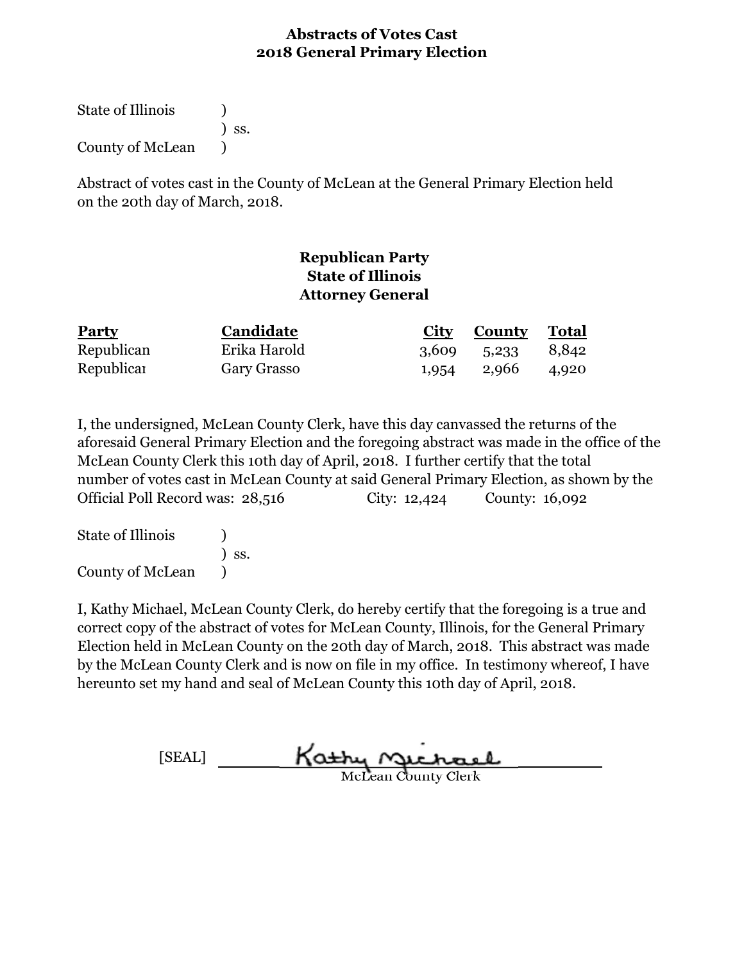State of Illinois (1) ) ss. County of McLean )

Abstract of votes cast in the County of McLean at the General Primary Election held on the 20th day of March, 2018.

# **Republican Party State of Illinois Attorney General**

| <b>Party</b> | Candidate          | <b>City County Total</b> |       |
|--------------|--------------------|--------------------------|-------|
| Republican   | Erika Harold       | 3,609 5,233 8,842        |       |
| Republicar   | <b>Gary Grasso</b> | 1,954 2,966              | 4,920 |

I, the undersigned, McLean County Clerk, have this day canvassed the returns of the aforesaid General Primary Election and the foregoing abstract was made in the office of the McLean County Clerk this 10th day of April, 2018. I further certify that the total number of votes cast in McLean County at said General Primary Election, as shown by the Official Poll Record was: 28,516 City: 12,424 County: 16,092

State of Illinois (a) ) ss. County of McLean )

[SEAL] Kathy Michael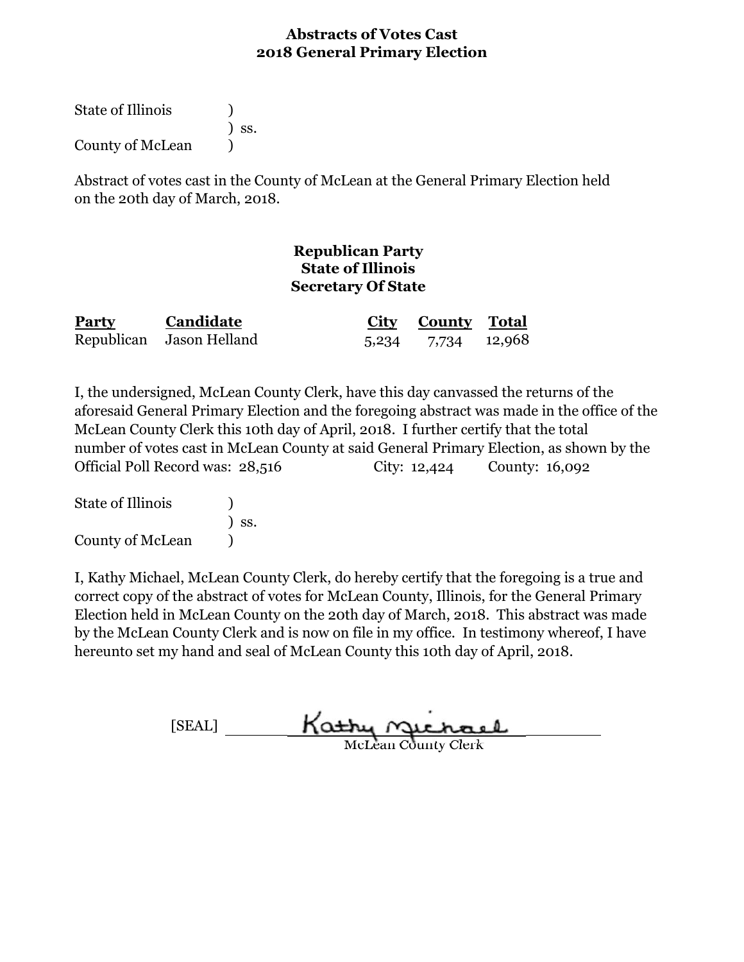State of Illinois (1) ) ss. County of McLean (1)

Abstract of votes cast in the County of McLean at the General Primary Election held on the 20th day of March, 2018.

## **Republican Party State of Illinois Secretary Of State**

| <b>Party</b> | Candidate                | <b>City County</b> Total |  |
|--------------|--------------------------|--------------------------|--|
|              | Republican Jason Helland | 5,234 7,734 12,968       |  |

I, the undersigned, McLean County Clerk, have this day canvassed the returns of the aforesaid General Primary Election and the foregoing abstract was made in the office of the McLean County Clerk this 10th day of April, 2018. I further certify that the total number of votes cast in McLean County at said General Primary Election, as shown by the Official Poll Record was: 28,516 City: 12,424 County: 16,092

State of Illinois (a) ) ss. County of McLean )

| [SEAL] | Kathy nuchael              |  |
|--------|----------------------------|--|
|        | <b>McLean County Clerk</b> |  |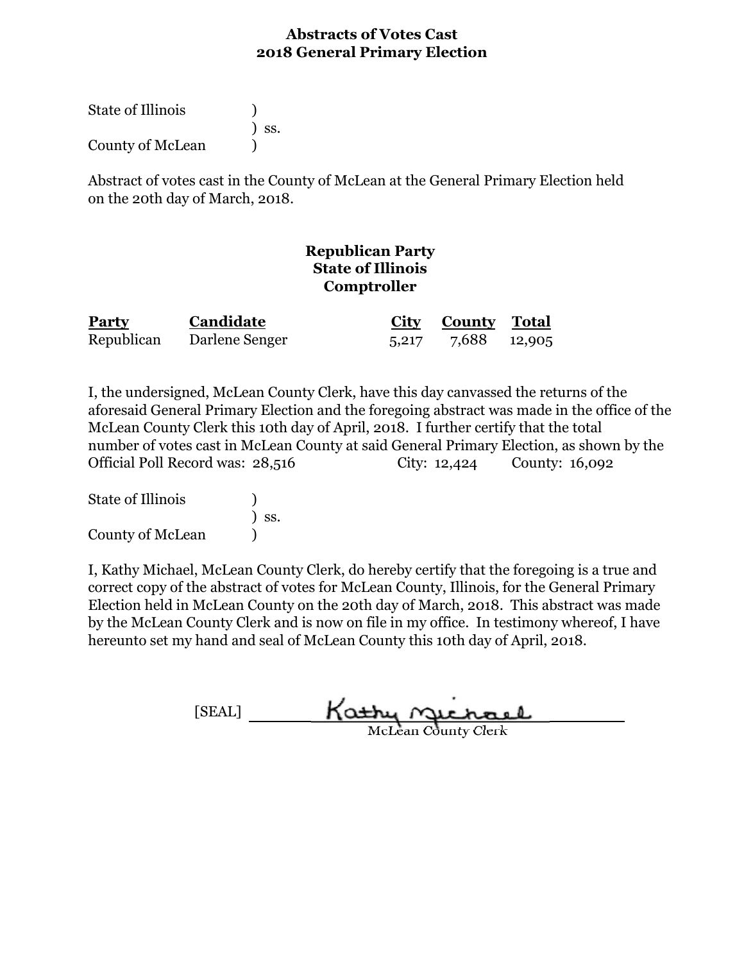| State of Illinois |                              |
|-------------------|------------------------------|
|                   | $\overline{\phantom{a}}$ SS. |
| County of McLean  |                              |

Abstract of votes cast in the County of McLean at the General Primary Election held on the 20th day of March, 2018.

## **Republican Party State of Illinois Comptroller**

| <b>Party</b> | Candidate      | <b>City County Total</b> |  |
|--------------|----------------|--------------------------|--|
| Republican   | Darlene Senger | 5,217 7,688 12,905       |  |

I, the undersigned, McLean County Clerk, have this day canvassed the returns of the aforesaid General Primary Election and the foregoing abstract was made in the office of the McLean County Clerk this 10th day of April, 2018. I further certify that the total number of votes cast in McLean County at said General Primary Election, as shown by the Official Poll Record was: 28,516 City: 12,424 County: 16,092

| <b>State of Illinois</b> |                              |
|--------------------------|------------------------------|
|                          | $\overline{\phantom{a}}$ SS. |
| County of McLean         |                              |

[SEAL] Kathy Michael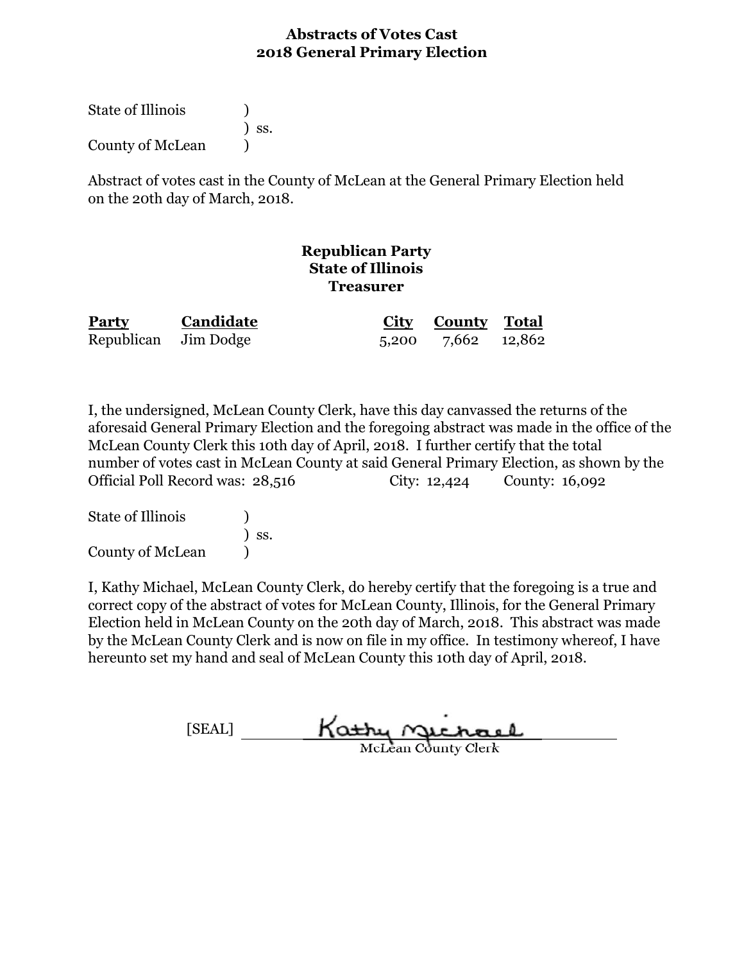| <b>State of Illinois</b> |                              |
|--------------------------|------------------------------|
|                          | $\overline{\phantom{a}}$ SS. |
| County of McLean         |                              |

Abstract of votes cast in the County of McLean at the General Primary Election held on the 20th day of March, 2018.

# **Republican Party State of Illinois Treasurer**

| Party | Candidate            | <b>City County Total</b> |  |
|-------|----------------------|--------------------------|--|
|       | Republican Jim Dodge | 5,200 7,662 12,862       |  |

I, the undersigned, McLean County Clerk, have this day canvassed the returns of the aforesaid General Primary Election and the foregoing abstract was made in the office of the McLean County Clerk this 10th day of April, 2018. I further certify that the total number of votes cast in McLean County at said General Primary Election, as shown by the Official Poll Record was: 28,516 City: 12,424 County: 16,092

| State of Illinois       | $\overline{\phantom{a}}$ SS. |
|-------------------------|------------------------------|
| <b>County of McLean</b> |                              |

[SEAL] Kathy Michael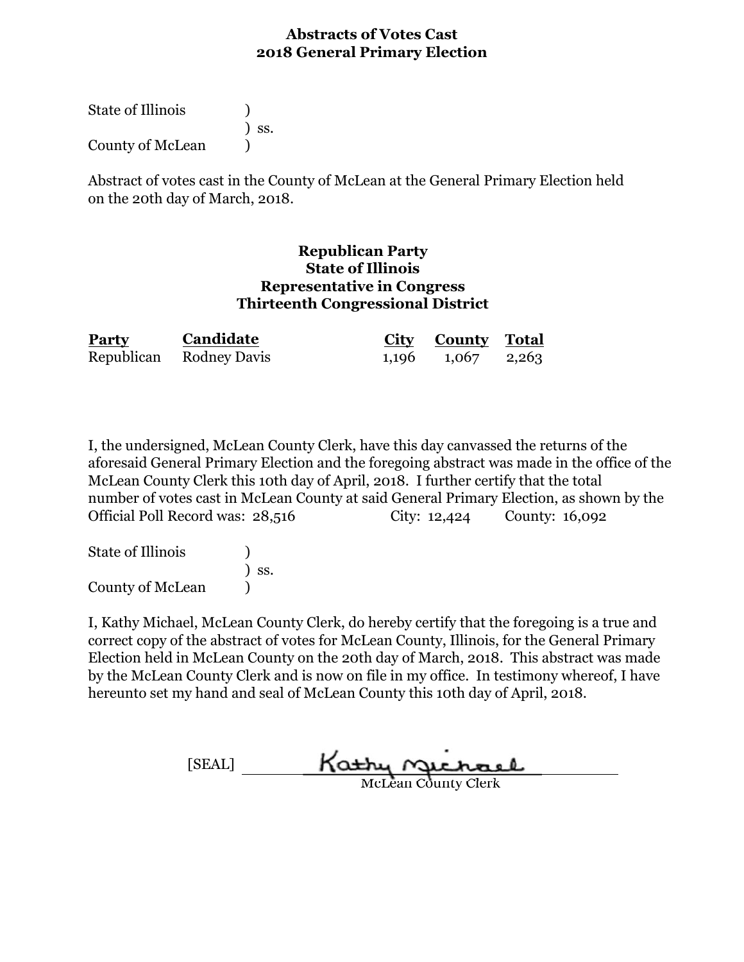| <b>State of Illinois</b> |                              |
|--------------------------|------------------------------|
|                          | $\overline{\phantom{a}}$ SS. |
| County of McLean         |                              |

Abstract of votes cast in the County of McLean at the General Primary Election held on the 20th day of March, 2018.

#### **Republican Party State of Illinois Representative in Congress Thirteenth Congressional District**

| Party | Candidate               | <b>City County Total</b> |  |
|-------|-------------------------|--------------------------|--|
|       | Republican Rodney Davis | $1,196$ $1,067$ $2,263$  |  |

I, the undersigned, McLean County Clerk, have this day canvassed the returns of the aforesaid General Primary Election and the foregoing abstract was made in the office of the McLean County Clerk this 10th day of April, 2018. I further certify that the total number of votes cast in McLean County at said General Primary Election, as shown by the Official Poll Record was: 28,516 City: 12,424 County: 16,092

| State of Illinois |                              |
|-------------------|------------------------------|
|                   | $\overline{\phantom{a}}$ SS. |
| County of McLean  |                              |

[SEAL] Kathy Michael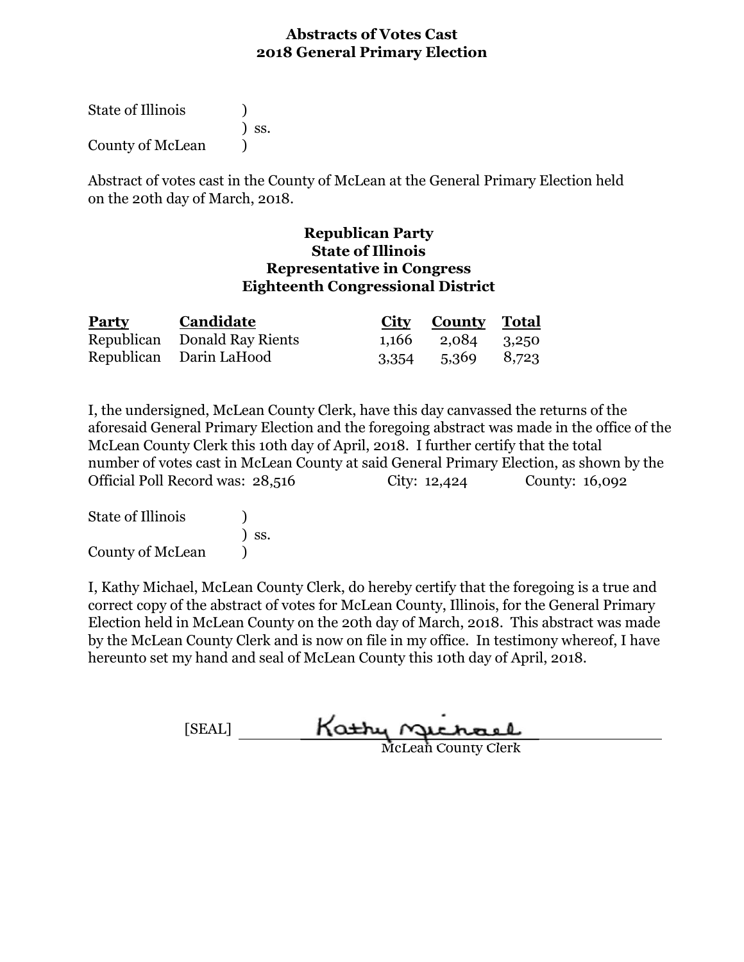| <b>State of Illinois</b> |                              |
|--------------------------|------------------------------|
|                          | $\overline{\phantom{a}}$ SS. |
| County of McLean         |                              |

Abstract of votes cast in the County of McLean at the General Primary Election held on the 20th day of March, 2018.

## **Republican Party State of Illinois Representative in Congress Eighteenth Congressional District**

| <b>Party</b> | Candidate                    | <b>City County Total</b> |  |
|--------------|------------------------------|--------------------------|--|
|              | Republican Donald Ray Rients | 1,166 2,084 3,250        |  |
|              | Republican Darin LaHood      | 3,354 5,369 8,723        |  |

I, the undersigned, McLean County Clerk, have this day canvassed the returns of the aforesaid General Primary Election and the foregoing abstract was made in the office of the McLean County Clerk this 10th day of April, 2018. I further certify that the total number of votes cast in McLean County at said General Primary Election, as shown by the Official Poll Record was: 28,516 City: 12,424 County: 16,092

| State of Illinois |                              |
|-------------------|------------------------------|
|                   | $\overline{\phantom{a}}$ SS. |
| County of McLean  |                              |

| <b>SEALT</b> |  | Kathy nuchael              |
|--------------|--|----------------------------|
|              |  | <b>McLean County Clerk</b> |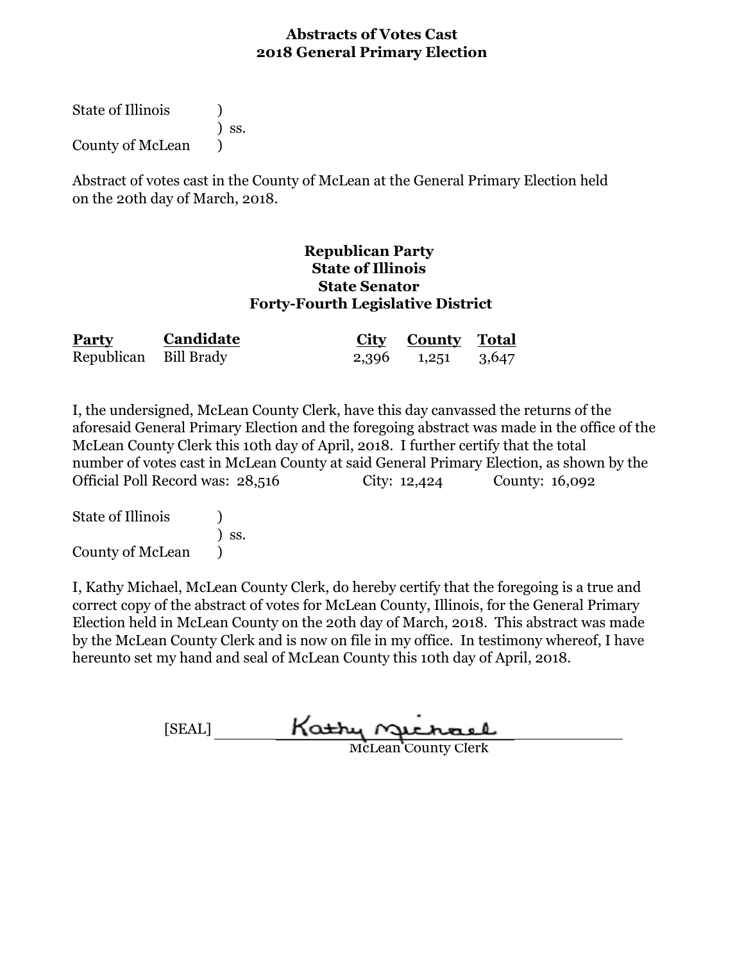State of Illinois (1) ) ss. County of McLean (1)

Abstract of votes cast in the County of McLean at the General Primary Election held on the 20th day of March, 2018.

#### **Republican Party State of Illinois State Senator Forty-Fourth Legislative District**

| <b>Party</b>          | Candidate | City County Total |  |
|-----------------------|-----------|-------------------|--|
| Republican Bill Brady |           | 2,396 1,251 3,647 |  |

I, the undersigned, McLean County Clerk, have this day canvassed the returns of the aforesaid General Primary Election and the foregoing abstract was made in the office of the McLean County Clerk this 10th day of April, 2018. I further certify that the total number of votes cast in McLean County at said General Primary Election, as shown by the Official Poll Record was: 28,516 City: 12,424 County: 16,092

State of Illinois (1) ) ss. County of McLean )

[SEAL]  $rac{\text{Kat}_M r}{\text{Mcl}_k}$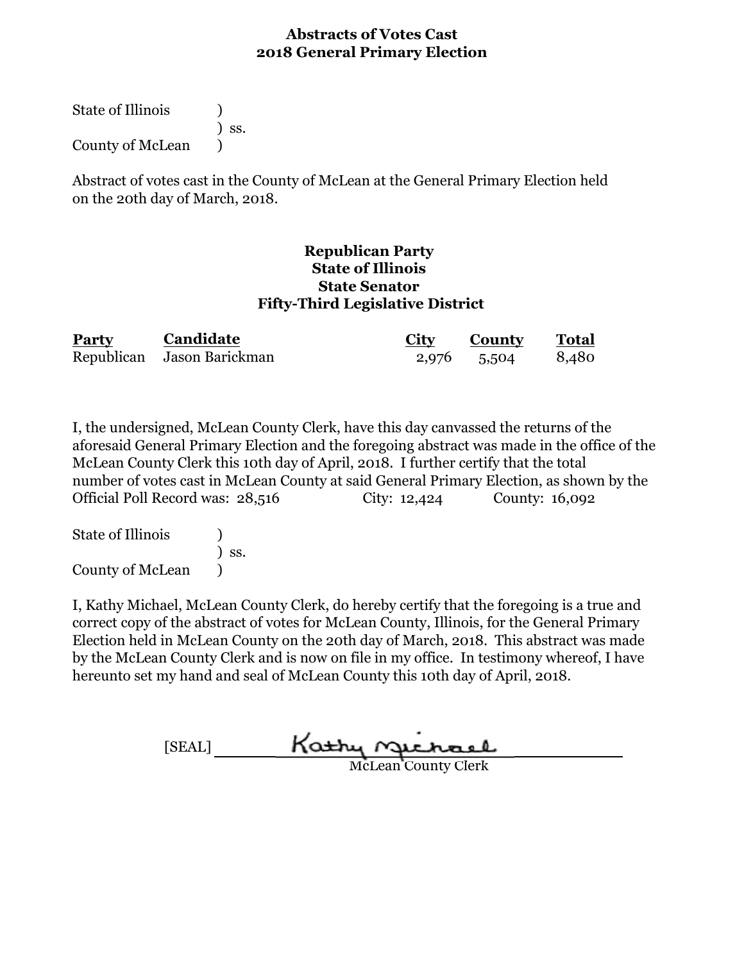State of Illinois (1) ) ss. County of McLean (1)

Abstract of votes cast in the County of McLean at the General Primary Election held on the 20th day of March, 2018.

#### **Republican Party State of Illinois State Senator Fifty-Third Legislative District**

| Party | Candidate                  | City | <b>County</b> | <b>Total</b> |
|-------|----------------------------|------|---------------|--------------|
|       | Republican Jason Barickman |      | 2,976 5,504   | 8,480        |

I, the undersigned, McLean County Clerk, have this day canvassed the returns of the aforesaid General Primary Election and the foregoing abstract was made in the office of the McLean County Clerk this 10th day of April, 2018. I further certify that the total number of votes cast in McLean County at said General Primary Election, as shown by the Official Poll Record was: 28,516 City: 12,424 County: 16,092

State of Illinois (1) ) ss. County of McLean )

I, Kathy Michael, McLean County Clerk, do hereby certify that the foregoing is a true and correct copy of the abstract of votes for McLean County, Illinois, for the General Primary Election held in McLean County on the 20th day of March, 2018. This abstract was made by the McLean County Clerk and is now on file in my office. In testimony whereof, I have hereunto set my hand and seal of McLean County this 10th day of April, 2018.

[SEAL]

McLean County Clerk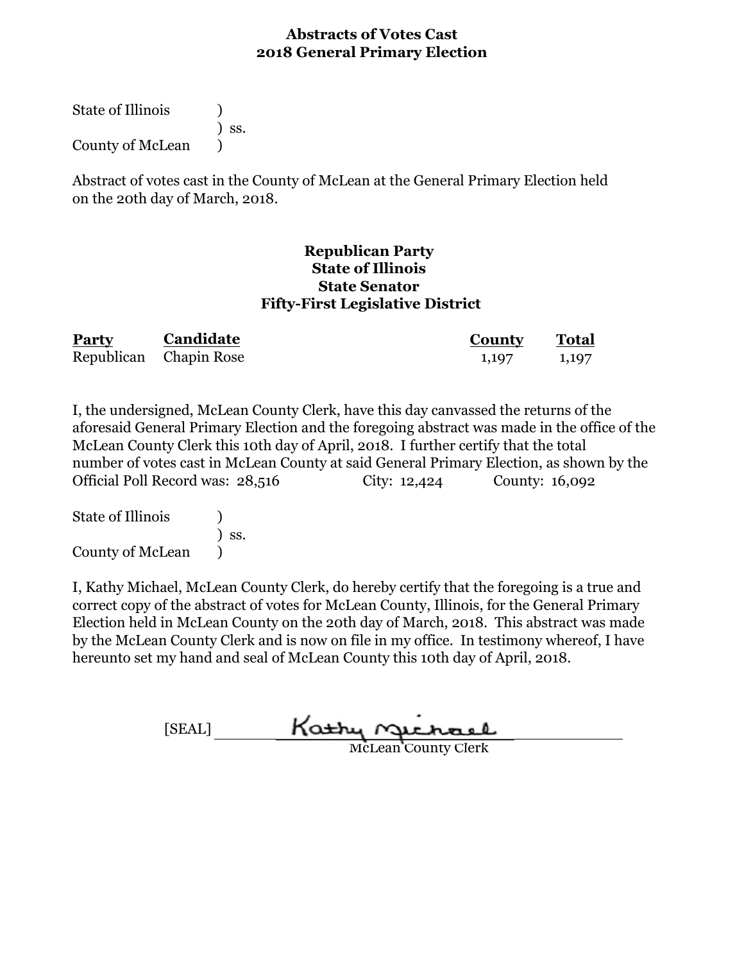State of Illinois (1) ) ss. County of McLean (1)

Abstract of votes cast in the County of McLean at the General Primary Election held on the 20th day of March, 2018.

#### **State Senator Republican Party State of Illinois Fifty-First Legislative District**

| <b>Party</b> | Candidate              | County | <b>Total</b> |  |
|--------------|------------------------|--------|--------------|--|
|              | Republican Chapin Rose | 1,197  | 1,197        |  |

I, the undersigned, McLean County Clerk, have this day canvassed the returns of the aforesaid General Primary Election and the foregoing abstract was made in the office of the McLean County Clerk this 10th day of April, 2018. I further certify that the total number of votes cast in McLean County at said General Primary Election, as shown by the Official Poll Record was: 28,516 City: 12,424 County: 16,092

State of Illinois (1) ) ss. County of McLean )

[SEAL]  $rac{\text{Kat}_M r}{\text{Mcl}_k}$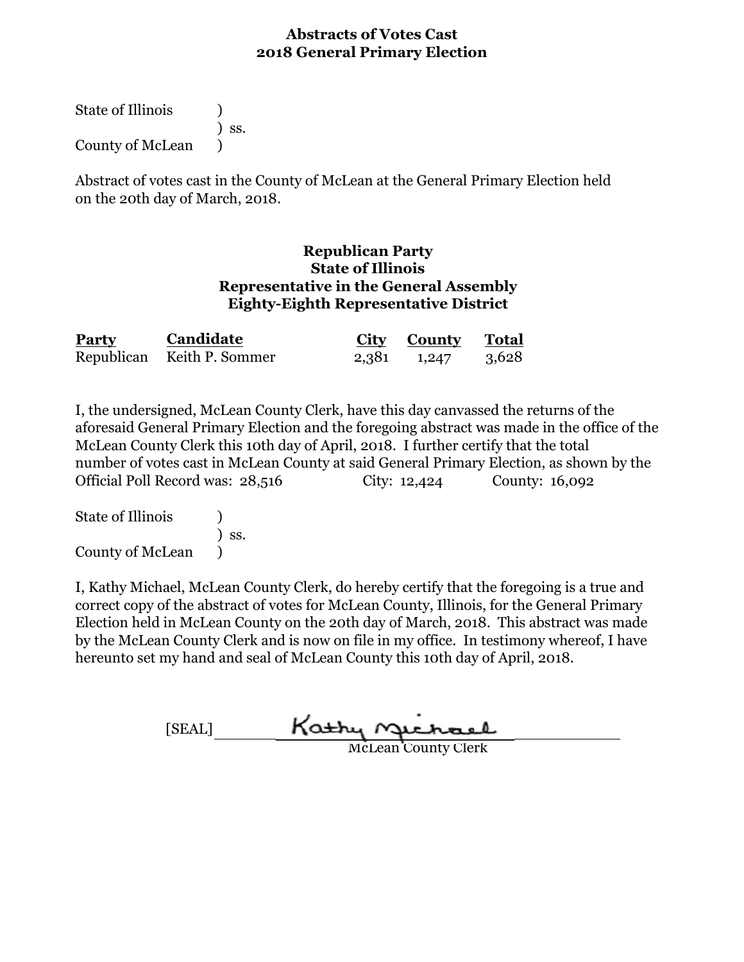State of Illinois (1) ) ss. County of McLean  $\qquad$ 

Abstract of votes cast in the County of McLean at the General Primary Election held on the 20th day of March, 2018.

## **Eighty-Eighth Representative District Republican Party State of Illinois Representative in the General Assembly**

| <b>Party</b> | Candidate                  | City County Total |  |
|--------------|----------------------------|-------------------|--|
|              | Republican Keith P. Sommer | 2,381 1,247 3,628 |  |

I, the undersigned, McLean County Clerk, have this day canvassed the returns of the aforesaid General Primary Election and the foregoing abstract was made in the office of the McLean County Clerk this 10th day of April, 2018. I further certify that the total number of votes cast in McLean County at said General Primary Election, as shown by the Official Poll Record was: 28,516 City: 12,424 County: 16,092

State of Illinois (a) ) ss. County of McLean )

[SEAL] Kathy Michael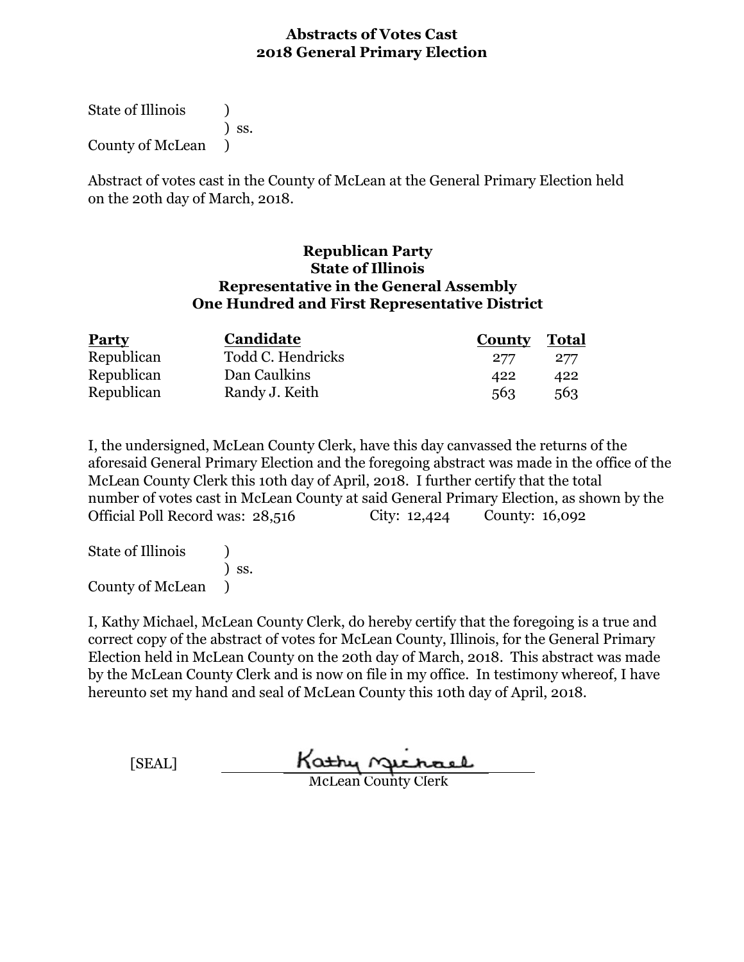State of Illinois ) ) ss. County of McLean )

Abstract of votes cast in the County of McLean at the General Primary Election held on the 20th day of March, 2018.

#### **Republican Party One Hundred and First Representative District Representative in the General Assembly State of Illinois**

| <b>Party</b> | Candidate         | <b>County</b> | Total |
|--------------|-------------------|---------------|-------|
| Republican   | Todd C. Hendricks | 277           | 277   |
| Republican   | Dan Caulkins      | 422           | 422   |
| Republican   | Randy J. Keith    | 563           | 563   |

I, the undersigned, McLean County Clerk, have this day canvassed the returns of the aforesaid General Primary Election and the foregoing abstract was made in the office of the McLean County Clerk this 10th day of April, 2018. I further certify that the total number of votes cast in McLean County at said General Primary Election, as shown by the Official Poll Record was: 28,516 City: 12,424 County: 16,092

State of Illinois (1) ) ss. County of McLean )

[SEAL] Kathy nichael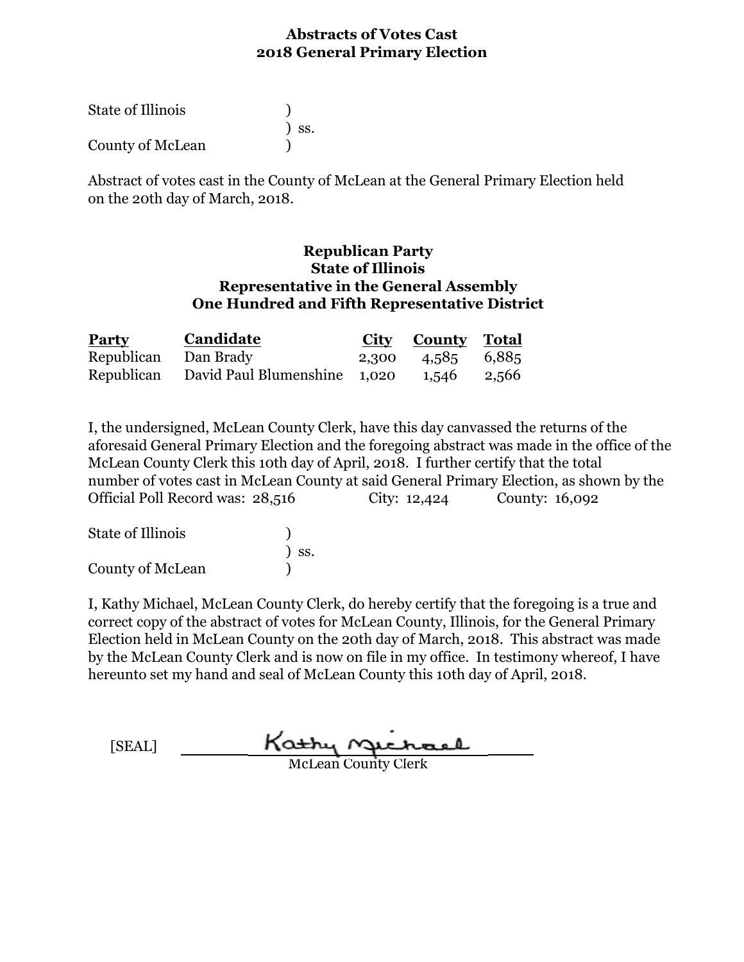| <b>State of Illinois</b> |                              |
|--------------------------|------------------------------|
|                          | $\overline{\phantom{a}}$ SS. |
| County of McLean         |                              |

Abstract of votes cast in the County of McLean at the General Primary Election held on the 20th day of March, 2018.

#### **Republican Party One Hundred and Fifth Representative District Representative in the General Assembly State of Illinois**

| <b>Party</b>         | Candidate                                           | City County Total |  |
|----------------------|-----------------------------------------------------|-------------------|--|
| Republican Dan Brady |                                                     | 2,300 4,585 6,885 |  |
|                      | Republican David Paul Blumenshine 1,020 1,546 2,566 |                   |  |

I, the undersigned, McLean County Clerk, have this day canvassed the returns of the aforesaid General Primary Election and the foregoing abstract was made in the office of the McLean County Clerk this 10th day of April, 2018. I further certify that the total number of votes cast in McLean County at said General Primary Election, as shown by the Official Poll Record was: 28,516 City: 12,424 County: 16,092

| State of Illinois |                              |
|-------------------|------------------------------|
|                   | $\overline{\phantom{a}}$ SS. |
| County of McLean  |                              |

[SEAL] Kathy nechael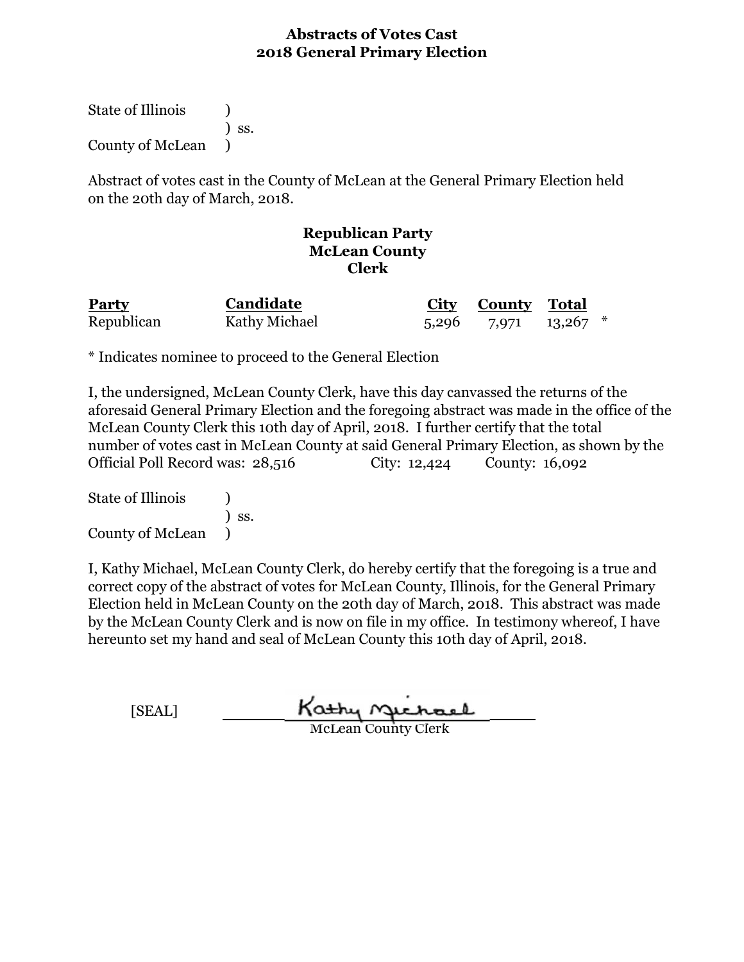State of Illinois (1) ) ss. County of McLean )

Abstract of votes cast in the County of McLean at the General Primary Election held on the 20th day of March, 2018.

## **Republican Party McLean County Clerk**

| <b>Party</b> | Candidate     | <b>City County</b> Total   |  |
|--------------|---------------|----------------------------|--|
| Republican   | Kathy Michael | $5,296$ $7,971$ $13,267$ * |  |

\* Indicates nominee to proceed to the General Election

I, the undersigned, McLean County Clerk, have this day canvassed the returns of the aforesaid General Primary Election and the foregoing abstract was made in the office of the McLean County Clerk this 10th day of April, 2018. I further certify that the total number of votes cast in McLean County at said General Primary Election, as shown by the Official Poll Record was: 28,516 City: 12,424 County: 16,092

State of Illinois (1) ) ss. County of McLean )

| [SEAL] | Kathy Gichael              |
|--------|----------------------------|
|        | <b>McLean County Clerk</b> |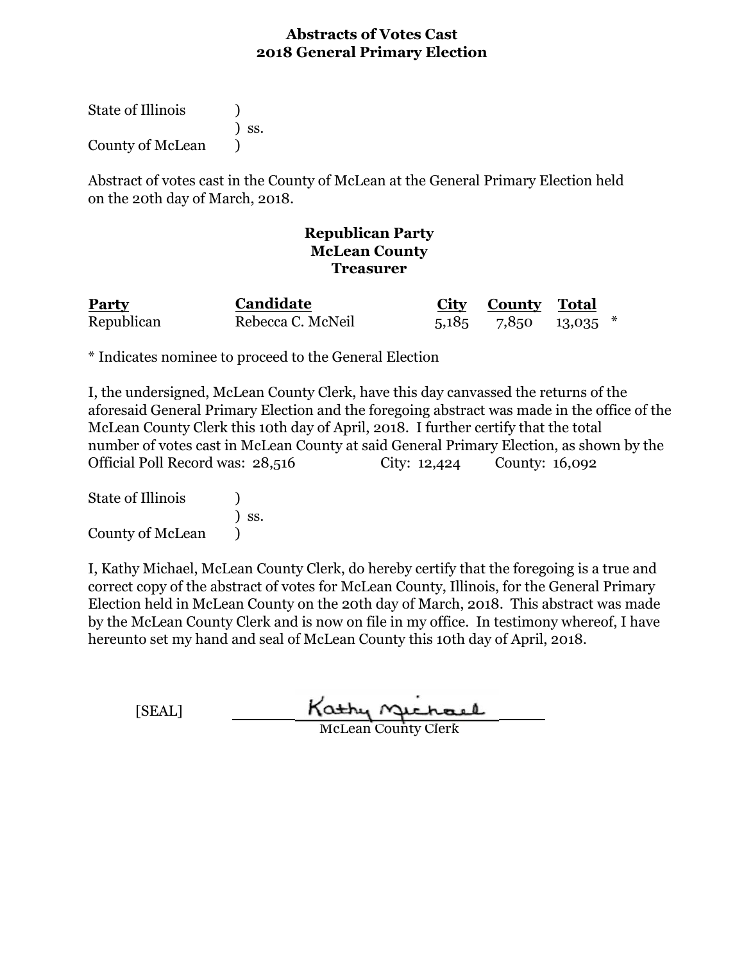State of Illinois (1) ) ss. County of McLean (1)

Abstract of votes cast in the County of McLean at the General Primary Election held on the 20th day of March, 2018.

## **Republican Party McLean County Treasurer**

| <b>Party</b> | Candidate         | City County Total            |  |
|--------------|-------------------|------------------------------|--|
| Republican   | Rebecca C. McNeil | $5,185$ $7,850$ $13,035$ $*$ |  |

\* Indicates nominee to proceed to the General Election

I, the undersigned, McLean County Clerk, have this day canvassed the returns of the aforesaid General Primary Election and the foregoing abstract was made in the office of the McLean County Clerk this 10th day of April, 2018. I further certify that the total number of votes cast in McLean County at said General Primary Election, as shown by the Official Poll Record was: 28,516 City: 12,424 County: 16,092

State of Illinois (1) ) ss. County of McLean (1)

| [SEAL] | Kathy Michael              |
|--------|----------------------------|
|        | <b>McLean County Clerk</b> |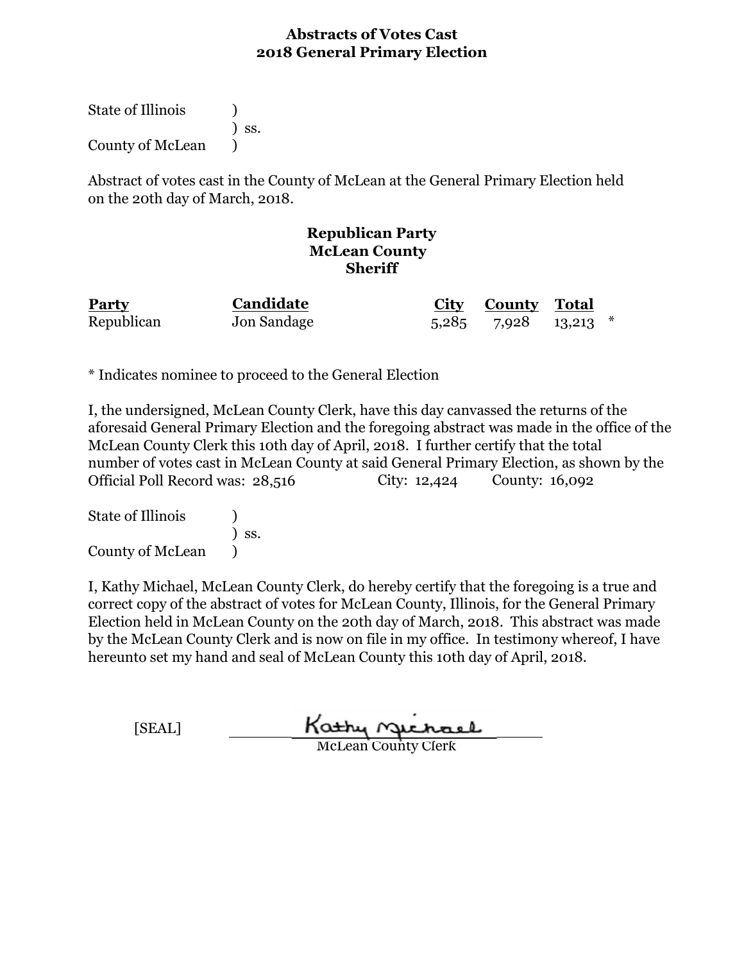State of Illinois (1) ) ss. County of McLean (1)

Abstract of votes cast in the County of McLean at the General Primary Election held on the 20th day of March, 2018.

## **Republican Party McLean County Sheriff**

| <b>Party</b> | Candidate   | City County Total            |  |
|--------------|-------------|------------------------------|--|
| Republican   | Jon Sandage | $5,285$ $7,928$ $13,213$ $*$ |  |

\* Indicates nominee to proceed to the General Election

I, the undersigned, McLean County Clerk, have this day canvassed the returns of the aforesaid General Primary Election and the foregoing abstract was made in the office of the McLean County Clerk this 10th day of April, 2018. I further certify that the total number of votes cast in McLean County at said General Primary Election, as shown by the Official Poll Record was: 28,516 City: 12,424 County: 16,092

State of Illinois (a) ) ss. County of McLean )

| <b>SEAL</b> | Kathy Michael              |
|-------------|----------------------------|
|             | <b>McLean County Clerk</b> |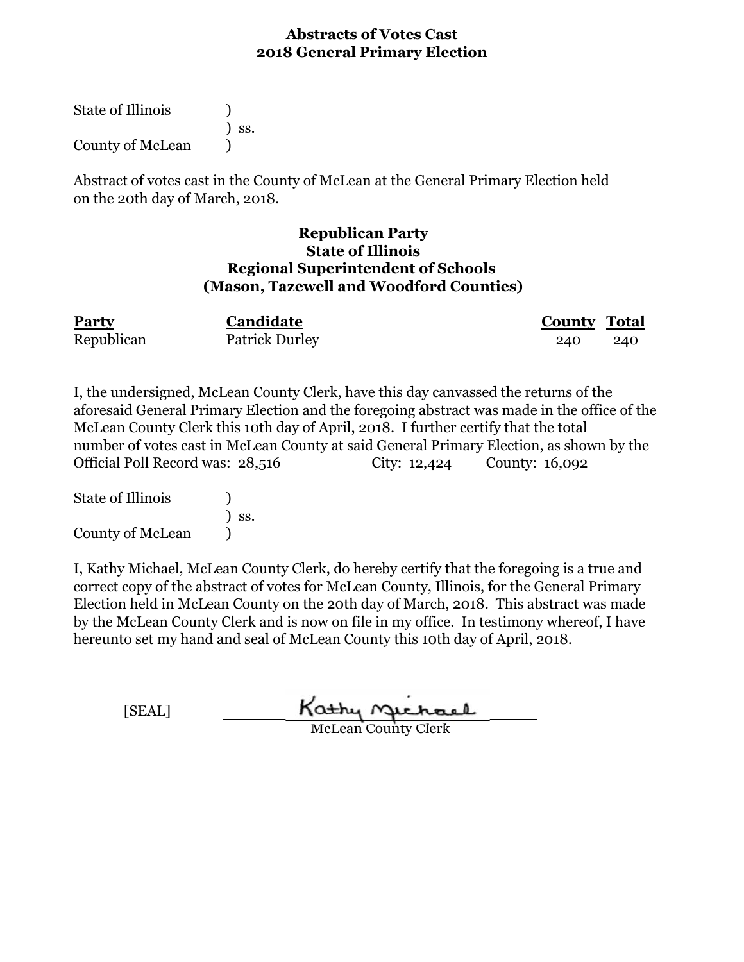State of Illinois ) ) ss. County of McLean )

Abstract of votes cast in the County of McLean at the General Primary Election held on the 20th day of March, 2018.

## **Republican Party State of Illinois Regional Superintendent of Schools (Mason, Tazewell and Woodford Counties)**

| <b>Party</b> | Candidate             | <b>County Total</b> |     |
|--------------|-----------------------|---------------------|-----|
| Republican   | <b>Patrick Durley</b> | 240                 | 240 |

I, the undersigned, McLean County Clerk, have this day canvassed the returns of the aforesaid General Primary Election and the foregoing abstract was made in the office of the McLean County Clerk this 10th day of April, 2018. I further certify that the total number of votes cast in McLean County at said General Primary Election, as shown by the Official Poll Record was: 28,516 City: 12,424 County: 16,092

State of Illinois (1) ) ss. County of McLean )

| [SEAL] | Kathy Michael              |  |
|--------|----------------------------|--|
|        | <b>McLean County Clerk</b> |  |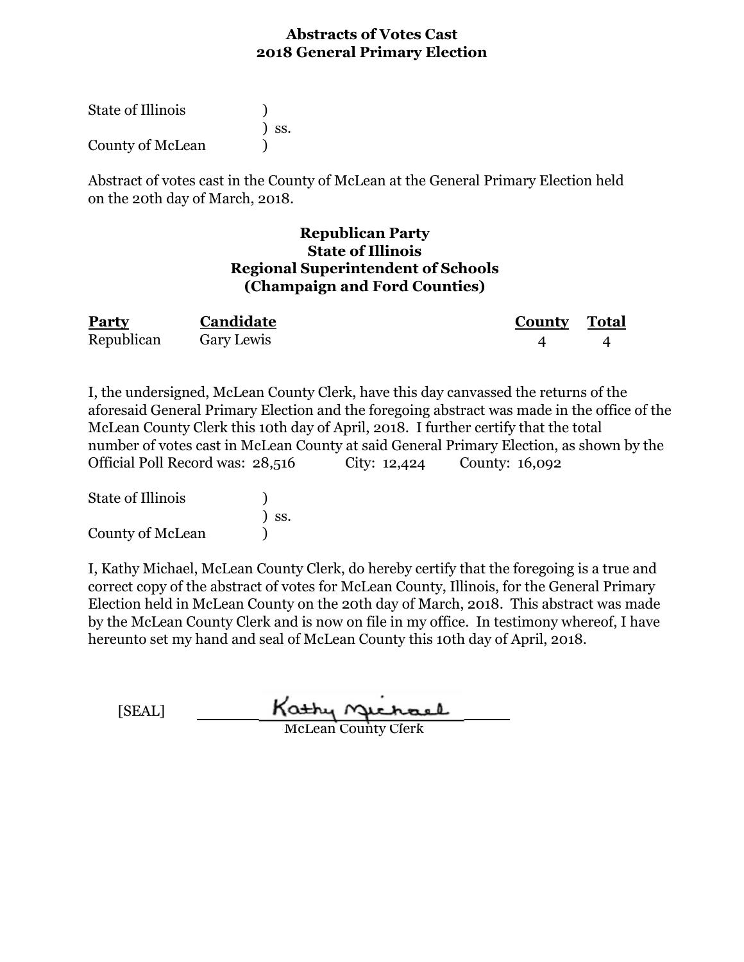| State of Illinois |                              |
|-------------------|------------------------------|
|                   | $\overline{\phantom{a}}$ ss. |
| County of McLean  |                              |

Abstract of votes cast in the County of McLean at the General Primary Election held on the 20th day of March, 2018.

## **Republican Party State of Illinois Regional Superintendent of Schools (Champaign and Ford Counties)**

| Party      | Candidate  | County | Total |
|------------|------------|--------|-------|
| Republican | Gary Lewis |        |       |

I, the undersigned, McLean County Clerk, have this day canvassed the returns of the aforesaid General Primary Election and the foregoing abstract was made in the office of the McLean County Clerk this 10th day of April, 2018. I further certify that the total number of votes cast in McLean County at said General Primary Election, as shown by the Official Poll Record was: 28,516 City: 12,424 County: 16,092

| State of Illinois |                              |
|-------------------|------------------------------|
|                   | $\overline{\phantom{a}}$ SS. |
| County of McLean  |                              |

| [SEAL] | Kathy Michael              |
|--------|----------------------------|
|        | <b>McLean County Clerk</b> |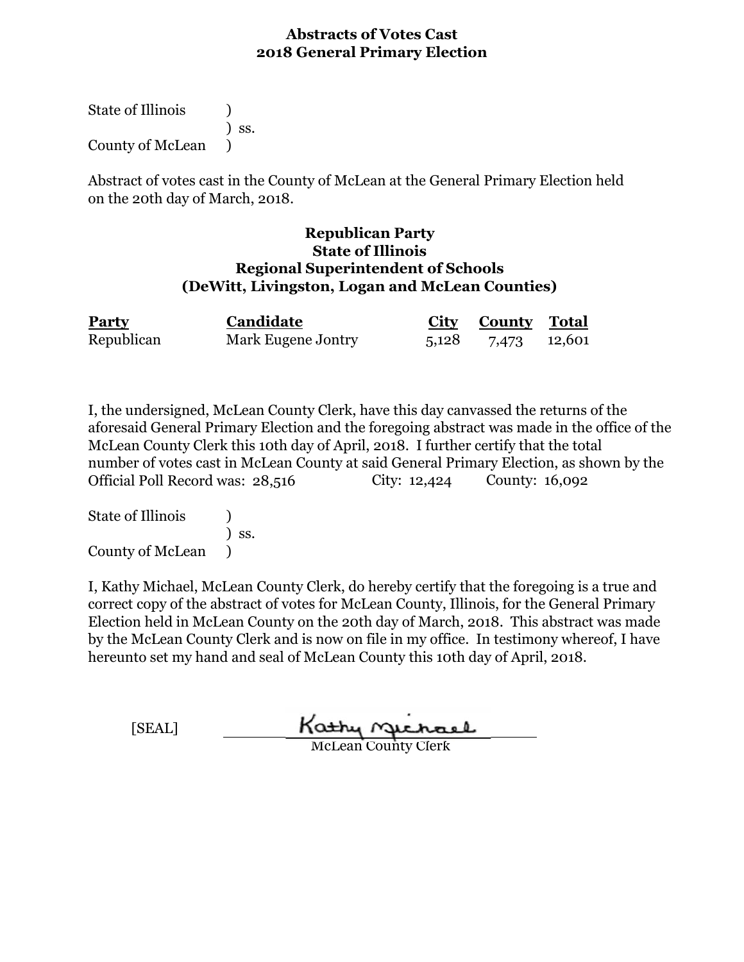State of Illinois (1) ) ss. County of McLean )

Abstract of votes cast in the County of McLean at the General Primary Election held on the 20th day of March, 2018.

#### **Republican Party State of Illinois Regional Superintendent of Schools (DeWitt, Livingston, Logan and McLean Counties)**

| Party      | Candidate          | <b>City County Total</b> |  |
|------------|--------------------|--------------------------|--|
| Republican | Mark Eugene Jontry | 5,128 7,473 12,601       |  |

I, the undersigned, McLean County Clerk, have this day canvassed the returns of the aforesaid General Primary Election and the foregoing abstract was made in the office of the McLean County Clerk this 10th day of April, 2018. I further certify that the total number of votes cast in McLean County at said General Primary Election, as shown by the Official Poll Record was: 28,516 City: 12,424 County: 16,092

State of Illinois (a) ) ss. County of McLean )

| [SEAL] | Kathy Michael              |  |
|--------|----------------------------|--|
|        | <b>McLean County Clerk</b> |  |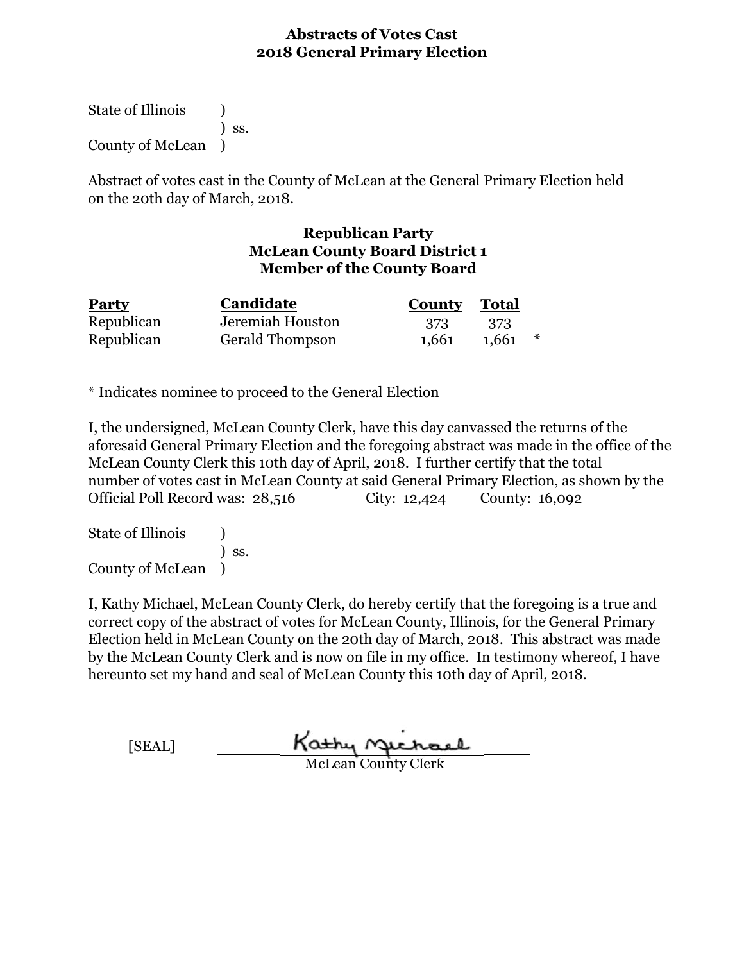State of Illinois (1) ) ss. County of McLean )

Abstract of votes cast in the County of McLean at the General Primary Election held on the 20th day of March, 2018.

## **Republican Party McLean County Board District 1 Member of the County Board**

| <b>Party</b> | Candidate        | <b>County Total</b> |       |  |
|--------------|------------------|---------------------|-------|--|
| Republican   | Jeremiah Houston | - 373               | - 373 |  |
| Republican   | Gerald Thompson  | 1,661               | 1.661 |  |

\* Indicates nominee to proceed to the General Election

I, the undersigned, McLean County Clerk, have this day canvassed the returns of the aforesaid General Primary Election and the foregoing abstract was made in the office of the McLean County Clerk this 10th day of April, 2018. I further certify that the total number of votes cast in McLean County at said General Primary Election, as shown by the Official Poll Record was: 28,516 City: 12,424 County: 16,092

State of Illinois (1) ) ss. County of McLean )

I, Kathy Michael, McLean County Clerk, do hereby certify that the foregoing is a true and correct copy of the abstract of votes for McLean County, Illinois, for the General Primary Election held in McLean County on the 20th day of March, 2018. This abstract was made by the McLean County Clerk and is now on file in my office. In testimony whereof, I have hereunto set my hand and seal of McLean County this 10th day of April, 2018.

[SEAL] Kathy nechael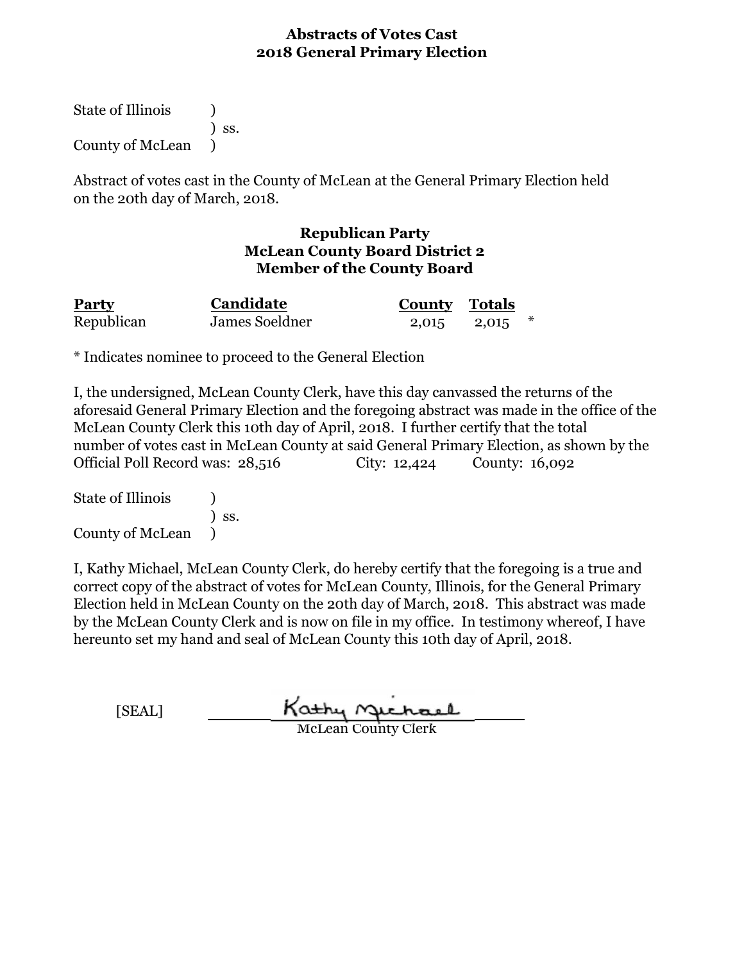State of Illinois (1) ) ss. County of McLean )

Abstract of votes cast in the County of McLean at the General Primary Election held on the 20th day of March, 2018.

## **Republican Party McLean County Board District 2 Member of the County Board**

| <b>Party</b> | Candidate      | <b>County Totals</b> |  |
|--------------|----------------|----------------------|--|
| Republican   | James Soeldner | 2,015 2,015          |  |

\* Indicates nominee to proceed to the General Election

I, the undersigned, McLean County Clerk, have this day canvassed the returns of the aforesaid General Primary Election and the foregoing abstract was made in the office of the McLean County Clerk this 10th day of April, 2018. I further certify that the total number of votes cast in McLean County at said General Primary Election, as shown by the Official Poll Record was: 28,516 City: 12,424 County: 16,092

State of Illinois (1) ) ss. County of McLean )

| [SEAL] | Kathy Michael              |
|--------|----------------------------|
|        | <b>McLean County Clerk</b> |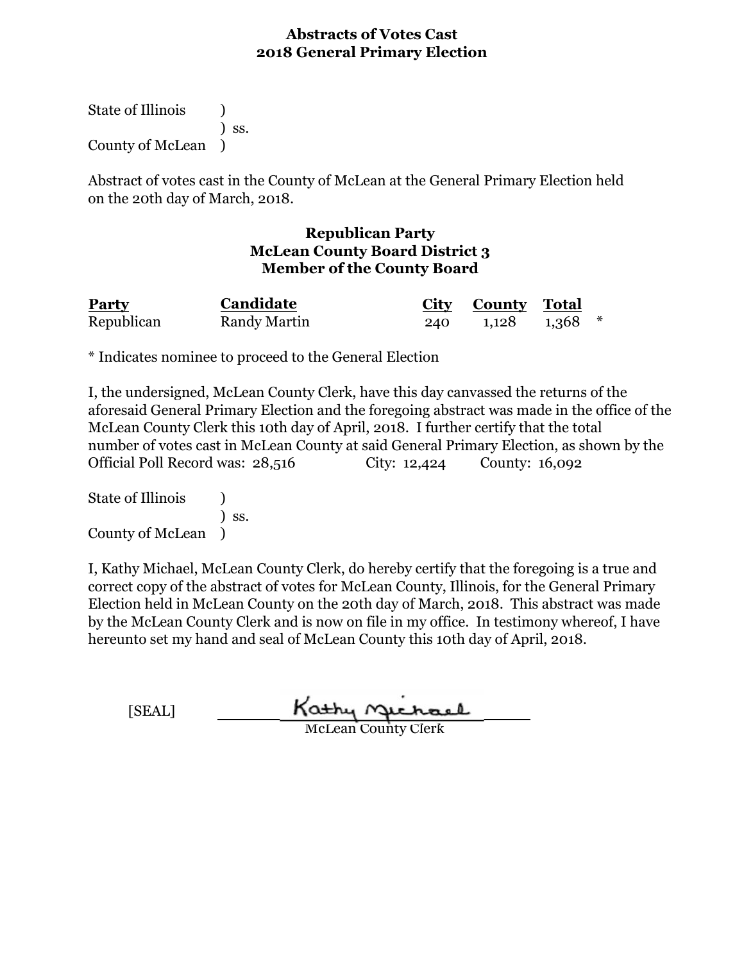State of Illinois (1) ) ss. County of McLean )

Abstract of votes cast in the County of McLean at the General Primary Election held on the 20th day of March, 2018.

## **Republican Party McLean County Board District 3 Member of the County Board**

| <b>Party</b> | Candidate    |     | City County Total   |  |
|--------------|--------------|-----|---------------------|--|
| Republican   | Randy Martin | 240 | $1,128$ $1,368$ $*$ |  |

\* Indicates nominee to proceed to the General Election

I, the undersigned, McLean County Clerk, have this day canvassed the returns of the aforesaid General Primary Election and the foregoing abstract was made in the office of the McLean County Clerk this 10th day of April, 2018. I further certify that the total number of votes cast in McLean County at said General Primary Election, as shown by the Official Poll Record was: 28,516 City: 12,424 County: 16,092

State of Illinois (1) ) ss. County of McLean )

| [SEAL] | Kathy Gichael              |
|--------|----------------------------|
|        | <b>McLean County Clerk</b> |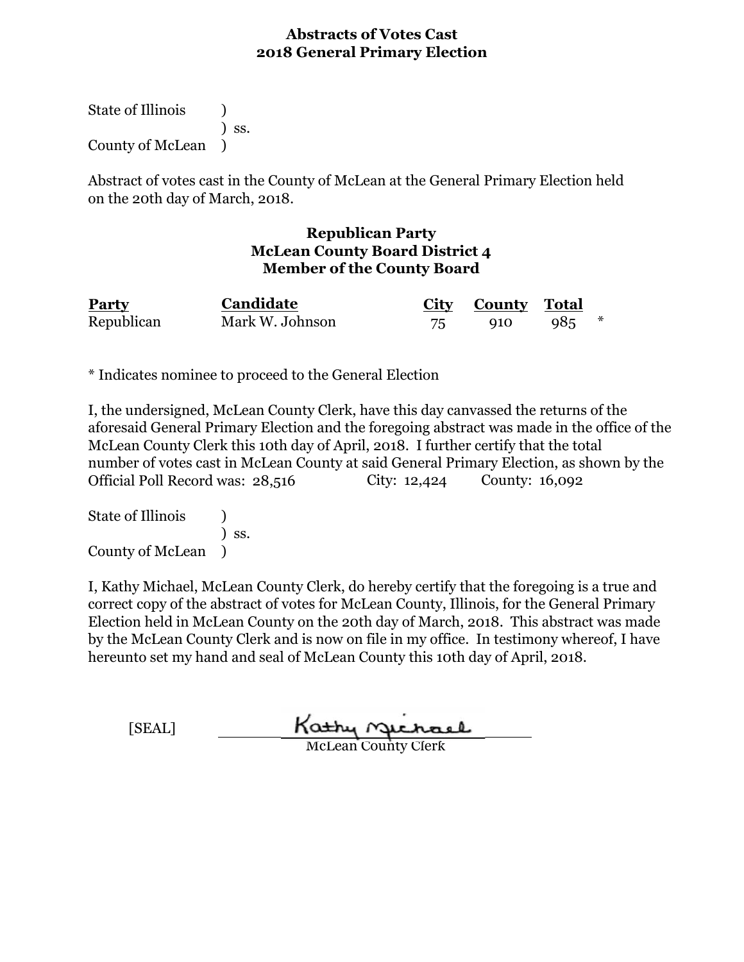State of Illinois (1) ) ss. County of McLean )

Abstract of votes cast in the County of McLean at the General Primary Election held on the 20th day of March, 2018.

#### **Republican Party McLean County Board District 4 Member of the County Board**

| Party      | Candidate       |    | City County Total |     |  |
|------------|-----------------|----|-------------------|-----|--|
| Republican | Mark W. Johnson | 75 | 910               | 985 |  |

\* Indicates nominee to proceed to the General Election

I, the undersigned, McLean County Clerk, have this day canvassed the returns of the aforesaid General Primary Election and the foregoing abstract was made in the office of the McLean County Clerk this 10th day of April, 2018. I further certify that the total number of votes cast in McLean County at said General Primary Election, as shown by the Official Poll Record was: 28,516 City: 12,424 County: 16,092

State of Illinois (a) ) ss. County of McLean )

I, Kathy Michael, McLean County Clerk, do hereby certify that the foregoing is a true and correct copy of the abstract of votes for McLean County, Illinois, for the General Primary Election held in McLean County on the 20th day of March, 2018. This abstract was made by the McLean County Clerk and is now on file in my office. In testimony whereof, I have hereunto set my hand and seal of McLean County this 10th day of April, 2018.

| <b>SEAL1</b> | Kathy Gichael       |
|--------------|---------------------|
|              | MeLeon County Clerk |

McLean County Clerk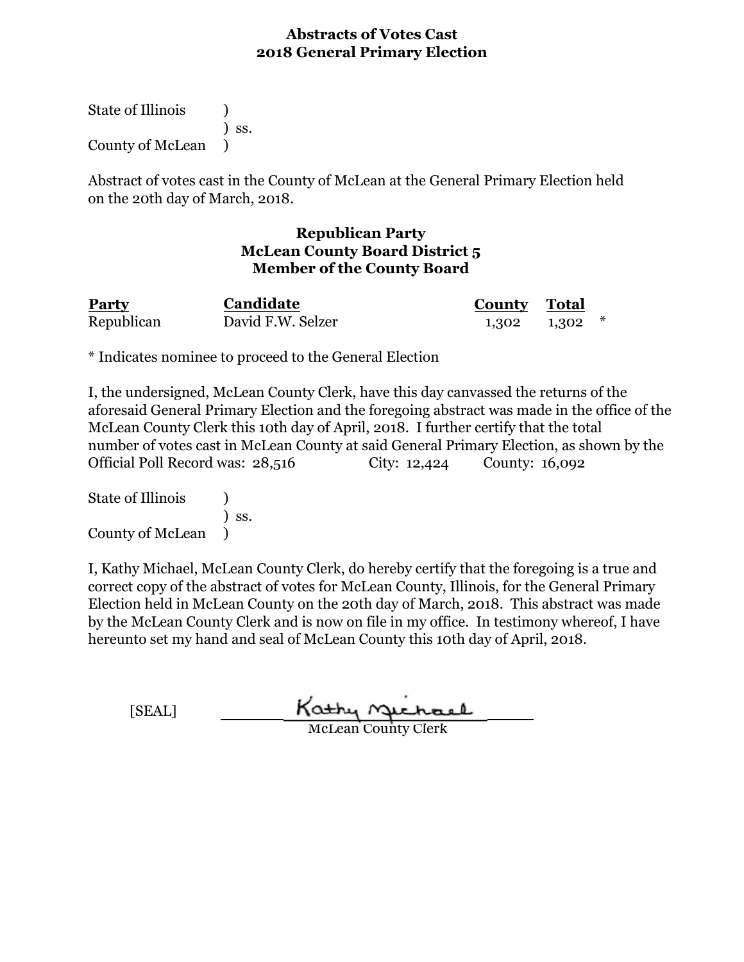State of Illinois (1) ) ss. County of McLean )

Abstract of votes cast in the County of McLean at the General Primary Election held on the 20th day of March, 2018.

## **Republican Party McLean County Board District 5 Member of the County Board**

| Party      | Candidate         | <b>County Total</b> |  |
|------------|-------------------|---------------------|--|
| Republican | David F.W. Selzer | $1,302$ $1,302$ $*$ |  |

\* Indicates nominee to proceed to the General Election

I, the undersigned, McLean County Clerk, have this day canvassed the returns of the aforesaid General Primary Election and the foregoing abstract was made in the office of the McLean County Clerk this 10th day of April, 2018. I further certify that the total number of votes cast in McLean County at said General Primary Election, as shown by the Official Poll Record was: 28,516 City: 12,424 County: 16,092

State of Illinois (1) ) ss. County of McLean )

| [SEAL] | Kathy Michael              |
|--------|----------------------------|
|        | <b>McLean County Clerk</b> |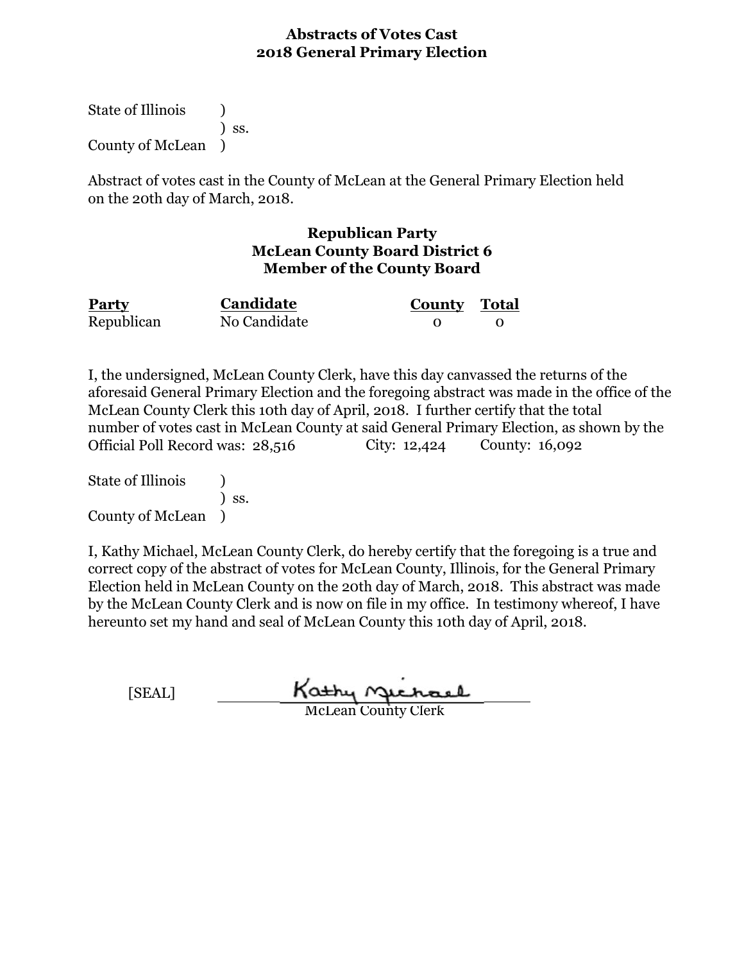State of Illinois (1) ) ss. County of McLean )

Abstract of votes cast in the County of McLean at the General Primary Election held on the 20th day of March, 2018.

## **Republican Party McLean County Board District 6 Member of the County Board**

| <b>Party</b> | Candidate    | <b>County Total</b> |  |
|--------------|--------------|---------------------|--|
| Republican   | No Candidate |                     |  |

I, the undersigned, McLean County Clerk, have this day canvassed the returns of the aforesaid General Primary Election and the foregoing abstract was made in the office of the McLean County Clerk this 10th day of April, 2018. I further certify that the total number of votes cast in McLean County at said General Primary Election, as shown by the Official Poll Record was: 28,516 City: 12,424 County: 16,092

State of Illinois (a) ) ss. County of McLean )

I, Kathy Michael, McLean County Clerk, do hereby certify that the foregoing is a true and correct copy of the abstract of votes for McLean County, Illinois, for the General Primary Election held in McLean County on the 20th day of March, 2018. This abstract was made by the McLean County Clerk and is now on file in my office. In testimony whereof, I have hereunto set my hand and seal of McLean County this 10th day of April, 2018.

[SEAL]

Kathy Michael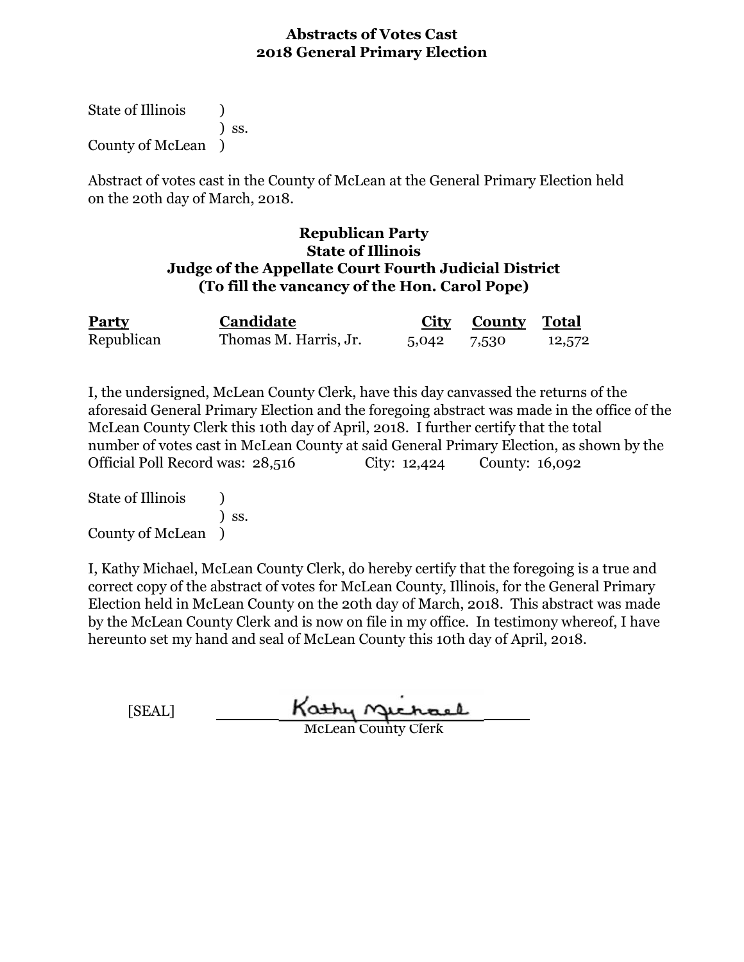State of Illinois (1) ) ss. County of McLean )

Abstract of votes cast in the County of McLean at the General Primary Election held on the 20th day of March, 2018.

## **Republican Party State of Illinois Judge of the Appellate Court Fourth Judicial District (To fill the vancancy of the Hon. Carol Pope)**

| <b>Party</b> | Candidate             |             | <b>City County Total</b> |        |
|--------------|-----------------------|-------------|--------------------------|--------|
| Republican   | Thomas M. Harris, Jr. | 5,042 7,530 |                          | 12,572 |

I, the undersigned, McLean County Clerk, have this day canvassed the returns of the aforesaid General Primary Election and the foregoing abstract was made in the office of the McLean County Clerk this 10th day of April, 2018. I further certify that the total number of votes cast in McLean County at said General Primary Election, as shown by the Official Poll Record was: 28,516 City: 12,424 County: 16,092

State of Illinois (1) ) ss. County of McLean )

| [SEAL] | Kathy Gichael              |
|--------|----------------------------|
|        | <b>McLean County Clerk</b> |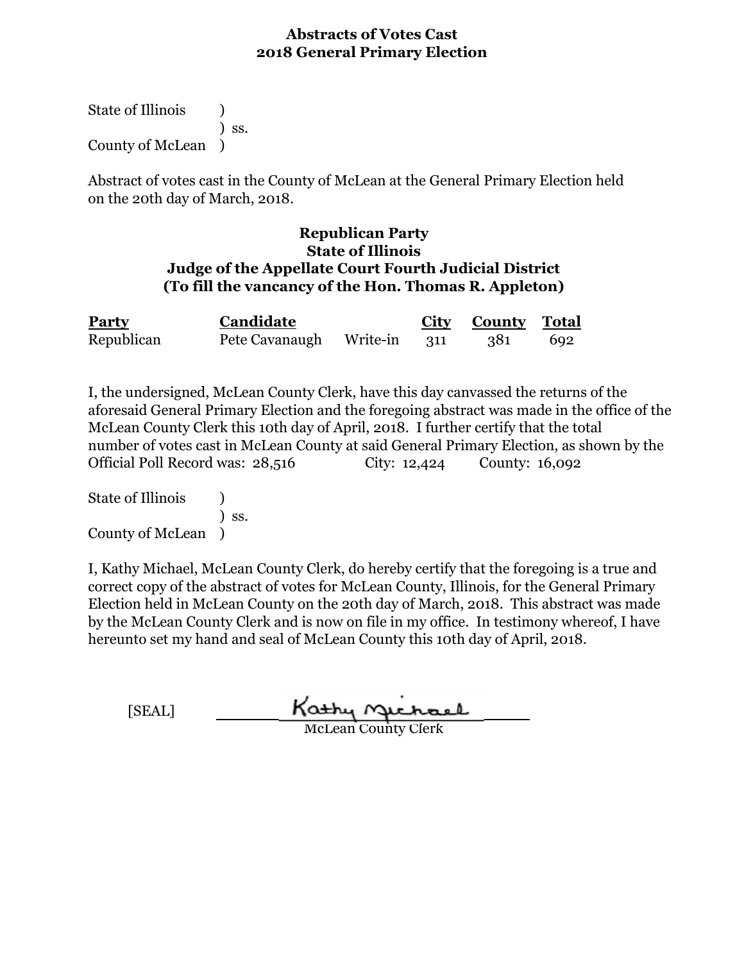State of Illinois (1) ) ss. County of McLean )

Abstract of votes cast in the County of McLean at the General Primary Election held on the 20th day of March, 2018.

## **Republican Party State of Illinois Judge of the Appellate Court Fourth Judicial District (To fill the vancancy of the Hon. Thomas R. Appleton)**

| Party      | Candidate                   |  | <b>City County</b> Total |     |
|------------|-----------------------------|--|--------------------------|-----|
| Republican | Pete Cavanaugh Write-in 311 |  | - 381                    | 692 |

I, the undersigned, McLean County Clerk, have this day canvassed the returns of the aforesaid General Primary Election and the foregoing abstract was made in the office of the McLean County Clerk this 10th day of April, 2018. I further certify that the total number of votes cast in McLean County at said General Primary Election, as shown by the Official Poll Record was: 28,516 City: 12,424 County: 16,092

State of Illinois (1) ) ss. County of McLean )

| [SEAL] | Kathy Michael              |
|--------|----------------------------|
|        | <b>McLean County Clerk</b> |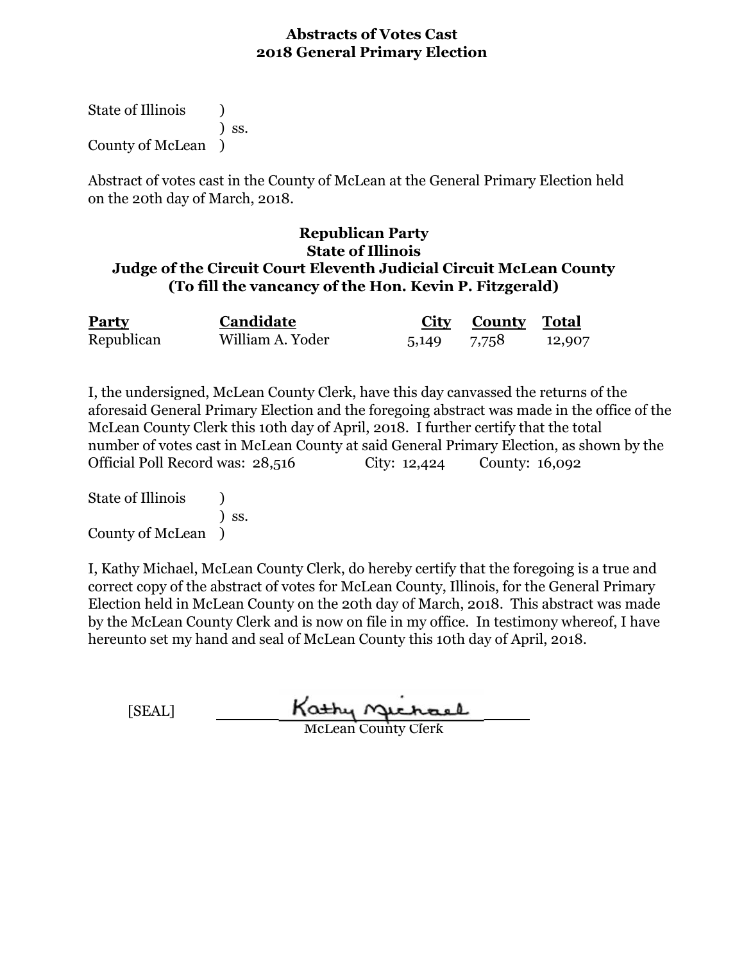State of Illinois (1) ) ss. County of McLean )

Abstract of votes cast in the County of McLean at the General Primary Election held on the 20th day of March, 2018.

## **Republican Party State of Illinois Judge of the Circuit Court Eleventh Judicial Circuit McLean County (To fill the vancancy of the Hon. Kevin P. Fitzgerald)**

| <b>Party</b> | Candidate        |             | <b>City County Total</b> |        |
|--------------|------------------|-------------|--------------------------|--------|
| Republican   | William A. Yoder | 5,149 7,758 |                          | 12,907 |

I, the undersigned, McLean County Clerk, have this day canvassed the returns of the aforesaid General Primary Election and the foregoing abstract was made in the office of the McLean County Clerk this 10th day of April, 2018. I further certify that the total number of votes cast in McLean County at said General Primary Election, as shown by the Official Poll Record was: 28,516 City: 12,424 County: 16,092

State of Illinois (1) ) ss. County of McLean )

| [SEAL] | Kathy Michael              |
|--------|----------------------------|
|        | <b>McLean County Clerk</b> |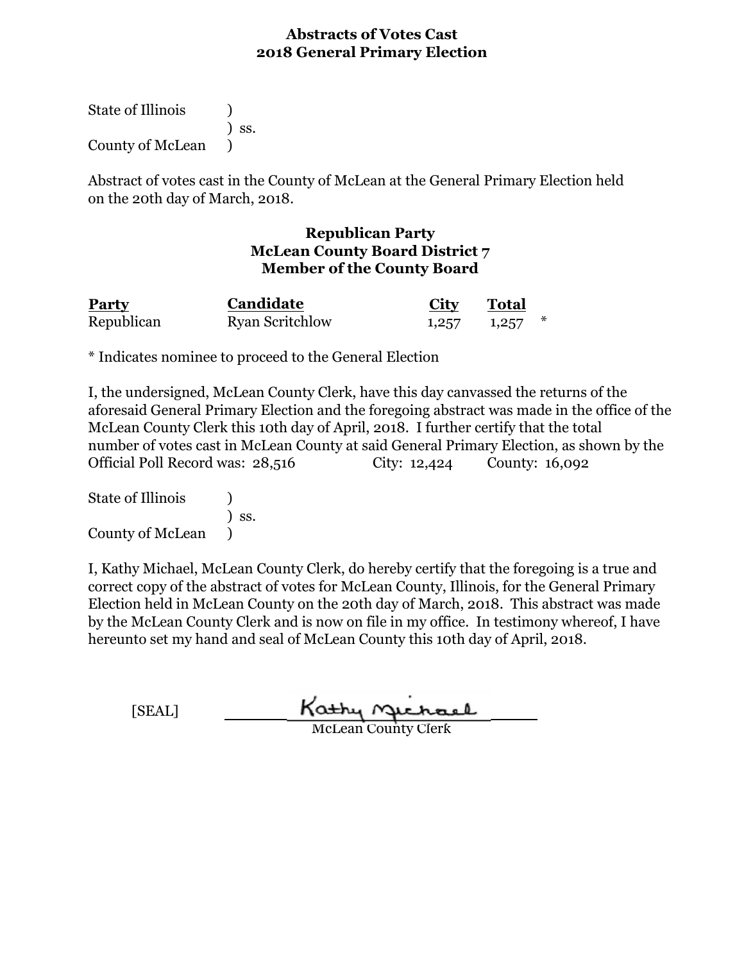State of Illinois (1) ) ss. County of McLean )

Abstract of votes cast in the County of McLean at the General Primary Election held on the 20th day of March, 2018.

#### **Republican Party McLean County Board District 7 Member of the County Board**

| <b>Party</b> | Candidate              | <b>City</b> | <b>Total</b>        |  |
|--------------|------------------------|-------------|---------------------|--|
| Republican   | <b>Ryan Scritchlow</b> |             | $1,257$ $1,257$ $*$ |  |

\* Indicates nominee to proceed to the General Election

I, the undersigned, McLean County Clerk, have this day canvassed the returns of the aforesaid General Primary Election and the foregoing abstract was made in the office of the McLean County Clerk this 10th day of April, 2018. I further certify that the total number of votes cast in McLean County at said General Primary Election, as shown by the Official Poll Record was: 28,516 City: 12,424 County: 16,092

State of Illinois (1) ) ss. County of McLean )

| [SEAL] | Kathy Michael              |  |
|--------|----------------------------|--|
|        | <b>McLean County Clerk</b> |  |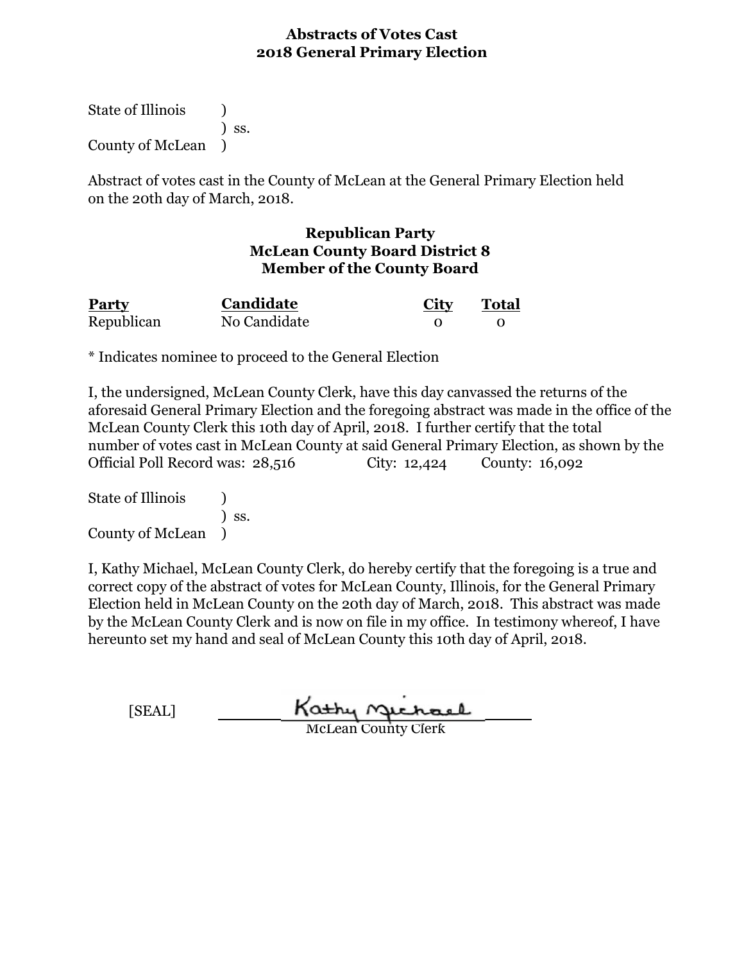State of Illinois (1) ) ss. County of McLean )

Abstract of votes cast in the County of McLean at the General Primary Election held on the 20th day of March, 2018.

## **Republican Party McLean County Board District 8 Member of the County Board**

| Party      | Candidate    | City | <b>Total</b> |
|------------|--------------|------|--------------|
| Republican | No Candidate |      |              |

\* Indicates nominee to proceed to the General Election

I, the undersigned, McLean County Clerk, have this day canvassed the returns of the aforesaid General Primary Election and the foregoing abstract was made in the office of the McLean County Clerk this 10th day of April, 2018. I further certify that the total number of votes cast in McLean County at said General Primary Election, as shown by the Official Poll Record was: 28,516 City: 12,424 County: 16,092

State of Illinois (1) ) ss. County of McLean )

| [SEAL] | Kathy Gichael              |
|--------|----------------------------|
|        | <b>McLean County Clerk</b> |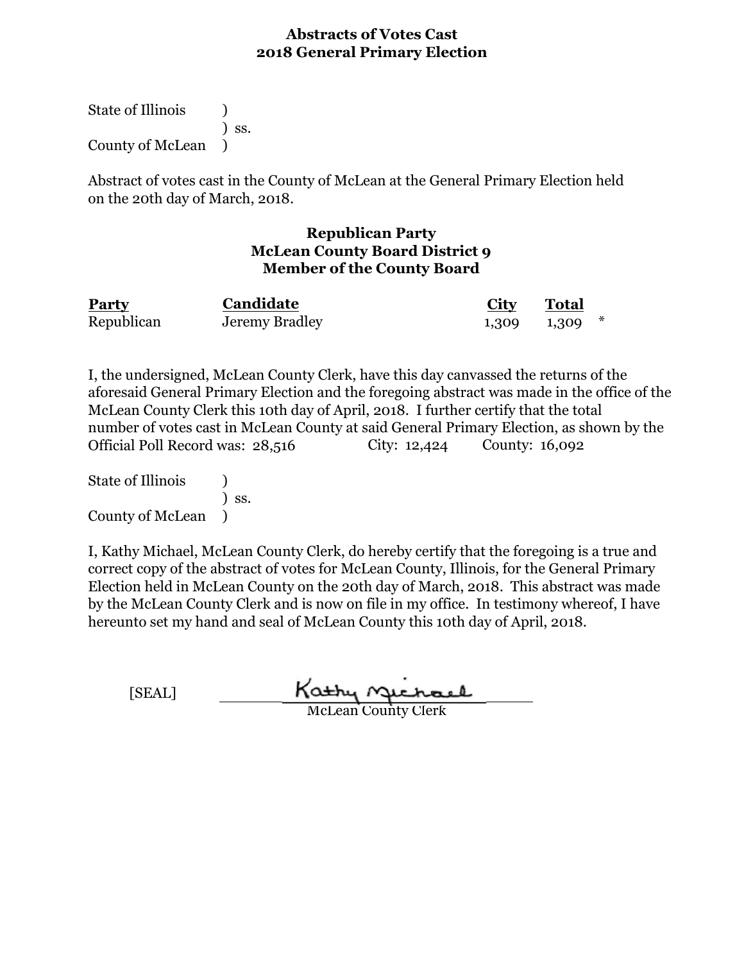State of Illinois (1) ) ss. County of McLean )

Abstract of votes cast in the County of McLean at the General Primary Election held on the 20th day of March, 2018.

#### **Republican Party McLean County Board District 9 Member of the County Board**

| <b>Party</b> | Candidate      | <b>City</b> | <b>Total</b>        |
|--------------|----------------|-------------|---------------------|
| Republican   | Jeremy Bradley |             | $1,309$ $1,309$ $*$ |

I, the undersigned, McLean County Clerk, have this day canvassed the returns of the aforesaid General Primary Election and the foregoing abstract was made in the office of the McLean County Clerk this 10th day of April, 2018. I further certify that the total number of votes cast in McLean County at said General Primary Election, as shown by the Official Poll Record was: 28,516 City: 12,424 County: 16,092

State of Illinois (a) ) ss. County of McLean )

I, Kathy Michael, McLean County Clerk, do hereby certify that the foregoing is a true and correct copy of the abstract of votes for McLean County, Illinois, for the General Primary Election held in McLean County on the 20th day of March, 2018. This abstract was made by the McLean County Clerk and is now on file in my office. In testimony whereof, I have hereunto set my hand and seal of McLean County this 10th day of April, 2018.

[SEAL]

Kathy nechael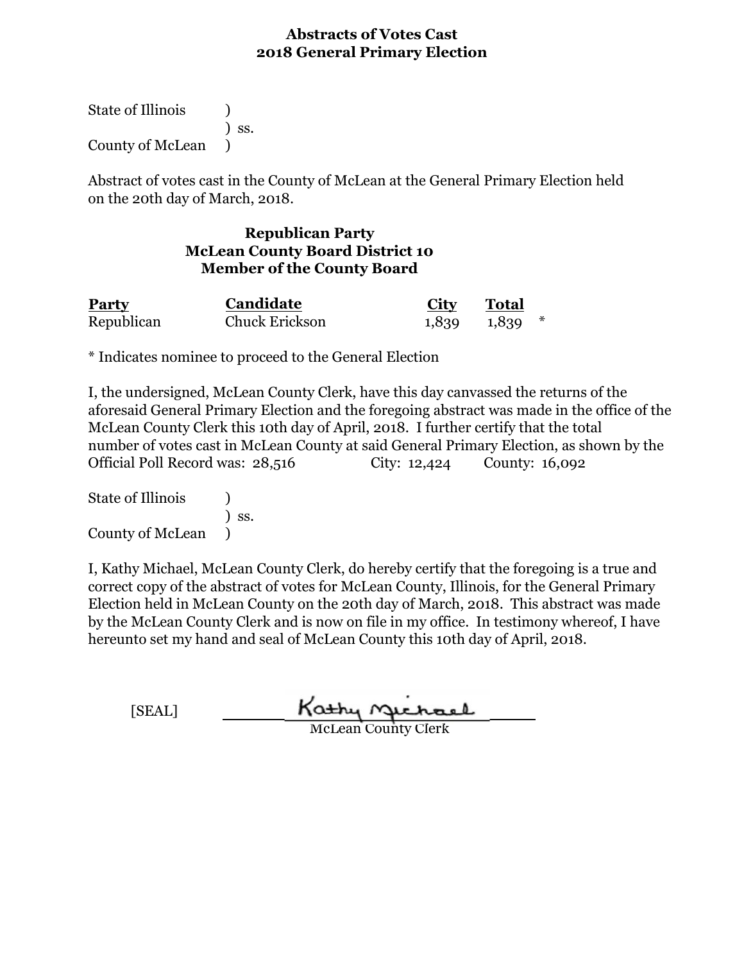State of Illinois (1) ) ss. County of McLean )

Abstract of votes cast in the County of McLean at the General Primary Election held on the 20th day of March, 2018.

# **Republican Party McLean County Board District 10 Member of the County Board**

| Party      | Candidate             | City | Total               |
|------------|-----------------------|------|---------------------|
| Republican | <b>Chuck Erickson</b> |      | $1,839$ $1,839$ $*$ |

\* Indicates nominee to proceed to the General Election

I, the undersigned, McLean County Clerk, have this day canvassed the returns of the aforesaid General Primary Election and the foregoing abstract was made in the office of the McLean County Clerk this 10th day of April, 2018. I further certify that the total number of votes cast in McLean County at said General Primary Election, as shown by the Official Poll Record was: 28,516 City: 12,424 County: 16,092

State of Illinois (1) ) ss. County of McLean )

| [SEAL] | Kathy Michael              |
|--------|----------------------------|
|        | <b>McLean County Clerk</b> |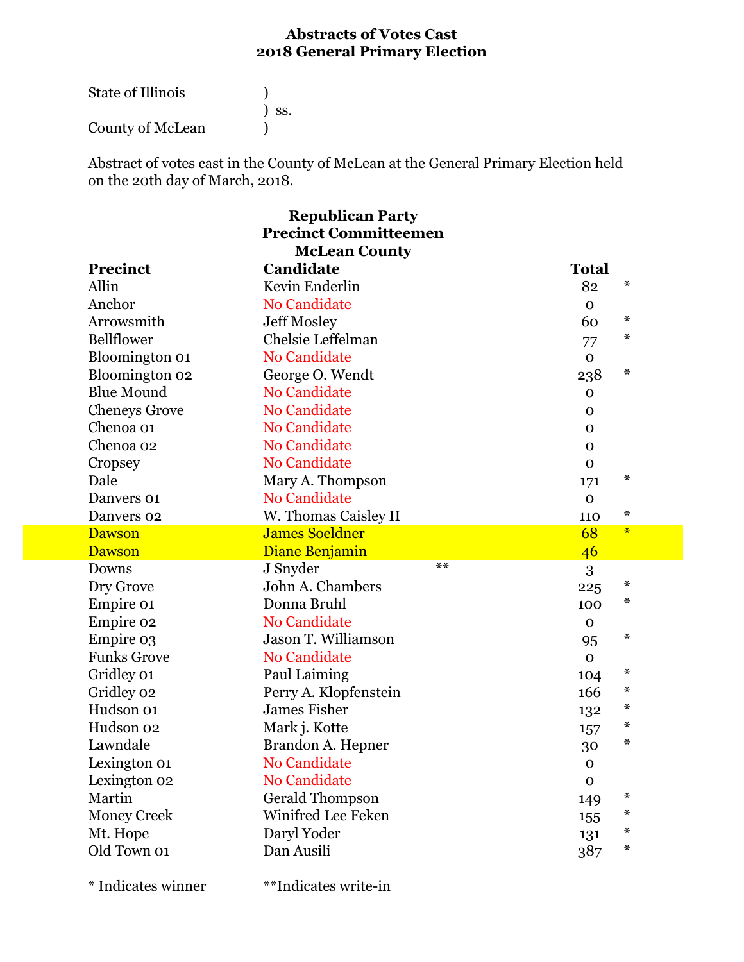| <b>State of Illinois</b> |                              |
|--------------------------|------------------------------|
|                          | $\overline{\phantom{a}}$ SS. |
| County of McLean         |                              |

Abstract of votes cast in the County of McLean at the General Primary Election held on the 20th day of March, 2018.

| <b>Republican Party</b>      |                        |                |  |  |
|------------------------------|------------------------|----------------|--|--|
| <b>Precinct Committeemen</b> |                        |                |  |  |
| <b>McLean County</b>         |                        |                |  |  |
| <b>Precinct</b>              | Candidate              | <b>Total</b>   |  |  |
| Allin                        | Kevin Enderlin         | $\star$<br>82  |  |  |
| Anchor                       | <b>No Candidate</b>    | $\mathbf 0$    |  |  |
| Arrowsmith                   | <b>Jeff Mosley</b>     | $\star$<br>60  |  |  |
| <b>Bellflower</b>            | Chelsie Leffelman      | $\ast$<br>77   |  |  |
| Bloomington 01               | <b>No Candidate</b>    | $\mathbf 0$    |  |  |
| Bloomington 02               | George O. Wendt        | $\star$<br>238 |  |  |
| <b>Blue Mound</b>            | No Candidate           | $\mathbf 0$    |  |  |
| <b>Cheneys Grove</b>         | <b>No Candidate</b>    | $\mathbf 0$    |  |  |
| Chenoa 01                    | <b>No Candidate</b>    | $\mathbf 0$    |  |  |
| Chenoa 02                    | <b>No Candidate</b>    | $\mathbf{O}$   |  |  |
| Cropsey                      | <b>No Candidate</b>    | $\mathbf 0$    |  |  |
| Dale                         | Mary A. Thompson       | $\star$<br>171 |  |  |
| Danvers 01                   | <b>No Candidate</b>    | $\mathbf{O}$   |  |  |
| Danvers 02                   | W. Thomas Caisley II   | $\ast$<br>110  |  |  |
| <b>Dawson</b>                | <b>James Soeldner</b>  | $\ast$<br>68   |  |  |
| <b>Dawson</b>                | Diane Benjamin         | 46             |  |  |
| Downs                        | $**$<br>J Snyder       | 3              |  |  |
| Dry Grove                    | John A. Chambers       | $\ast$<br>225  |  |  |
| Empire 01                    | Donna Bruhl            | ∗<br>100       |  |  |
| Empire 02                    | No Candidate           | $\Omega$       |  |  |
| Empire 03                    | Jason T. Williamson    | $\ast$<br>95   |  |  |
| <b>Funks Grove</b>           | <b>No Candidate</b>    | $\mathbf{O}$   |  |  |
| Gridley 01                   | Paul Laiming           | ∗<br>104       |  |  |
| Gridley 02                   | Perry A. Klopfenstein  | ∗<br>166       |  |  |
| Hudson 01                    | <b>James Fisher</b>    | $\ast$<br>132  |  |  |
| Hudson 02                    | Mark j. Kotte          | $\star$<br>157 |  |  |
| Lawndale                     | Brandon A. Hepner      | ∗<br>30        |  |  |
| Lexington 01                 | <b>No Candidate</b>    | $\mathbf 0$    |  |  |
| Lexington 02                 | <b>No Candidate</b>    | $\mathbf 0$    |  |  |
| Martin                       | <b>Gerald Thompson</b> | ∗<br>149       |  |  |
| <b>Money Creek</b>           | Winifred Lee Feken     | ∗<br>155       |  |  |
| Mt. Hope                     | Daryl Yoder            | ∗<br>131       |  |  |
| Old Town 01                  |                        |                |  |  |
|                              | Dan Ausili             | ∗<br>387       |  |  |

\* Indicates winner \*\*Indicates write-in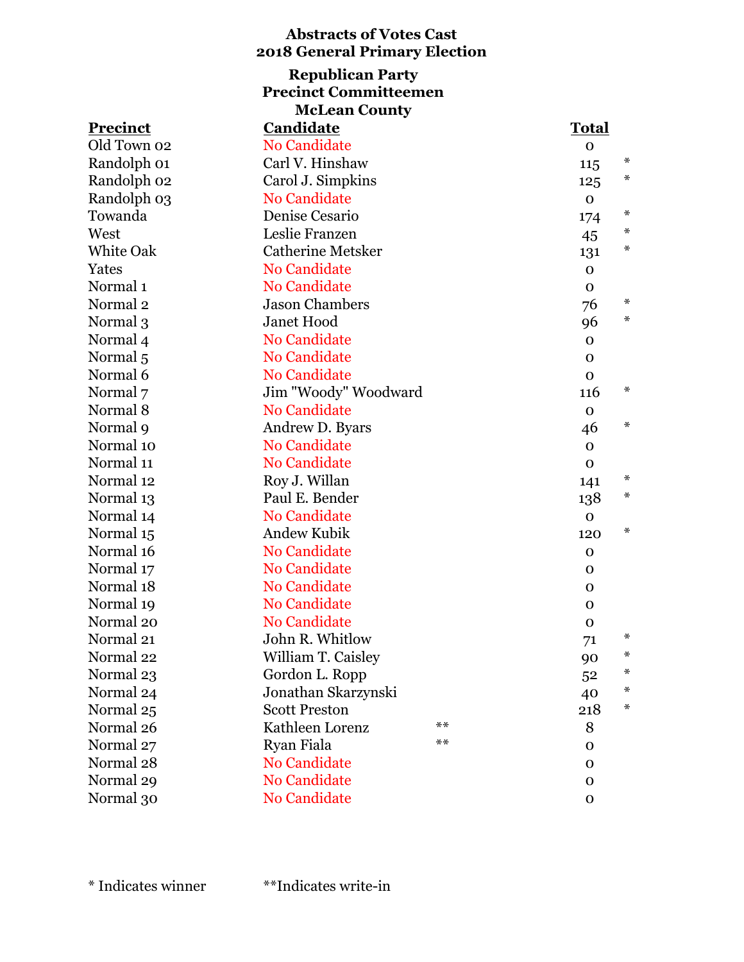| <b>Abstracts of Votes Cast</b><br><b>2018 General Primary Election</b> |                          |                        |  |  |
|------------------------------------------------------------------------|--------------------------|------------------------|--|--|
| <b>Republican Party</b><br><b>Precinct Committeemen</b>                |                          |                        |  |  |
|                                                                        | <b>McLean County</b>     |                        |  |  |
| <b>Precinct</b>                                                        | Candidate                | <b>Total</b>           |  |  |
| Old Town 02                                                            | <b>No Candidate</b>      | $\mathbf{O}$           |  |  |
| Randolph 01                                                            | Carl V. Hinshaw          | *                      |  |  |
| Randolph 02                                                            | Carol J. Simpkins        | 115<br>$\ast$          |  |  |
|                                                                        | <b>No Candidate</b>      | 125                    |  |  |
| Randolph 03<br>Towanda                                                 | Denise Cesario           | $\mathbf 0$<br>$\star$ |  |  |
| West                                                                   | Leslie Franzen           | 174<br>$\ast$          |  |  |
| <b>White Oak</b>                                                       | <b>Catherine Metsker</b> | 45<br>$\ast$           |  |  |
| Yates                                                                  | <b>No Candidate</b>      | 131                    |  |  |
| Normal <sub>1</sub>                                                    | <b>No Candidate</b>      | $\mathbf 0$            |  |  |
|                                                                        |                          | $\mathbf{O}$<br>$\ast$ |  |  |
| Normal <sub>2</sub>                                                    | <b>Jason Chambers</b>    | 76<br>$\ast$           |  |  |
| Normal 3                                                               | <b>Janet Hood</b>        | 96                     |  |  |
| Normal 4                                                               | <b>No Candidate</b>      | $\mathbf{O}$           |  |  |
| Normal <sub>5</sub>                                                    | <b>No Candidate</b>      | $\Omega$               |  |  |
| Normal 6                                                               | <b>No Candidate</b>      | $\mathbf{O}$<br>$\ast$ |  |  |
| Normal 7                                                               | Jim "Woody" Woodward     | 116                    |  |  |
| Normal 8                                                               | <b>No Candidate</b>      | $\mathbf 0$<br>$\ast$  |  |  |
| Normal 9                                                               | Andrew D. Byars          | 46                     |  |  |
| Normal 10                                                              | <b>No Candidate</b>      | $\mathbf{O}$           |  |  |
| Normal 11                                                              | <b>No Candidate</b>      | $\mathbf{O}$<br>$\ast$ |  |  |
| Normal 12                                                              | Roy J. Willan            | 141<br>∗               |  |  |
| Normal 13                                                              | Paul E. Bender           | 138                    |  |  |
| Normal 14                                                              | <b>No Candidate</b>      | $\mathbf 0$<br>$\ast$  |  |  |
| Normal 15                                                              | <b>Andew Kubik</b>       | 120                    |  |  |
| Normal 16                                                              | <b>No Candidate</b>      | $\mathbf 0$            |  |  |
| Normal 17                                                              | No Candidate             | $\mathbf 0$            |  |  |
| Normal 18                                                              | <b>No Candidate</b>      | $\mathbf 0$            |  |  |
| Normal 19                                                              | No Candidate             | $\Omega$               |  |  |
| Normal 20                                                              | <b>No Candidate</b>      | $\mathbf{0}$<br>$\ast$ |  |  |
| Normal 21                                                              | John R. Whitlow          | 71                     |  |  |
| Normal 22                                                              | William T. Caisley       | ∗<br>90                |  |  |
| Normal 23                                                              | Gordon L. Ropp           | ∗<br>52                |  |  |
| Normal 24                                                              | Jonathan Skarzynski      | *<br>40                |  |  |
| Normal 25                                                              | <b>Scott Preston</b>     | $\ast$<br>218          |  |  |
| Normal 26                                                              | $**$<br>Kathleen Lorenz  | 8                      |  |  |
| Normal 27                                                              | Ryan Fiala<br>$**$       | $\Omega$               |  |  |
| Normal 28                                                              | No Candidate             | $\Omega$               |  |  |
| Normal 29                                                              | <b>No Candidate</b>      | $\mathbf{O}$           |  |  |
| Normal 30                                                              | No Candidate             | $\mathbf{O}$           |  |  |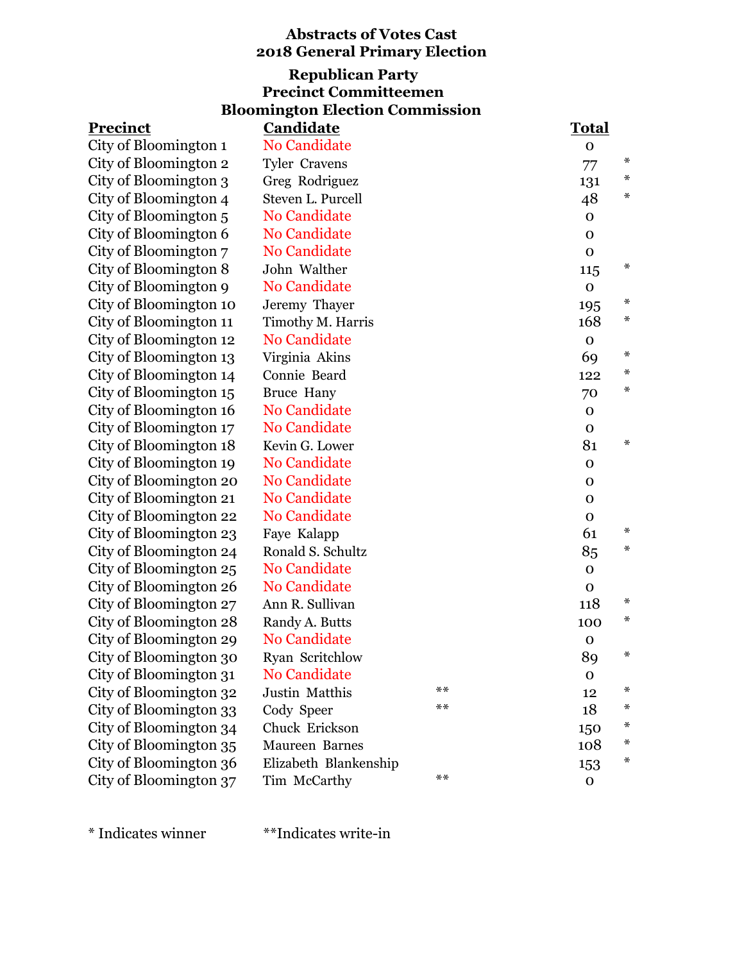# **Abstracts of Votes Cast 2018 General Primary Election Bloomington Election Commission Republican Party Precinct Committeemen**

| <b>Precinct</b>        | <b>Candidate</b>      |            | <b>Total</b> |        |
|------------------------|-----------------------|------------|--------------|--------|
| City of Bloomington 1  | <b>No Candidate</b>   |            | $\mathbf 0$  |        |
| City of Bloomington 2  | <b>Tyler Cravens</b>  |            | 77           | ∗      |
| City of Bloomington 3  | Greg Rodriguez        |            | 131          | ∗      |
| City of Bloomington 4  | Steven L. Purcell     |            | 48           | ∗      |
| City of Bloomington 5  | <b>No Candidate</b>   |            | $\mathbf 0$  |        |
| City of Bloomington 6  | No Candidate          |            | $\mathbf{O}$ |        |
| City of Bloomington 7  | <b>No Candidate</b>   |            | $\mathbf{O}$ |        |
| City of Bloomington 8  | John Walther          |            | 115          | ∗      |
| City of Bloomington 9  | <b>No Candidate</b>   |            | $\mathbf 0$  |        |
| City of Bloomington 10 | Jeremy Thayer         |            | 195          | ∗      |
| City of Bloomington 11 | Timothy M. Harris     |            | 168          | ∗      |
| City of Bloomington 12 | No Candidate          |            | $\mathbf{O}$ |        |
| City of Bloomington 13 | Virginia Akins        |            | 69           | ∗      |
| City of Bloomington 14 | Connie Beard          |            | 122          | ∗      |
| City of Bloomington 15 | <b>Bruce Hany</b>     |            | 70           | ∗      |
| City of Bloomington 16 | <b>No Candidate</b>   |            | $\mathbf{O}$ |        |
| City of Bloomington 17 | <b>No Candidate</b>   |            | $\mathbf O$  |        |
| City of Bloomington 18 | Kevin G. Lower        |            | 81           | $\ast$ |
| City of Bloomington 19 | <b>No Candidate</b>   |            | $\mathbf 0$  |        |
| City of Bloomington 20 | <b>No Candidate</b>   |            | $\mathbf 0$  |        |
| City of Bloomington 21 | No Candidate          |            | $\mathbf 0$  |        |
| City of Bloomington 22 | No Candidate          |            | $\mathbf{O}$ |        |
| City of Bloomington 23 | Faye Kalapp           |            | 61           | ∗      |
| City of Bloomington 24 | Ronald S. Schultz     |            | 85           | ∗      |
| City of Bloomington 25 | No Candidate          |            | $\mathbf 0$  |        |
| City of Bloomington 26 | No Candidate          |            | $\mathbf 0$  |        |
| City of Bloomington 27 | Ann R. Sullivan       |            | 118          | ∗      |
| City of Bloomington 28 | Randy A. Butts        |            | 100          | ∗      |
| City of Bloomington 29 | No Candidate          |            | $\mathbf 0$  |        |
| City of Bloomington 30 | Ryan Scritchlow       |            | 89           | $\ast$ |
| City of Bloomington 31 | No Candidate          |            | $\mathbf 0$  |        |
| City of Bloomington 32 | Justin Matthis        | $\ast\ast$ | 12           | ∗      |
| City of Bloomington 33 | Cody Speer            | $***$      | 18           | ∗      |
| City of Bloomington 34 | Chuck Erickson        |            | 150          | ∗      |
| City of Bloomington 35 | Maureen Barnes        |            | 108          | ∗      |
| City of Bloomington 36 | Elizabeth Blankenship |            | 153          | ∗      |
| City of Bloomington 37 | Tim McCarthy          | $***$      | $\mathbf{O}$ |        |
|                        |                       |            |              |        |

\* Indicates winner \*\*Indicates write-in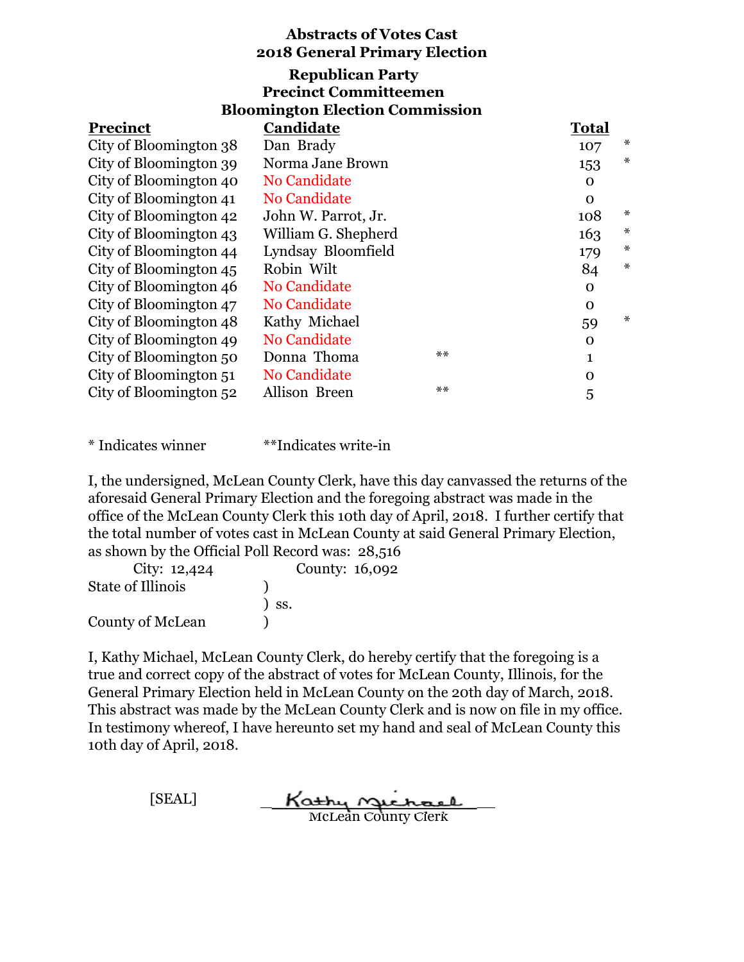# **Bloomington Election Commission Republican Party Precinct Committeemen**

| <b>Precinct</b>        | Candidate           |      | <b>Total</b> |        |
|------------------------|---------------------|------|--------------|--------|
| City of Bloomington 38 | Dan Brady           |      | 107          | *      |
| City of Bloomington 39 | Norma Jane Brown    |      | 153          | $\ast$ |
| City of Bloomington 40 | No Candidate        |      | 0            |        |
| City of Bloomington 41 | No Candidate        |      | $\Omega$     |        |
| City of Bloomington 42 | John W. Parrot, Jr. |      | 108          | $\ast$ |
| City of Bloomington 43 | William G. Shepherd |      | 163          | ∗      |
| City of Bloomington 44 | Lyndsay Bloomfield  |      | 179          | $\ast$ |
| City of Bloomington 45 | Robin Wilt          |      | 84           | $\ast$ |
| City of Bloomington 46 | No Candidate        |      | $\Omega$     |        |
| City of Bloomington 47 | No Candidate        |      | $\Omega$     |        |
| City of Bloomington 48 | Kathy Michael       |      | 59           | $\ast$ |
| City of Bloomington 49 | No Candidate        |      | $\Omega$     |        |
| City of Bloomington 50 | Donna Thoma         | $**$ | 1            |        |
| City of Bloomington 51 | No Candidate        |      | $\Omega$     |        |
| City of Bloomington 52 | Allison Breen       | $**$ | 5            |        |

\* Indicates winner \*\*Indicates write-in

I, the undersigned, McLean County Clerk, have this day canvassed the returns of the aforesaid General Primary Election and the foregoing abstract was made in the office of the McLean County Clerk this 10th day of April, 2018. I further certify that the total number of votes cast in McLean County at said General Primary Election, as shown by the Official Poll Record was: 28,516

| City: $12,424$           | County: 16,092               |
|--------------------------|------------------------------|
| <b>State of Illinois</b> |                              |
|                          | $\overline{\phantom{a}}$ SS. |
| County of McLean         |                              |

I, Kathy Michael, McLean County Clerk, do hereby certify that the foregoing is a true and correct copy of the abstract of votes for McLean County, Illinois, for the General Primary Election held in McLean County on the 20th day of March, 2018. This abstract was made by the McLean County Clerk and is now on file in my office. In testimony whereof, I have hereunto set my hand and seal of McLean County this 10th day of April, 2018.

> [SEAL] Kathy nechael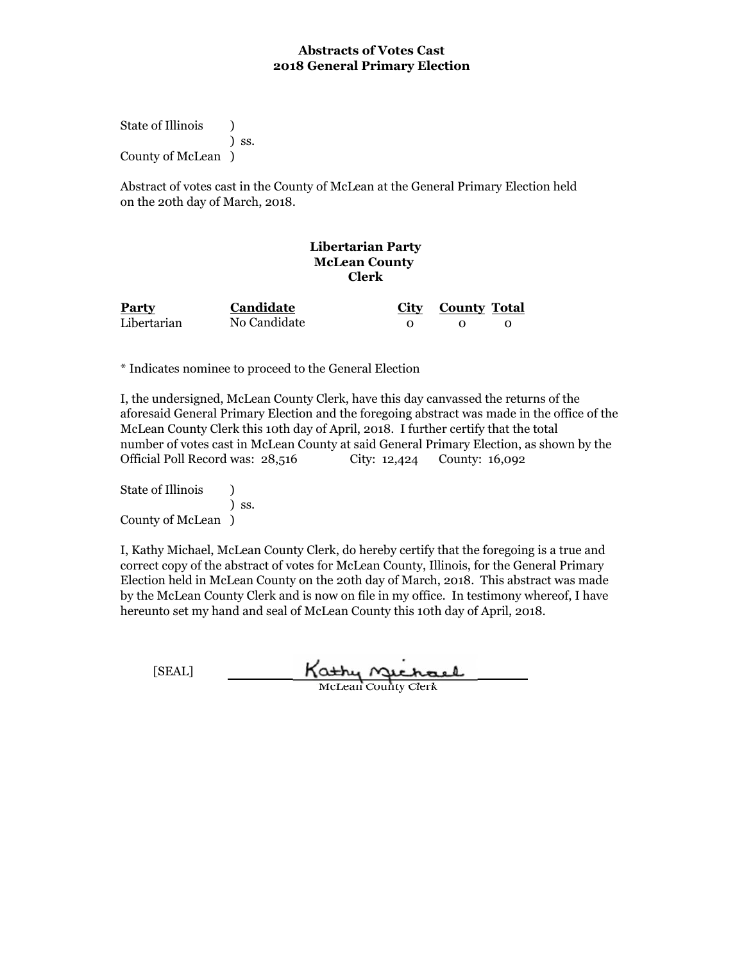State of Illinois (a) ) ss. County of McLean )

Abstract of votes cast in the County of McLean at the General Primary Election held on the 20th day of March, 2018.

#### **Libertarian Party McLean County Clerk**

| Party       | Candidate    | City County Total |  |
|-------------|--------------|-------------------|--|
| Libertarian | No Candidate |                   |  |

\* Indicates nominee to proceed to the General Election

I, the undersigned, McLean County Clerk, have this day canvassed the returns of the aforesaid General Primary Election and the foregoing abstract was made in the office of the McLean County Clerk this 10th day of April, 2018. I further certify that the total number of votes cast in McLean County at said General Primary Election, as shown by the Official Poll Record was: 28,516 City: 12,424 County: 16,092

State of Illinois (b) ) ss. County of McLean )

| [SEAL] | Kathy nuchael              |
|--------|----------------------------|
|        | <b>McLean County Clerk</b> |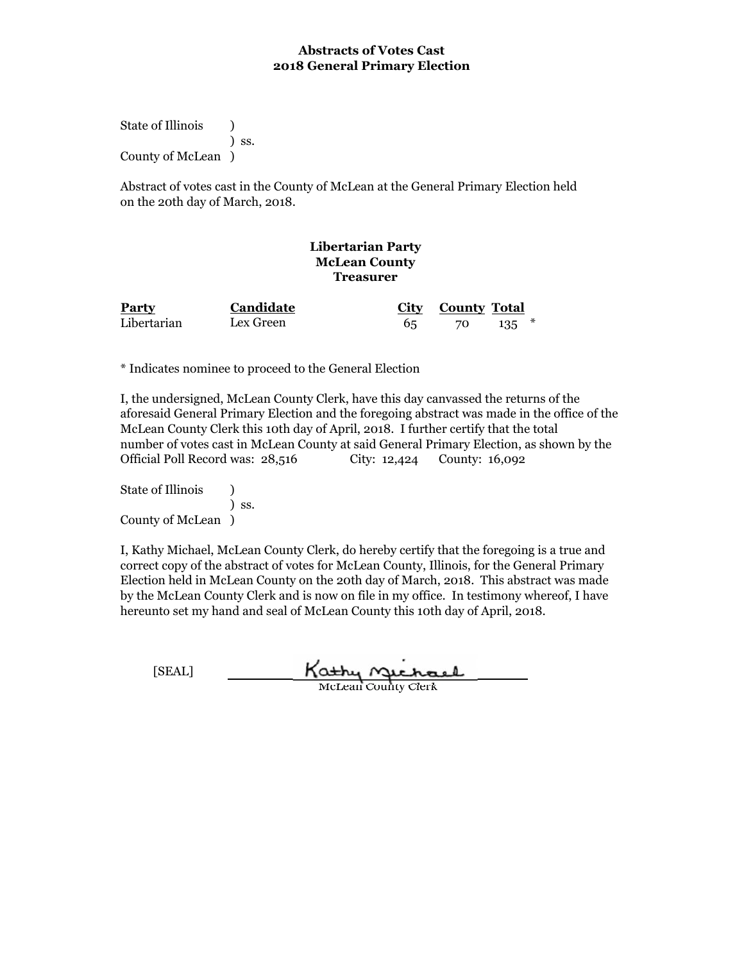State of Illinois (a) ) ss. County of McLean )

Abstract of votes cast in the County of McLean at the General Primary Election held on the 20th day of March, 2018.

#### **Libertarian Party McLean County Treasurer**

| Party       | <b>Candidate</b> | City County Total |           |
|-------------|------------------|-------------------|-----------|
| Libertarian | Lex Green        | 70                | $135$ $*$ |

\* Indicates nominee to proceed to the General Election

I, the undersigned, McLean County Clerk, have this day canvassed the returns of the aforesaid General Primary Election and the foregoing abstract was made in the office of the McLean County Clerk this 10th day of April, 2018. I further certify that the total number of votes cast in McLean County at said General Primary Election, as shown by the Official Poll Record was: 28,516 City: 12,424 County: 16,092

State of Illinois (b) ) ss. County of McLean )

| [SEAL] | Kathy nuchael              |
|--------|----------------------------|
|        | <b>McLean County Clerk</b> |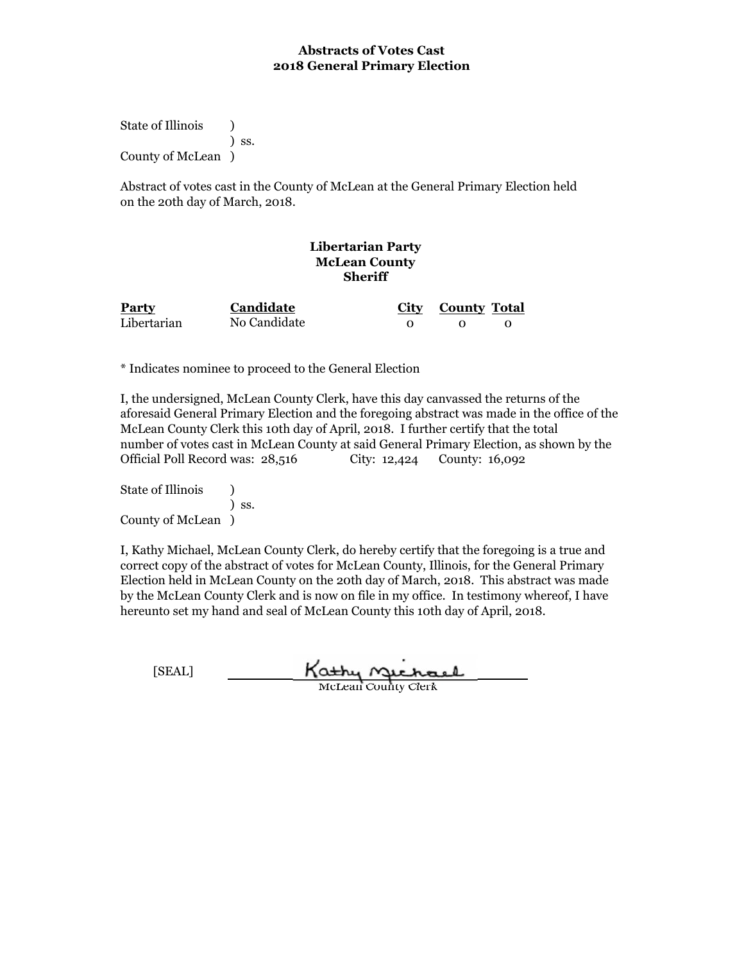State of Illinois (a) ) ss. County of McLean )

Abstract of votes cast in the County of McLean at the General Primary Election held on the 20th day of March, 2018.

### **Libertarian Party McLean County Sheriff**

| Party       | Candidate    | City County Total |  |
|-------------|--------------|-------------------|--|
| Libertarian | No Candidate |                   |  |

\* Indicates nominee to proceed to the General Election

I, the undersigned, McLean County Clerk, have this day canvassed the returns of the aforesaid General Primary Election and the foregoing abstract was made in the office of the McLean County Clerk this 10th day of April, 2018. I further certify that the total number of votes cast in McLean County at said General Primary Election, as shown by the Official Poll Record was: 28,516 City: 12,424 County: 16,092

State of Illinois (b) ) ss. County of McLean )

| [SEAL] | Kathy nuchael              |
|--------|----------------------------|
|        | <b>McLean County Clerk</b> |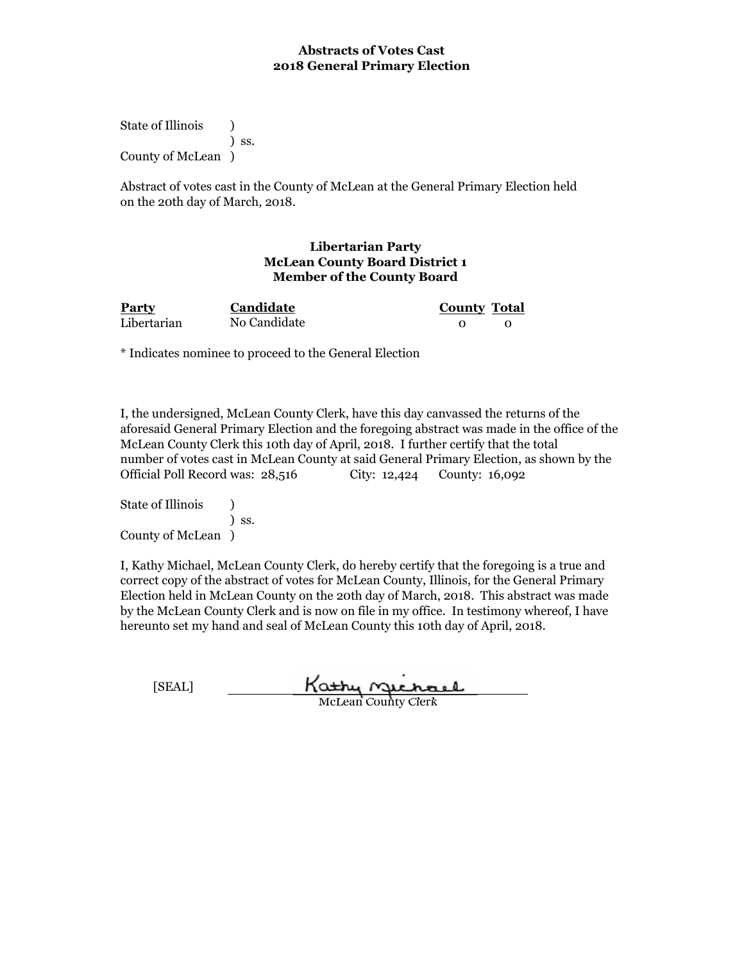State of Illinois (a) ) ss. County of McLean )

Abstract of votes cast in the County of McLean at the General Primary Election held on the 20th day of March, 2018.

#### **Libertarian Party McLean County Board District 1 Member of the County Board**

| Party       | Candidate    | <b>County Total</b> |  |
|-------------|--------------|---------------------|--|
| Libertarian | No Candidate |                     |  |

\* Indicates nominee to proceed to the General Election

I, the undersigned, McLean County Clerk, have this day canvassed the returns of the aforesaid General Primary Election and the foregoing abstract was made in the office of the McLean County Clerk this 10th day of April, 2018. I further certify that the total number of votes cast in McLean County at said General Primary Election, as shown by the Official Poll Record was: 28,516 City: 12,424 County: 16,092

State of Illinois (1) ) ss. County of McLean )

| [SEAL] | Kathy nuchael       |
|--------|---------------------|
|        | McLean County Clerk |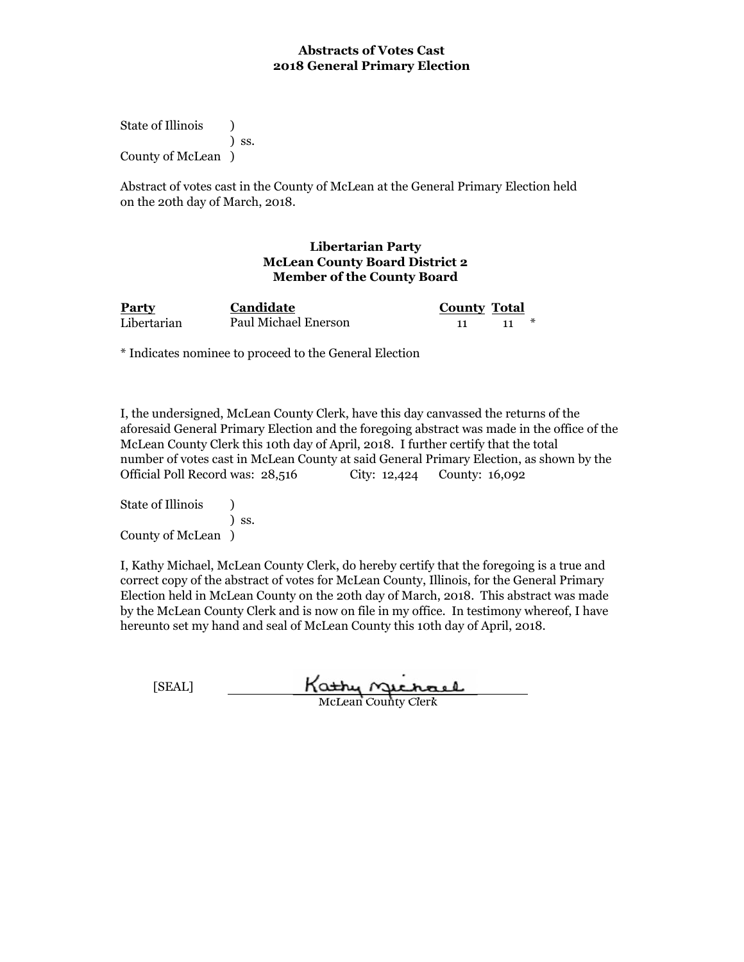State of Illinois (a) ) ss. County of McLean )

Abstract of votes cast in the County of McLean at the General Primary Election held on the 20th day of March, 2018.

#### **Libertarian Party McLean County Board District 2 Member of the County Board**

| <b>Party</b> | <b>Candidate</b>     | <b>County Total</b> |  |
|--------------|----------------------|---------------------|--|
| Libertarian  | Paul Michael Enerson |                     |  |

\* Indicates nominee to proceed to the General Election

I, the undersigned, McLean County Clerk, have this day canvassed the returns of the aforesaid General Primary Election and the foregoing abstract was made in the office of the McLean County Clerk this 10th day of April, 2018. I further certify that the total number of votes cast in McLean County at said General Primary Election, as shown by the Official Poll Record was: 28,516 City: 12,424 County: 16,092

State of Illinois (a) ) ss. County of McLean )

| [SEAL] | Kathy nuchael              |
|--------|----------------------------|
|        | <b>McLean County Clerk</b> |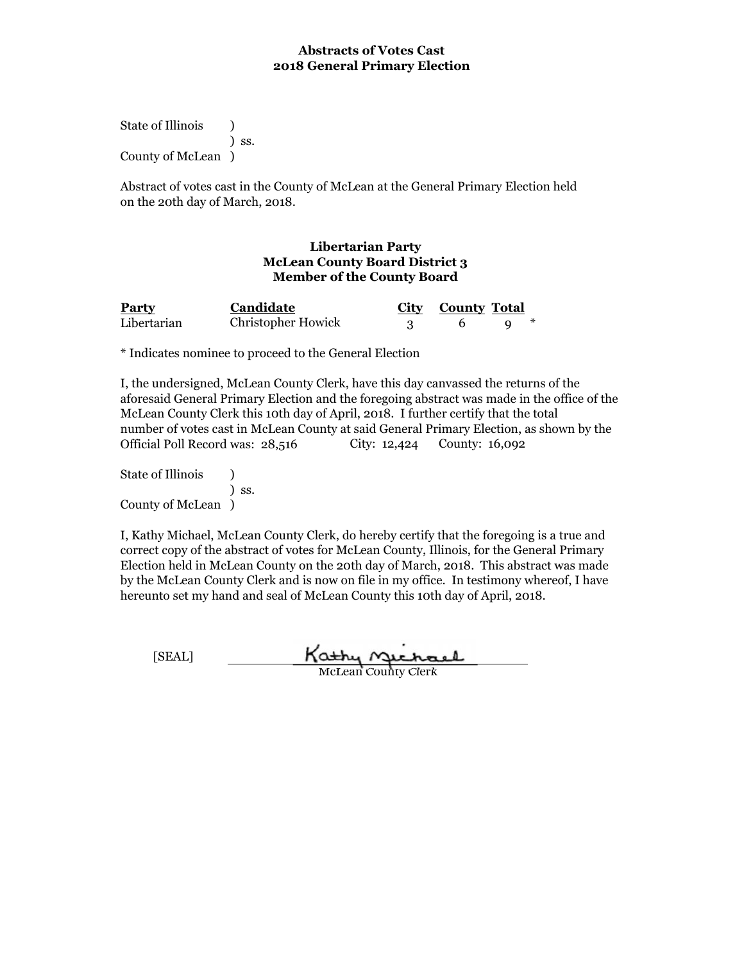State of Illinois (1) ) ss. County of McLean )

Abstract of votes cast in the County of McLean at the General Primary Election held on the 20th day of March, 2018.

#### **Libertarian Party McLean County Board District 3 Member of the County Board**

| <b>Party</b> | Candidate                 | City County Total |  |
|--------------|---------------------------|-------------------|--|
| Libertarian  | <b>Christopher Howick</b> |                   |  |

\* Indicates nominee to proceed to the General Election

I, the undersigned, McLean County Clerk, have this day canvassed the returns of the aforesaid General Primary Election and the foregoing abstract was made in the office of the McLean County Clerk this 10th day of April, 2018. I further certify that the total number of votes cast in McLean County at said General Primary Election, as shown by the Official Poll Record was: 28,516 County: 16,092

State of Illinois (1) ) ss. County of McLean )

I, Kathy Michael, McLean County Clerk, do hereby certify that the foregoing is a true and correct copy of the abstract of votes for McLean County, Illinois, for the General Primary Election held in McLean County on the 20th day of March, 2018. This abstract was made by the McLean County Clerk and is now on file in my office. In testimony whereof, I have hereunto set my hand and seal of McLean County this 10th day of April, 2018.

Kathy Michael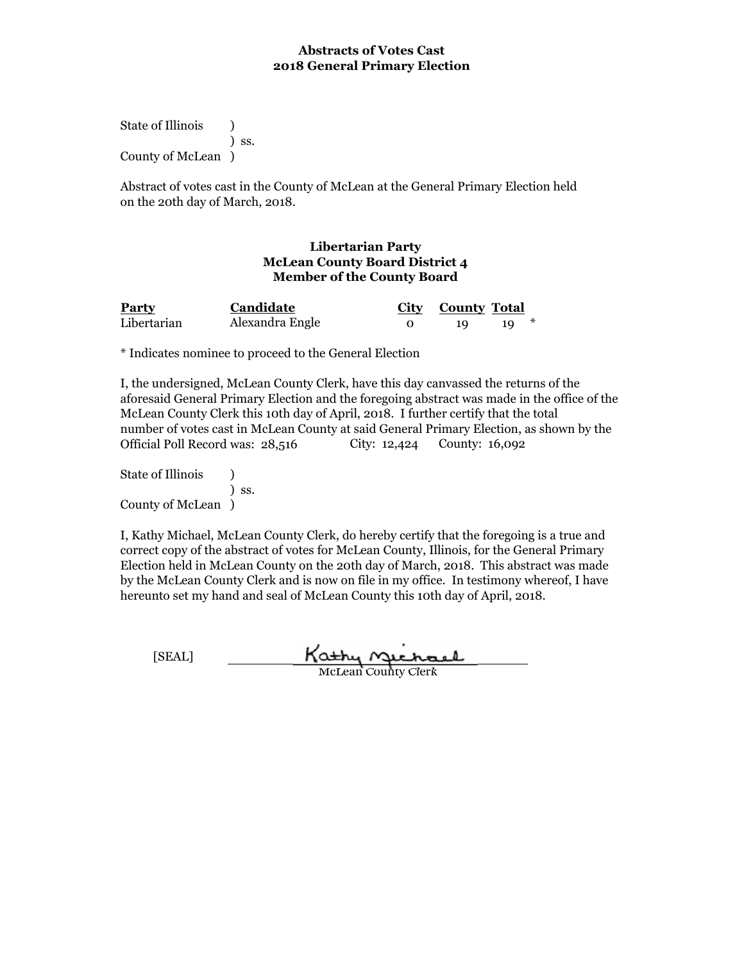State of Illinois (1) ) ss. County of McLean )

Abstract of votes cast in the County of McLean at the General Primary Election held on the 20th day of March, 2018.

#### **Libertarian Party McLean County Board District 4 Member of the County Board**

| <b>Party</b> | <b>Candidate</b> | City County Total |  |
|--------------|------------------|-------------------|--|
| Libertarian  | Alexandra Engle  |                   |  |

\* Indicates nominee to proceed to the General Election

I, the undersigned, McLean County Clerk, have this day canvassed the returns of the aforesaid General Primary Election and the foregoing abstract was made in the office of the McLean County Clerk this 10th day of April, 2018. I further certify that the total number of votes cast in McLean County at said General Primary Election, as shown by the Official Poll Record was: 28,516 County: 16,092

State of Illinois (1) ) ss. County of McLean )

I, Kathy Michael, McLean County Clerk, do hereby certify that the foregoing is a true and correct copy of the abstract of votes for McLean County, Illinois, for the General Primary Election held in McLean County on the 20th day of March, 2018. This abstract was made by the McLean County Clerk and is now on file in my office. In testimony whereof, I have hereunto set my hand and seal of McLean County this 10th day of April, 2018.

Kathy Michael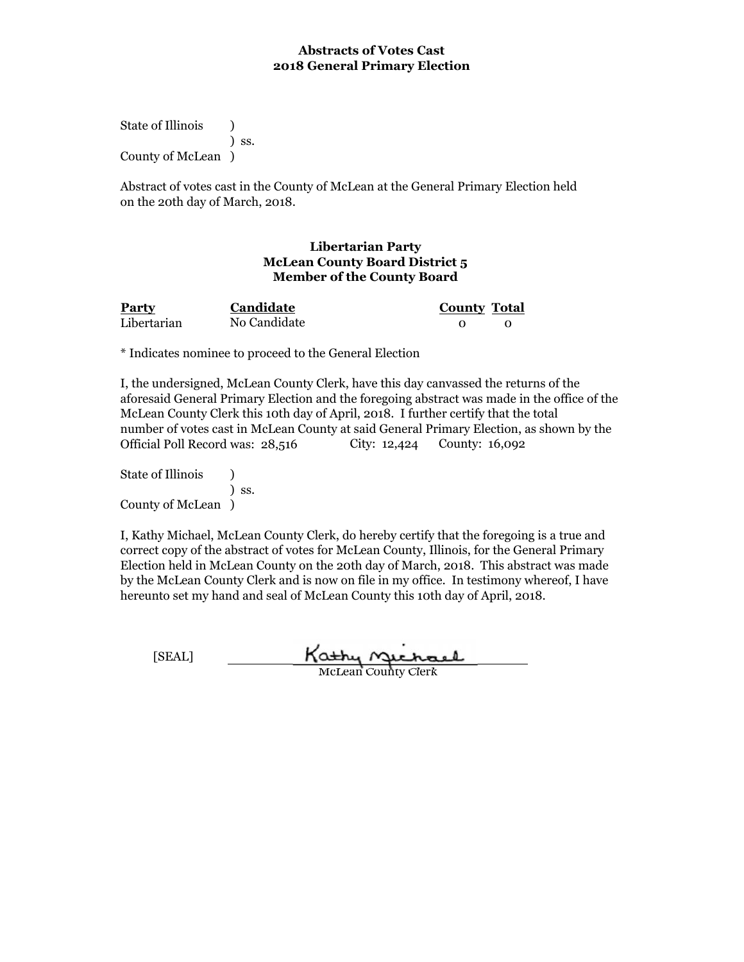State of Illinois (1) ) ss. County of McLean )

Abstract of votes cast in the County of McLean at the General Primary Election held on the 20th day of March, 2018.

#### **Libertarian Party McLean County Board District 5 Member of the County Board**

| <b>Party</b> | Candidate    | <b>County Total</b> |  |
|--------------|--------------|---------------------|--|
| Libertarian  | No Candidate |                     |  |

\* Indicates nominee to proceed to the General Election

I, the undersigned, McLean County Clerk, have this day canvassed the returns of the aforesaid General Primary Election and the foregoing abstract was made in the office of the McLean County Clerk this 10th day of April, 2018. I further certify that the total number of votes cast in McLean County at said General Primary Election, as shown by the Official Poll Record was: 28,516 County: 16,092

State of Illinois (1) ) ss. County of McLean )

I, Kathy Michael, McLean County Clerk, do hereby certify that the foregoing is a true and correct copy of the abstract of votes for McLean County, Illinois, for the General Primary Election held in McLean County on the 20th day of March, 2018. This abstract was made by the McLean County Clerk and is now on file in my office. In testimony whereof, I have hereunto set my hand and seal of McLean County this 10th day of April, 2018.

Kathy Michael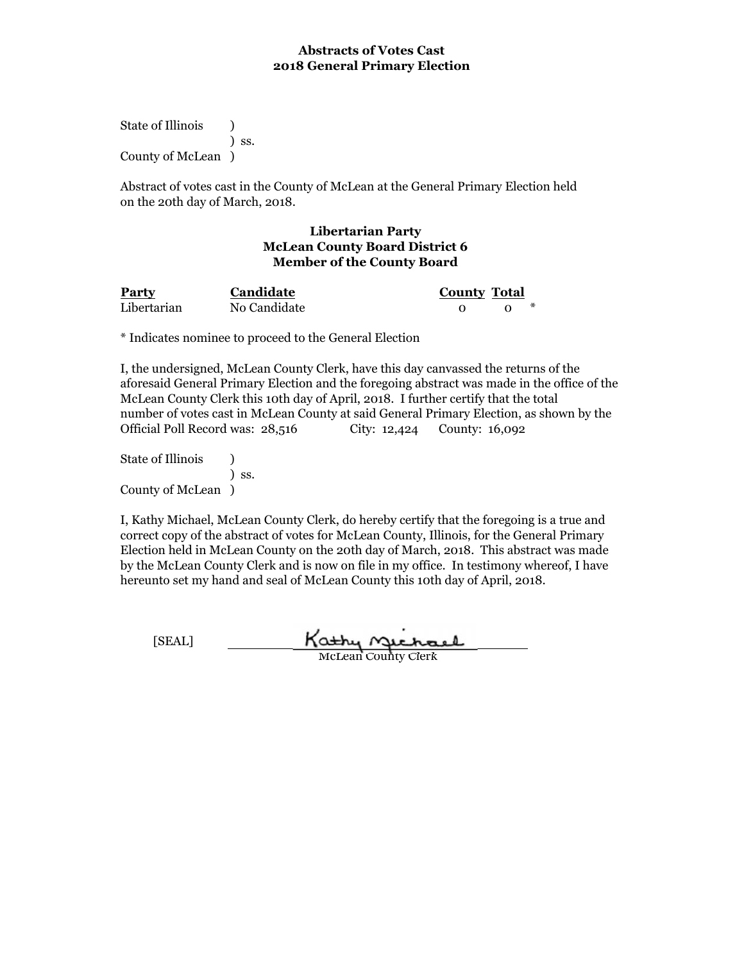State of Illinois (a) ) ss. County of McLean )

Abstract of votes cast in the County of McLean at the General Primary Election held on the 20th day of March, 2018.

#### **Libertarian Party McLean County Board District 6 Member of the County Board**

**Candidate**

**Party Candidate County Total** Libertarian 0 0 \* No Candidate

\* Indicates nominee to proceed to the General Election

I, the undersigned, McLean County Clerk, have this day canvassed the returns of the aforesaid General Primary Election and the foregoing abstract was made in the office of the McLean County Clerk this 10th day of April, 2018. I further certify that the total number of votes cast in McLean County at said General Primary Election, as shown by the Official Poll Record was: 28,516 City: 12,424 County: 16,092

State of Illinois (a) ) ss. County of McLean )

I, Kathy Michael, McLean County Clerk, do hereby certify that the foregoing is a true and correct copy of the abstract of votes for McLean County, Illinois, for the General Primary Election held in McLean County on the 20th day of March, 2018. This abstract was made by the McLean County Clerk and is now on file in my office. In testimony whereof, I have hereunto set my hand and seal of McLean County this 10th day of April, 2018.

Kathy Michael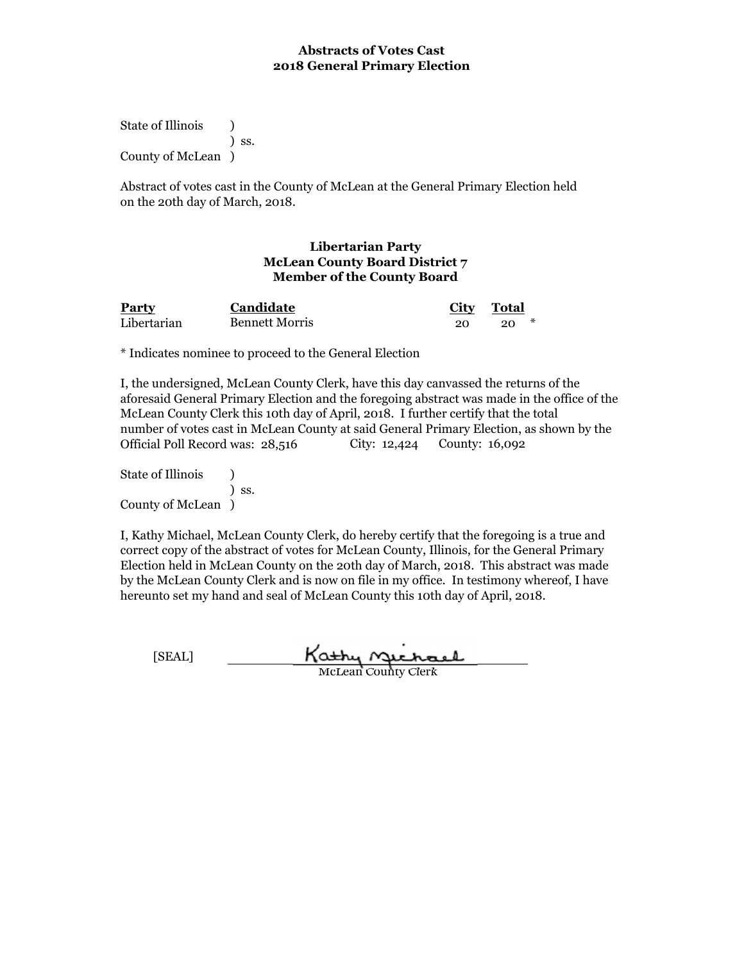State of Illinois (1) ) ss. County of McLean )

Abstract of votes cast in the County of McLean at the General Primary Election held on the 20th day of March, 2018.

### **Libertarian Party McLean County Board District 7 Member of the County Board**

| <b>Party</b> | Candidate             | <b>City</b> | Total |
|--------------|-----------------------|-------------|-------|
| Libertarian  | <b>Bennett Morris</b> |             |       |

\* Indicates nominee to proceed to the General Election

I, the undersigned, McLean County Clerk, have this day canvassed the returns of the aforesaid General Primary Election and the foregoing abstract was made in the office of the McLean County Clerk this 10th day of April, 2018. I further certify that the total number of votes cast in McLean County at said General Primary Election, as shown by the Official Poll Record was: 28,516 County: 16,092

State of Illinois (1) ) ss. County of McLean )

I, Kathy Michael, McLean County Clerk, do hereby certify that the foregoing is a true and correct copy of the abstract of votes for McLean County, Illinois, for the General Primary Election held in McLean County on the 20th day of March, 2018. This abstract was made by the McLean County Clerk and is now on file in my office. In testimony whereof, I have hereunto set my hand and seal of McLean County this 10th day of April, 2018.

Kathy Michael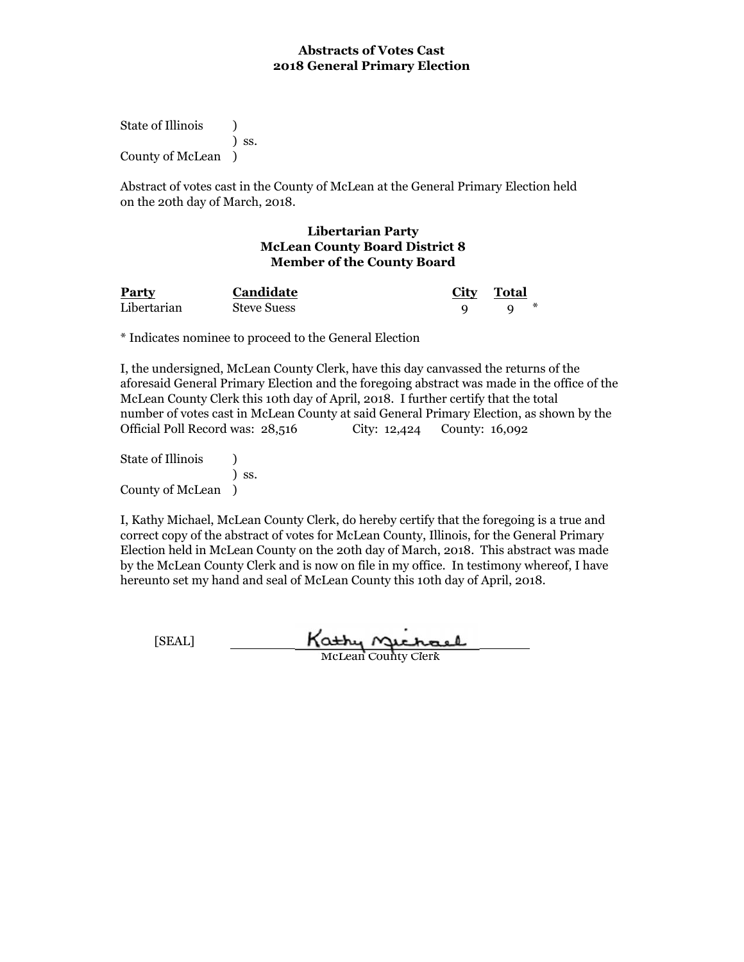State of Illinois (a) ) ss. County of McLean )

Abstract of votes cast in the County of McLean at the General Primary Election held on the 20th day of March, 2018.

### **Libertarian Party McLean County Board District 8 Member of the County Board**

**Party City Total Candidate** Libertarian 9 9 \* Steve Suess

\* Indicates nominee to proceed to the General Election

I, the undersigned, McLean County Clerk, have this day canvassed the returns of the aforesaid General Primary Election and the foregoing abstract was made in the office of the McLean County Clerk this 10th day of April, 2018. I further certify that the total number of votes cast in McLean County at said General Primary Election, as shown by the Official Poll Record was: 28,516 City: 12,424 County: 16,092

State of Illinois (a) ) ss. County of McLean )

I, Kathy Michael, McLean County Clerk, do hereby certify that the foregoing is a true and correct copy of the abstract of votes for McLean County, Illinois, for the General Primary Election held in McLean County on the 20th day of March, 2018. This abstract was made by the McLean County Clerk and is now on file in my office. In testimony whereof, I have hereunto set my hand and seal of McLean County this 10th day of April, 2018.

Kathy Michael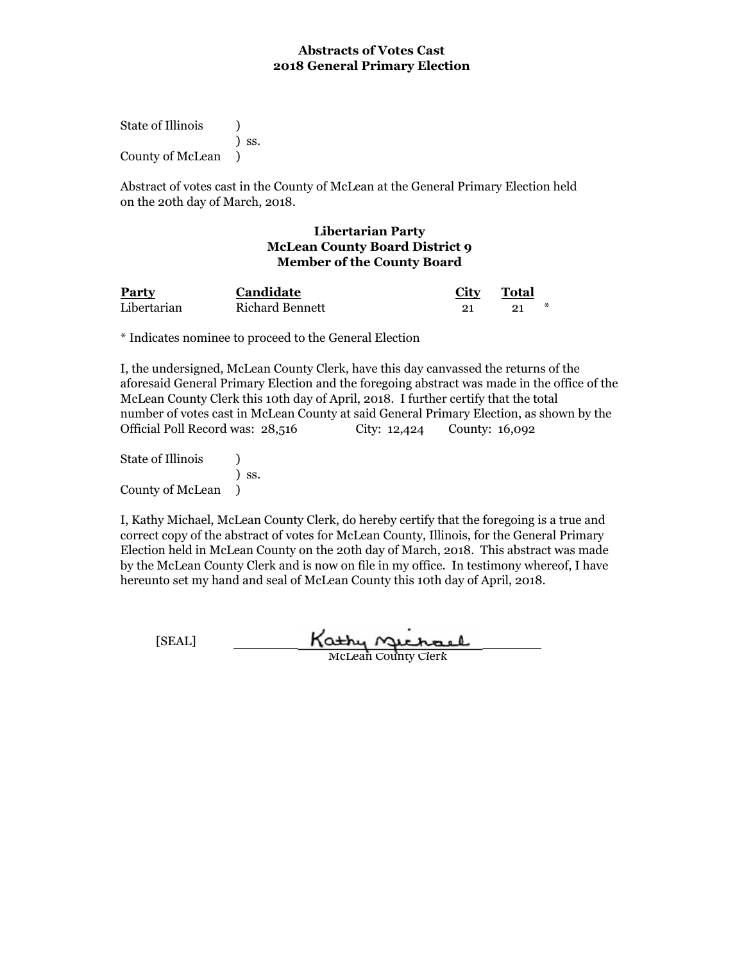State of Illinois (1) ) ss. County of McLean )

Abstract of votes cast in the County of McLean at the General Primary Election held on the 20th day of March, 2018.

### **Libertarian Party McLean County Board District 9 Member of the County Board**

| <b>Party</b> | Candidate              | <b>City</b> | Total |  |
|--------------|------------------------|-------------|-------|--|
| Libertarian  | <b>Richard Bennett</b> |             | ⋇     |  |

\* Indicates nominee to proceed to the General Election

I, the undersigned, McLean County Clerk, have this day canvassed the returns of the aforesaid General Primary Election and the foregoing abstract was made in the office of the McLean County Clerk this 10th day of April, 2018. I further certify that the total number of votes cast in McLean County at said General Primary Election, as shown by the Official Poll Record was: 28,516 City: 12,424 County: 16,092

State of Illinois (a) ) ss. County of McLean )

I, Kathy Michael, McLean County Clerk, do hereby certify that the foregoing is a true and correct copy of the abstract of votes for McLean County, Illinois, for the General Primary Election held in McLean County on the 20th day of March, 2018. This abstract was made by the McLean County Clerk and is now on file in my office. In testimony whereof, I have hereunto set my hand and seal of McLean County this 10th day of April, 2018.

Kathy **Michael**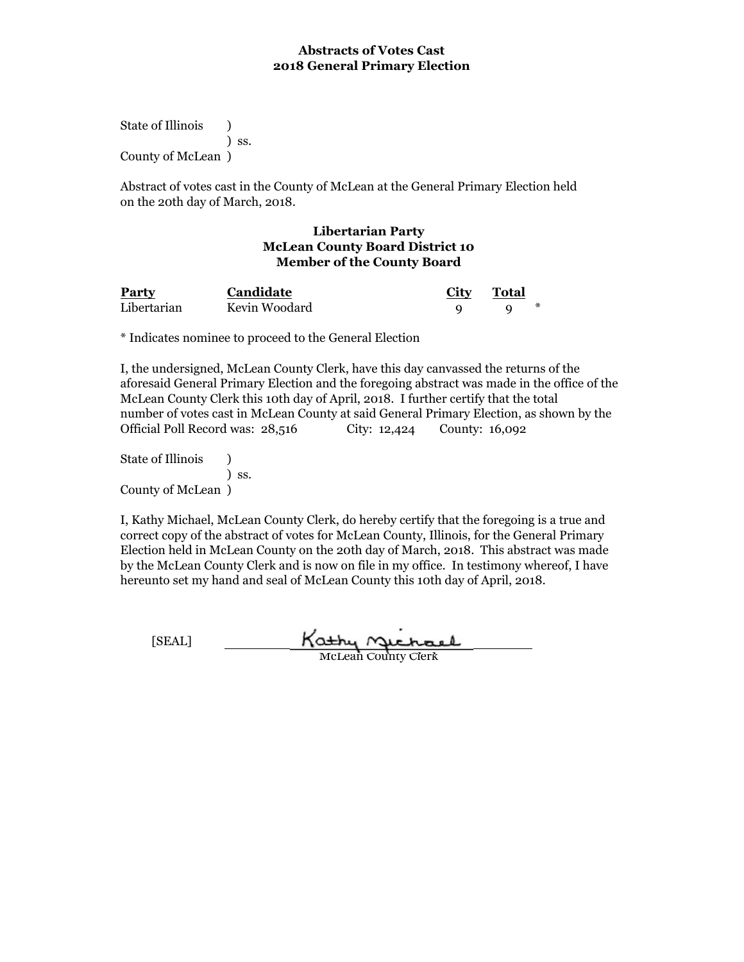State of Illinois (a) ) ss. County of McLean )

Abstract of votes cast in the County of McLean at the General Primary Election held on the 20th day of March, 2018.

### **Libertarian Party McLean County Board District 10 Member of the County Board**

| Party       | <b>Candidate</b> | <b>City</b> | Total |  |
|-------------|------------------|-------------|-------|--|
| Libertarian | Kevin Woodard    |             |       |  |

\* Indicates nominee to proceed to the General Election

I, the undersigned, McLean County Clerk, have this day canvassed the returns of the aforesaid General Primary Election and the foregoing abstract was made in the office of the McLean County Clerk this 10th day of April, 2018. I further certify that the total number of votes cast in McLean County at said General Primary Election, as shown by the Official Poll Record was: 28,516 City: 12,424 County: 16,092

State of Illinois (a) ) ss. County of McLean )

I, Kathy Michael, McLean County Clerk, do hereby certify that the foregoing is a true and correct copy of the abstract of votes for McLean County, Illinois, for the General Primary Election held in McLean County on the 20th day of March, 2018. This abstract was made by the McLean County Clerk and is now on file in my office. In testimony whereof, I have hereunto set my hand and seal of McLean County this 10th day of April, 2018.

[SEAL] Kathy Michael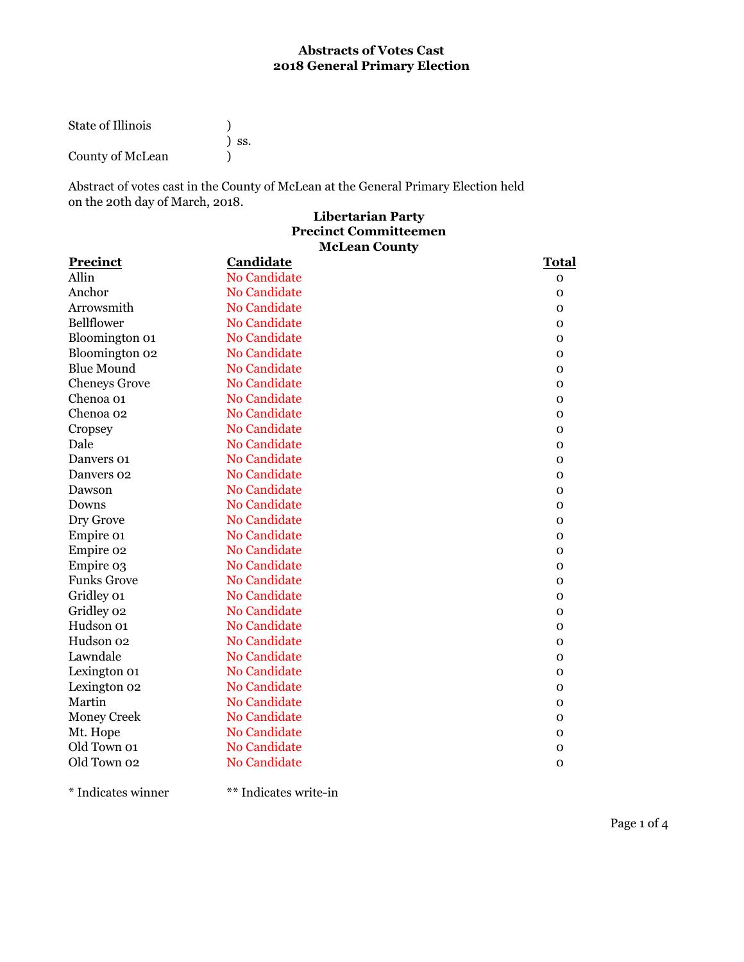| State of Illinois |            |
|-------------------|------------|
|                   | $\sum$ SS. |
| County of McLean  |            |

Abstract of votes cast in the County of McLean at the General Primary Election held on the 20th day of March, 2018.

# **Libertarian Party McLean County Precinct Committeemen**

| <b>Precinct</b>      | Candidate           | Total        |
|----------------------|---------------------|--------------|
| Allin                | <b>No Candidate</b> | $\mathbf 0$  |
| Anchor               | <b>No Candidate</b> | $\mathbf 0$  |
| Arrowsmith           | <b>No Candidate</b> | $\Omega$     |
| Bellflower           | No Candidate        | $\mathbf 0$  |
| Bloomington 01       | <b>No Candidate</b> | $\mathbf 0$  |
| Bloomington 02       | <b>No Candidate</b> | $\mathbf 0$  |
| <b>Blue Mound</b>    | No Candidate        | $\mathbf 0$  |
| <b>Cheneys Grove</b> | No Candidate        | $\mathbf 0$  |
| Chenoa 01            | <b>No Candidate</b> | $\mathbf 0$  |
| Chenoa 02            | <b>No Candidate</b> | $\mathbf{o}$ |
| Cropsey              | <b>No Candidate</b> | $\mathbf 0$  |
| Dale                 | <b>No Candidate</b> | 0            |
| Danvers 01           | <b>No Candidate</b> | $\mathbf 0$  |
| Danvers 02           | No Candidate        | $\mathbf 0$  |
| Dawson               | <b>No Candidate</b> | $\Omega$     |
| Downs                | <b>No Candidate</b> | $\mathbf 0$  |
| Dry Grove            | <b>No Candidate</b> | $\mathbf 0$  |
| Empire 01            | <b>No Candidate</b> | 0            |
| Empire 02            | No Candidate        | $\mathbf 0$  |
| Empire 03            | <b>No Candidate</b> | $\mathbf 0$  |
| <b>Funks Grove</b>   | <b>No Candidate</b> | $\mathbf 0$  |
| Gridley 01           | <b>No Candidate</b> | $\mathbf 0$  |
| Gridley 02           | <b>No Candidate</b> | $\mathbf 0$  |
| Hudson 01            | <b>No Candidate</b> | $\Omega$     |
| Hudson 02            | No Candidate        | $\mathbf 0$  |
| Lawndale             | <b>No Candidate</b> | $\mathbf 0$  |
| Lexington 01         | <b>No Candidate</b> | $\mathbf 0$  |
| Lexington 02         | No Candidate        | $\mathbf 0$  |
| Martin               | <b>No Candidate</b> | $\mathbf 0$  |
| <b>Money Creek</b>   | <b>No Candidate</b> | $\mathbf{O}$ |
| Mt. Hope             | No Candidate        | $\mathbf 0$  |
| Old Town 01          | <b>No Candidate</b> | $\mathbf 0$  |
| Old Town 02          | <b>No Candidate</b> | $\Omega$     |
|                      |                     |              |

\* Indicates winner \*\* Indicates write-in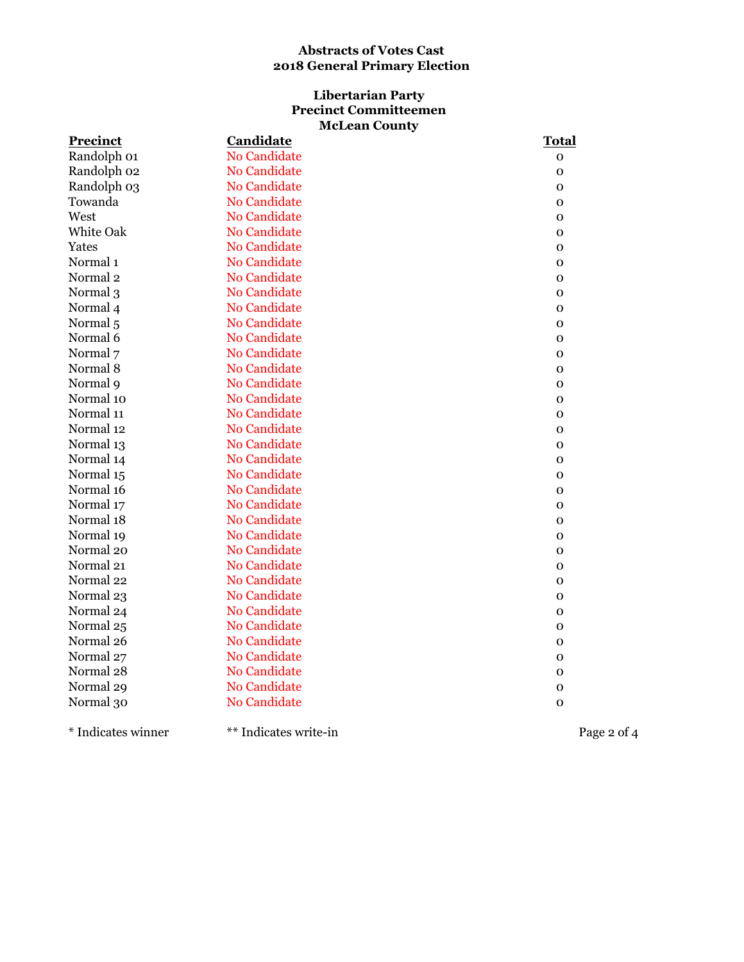# **Libertarian Party Precinct Committeemen McLean County**

| <b>Precinct</b>     | <b>Candidate</b>    | <b>Total</b> |
|---------------------|---------------------|--------------|
| Randolph 01         | <b>No Candidate</b> | $\mathbf{O}$ |
| Randolph 02         | <b>No Candidate</b> | $\mathbf 0$  |
| Randolph 03         | <b>No Candidate</b> | $\mathbf 0$  |
| Towanda             | <b>No Candidate</b> | $\mathbf 0$  |
| West                | No Candidate        | $\mathbf 0$  |
| White Oak           | <b>No Candidate</b> | $\mathbf 0$  |
| Yates               | No Candidate        | 0            |
| Normal <sub>1</sub> | <b>No Candidate</b> | $\mathbf{O}$ |
| Normal <sub>2</sub> | No Candidate        | $\mathbf{O}$ |
| Normal 3            | <b>No Candidate</b> | $\mathbf 0$  |
| Normal 4            | <b>No Candidate</b> | 0            |
| Normal <sub>5</sub> | No Candidate        | $\mathbf 0$  |
| Normal 6            | <b>No Candidate</b> | ${\bf O}$    |
| Normal 7            | No Candidate        | 0            |
| Normal 8            | No Candidate        | 0            |
| Normal 9            | <b>No Candidate</b> | $\mathbf 0$  |
| Normal 10           | <b>No Candidate</b> | $\mathbf 0$  |
| Normal 11           | <b>No Candidate</b> | $\mathbf 0$  |
| Normal 12           | No Candidate        | $\mathbf{O}$ |
| Normal 13           | <b>No Candidate</b> | $\mathbf 0$  |
| Normal 14           | No Candidate        | $\mathbf 0$  |
| Normal 15           | <b>No Candidate</b> | $\mathbf 0$  |
| Normal 16           | <b>No Candidate</b> | $\mathbf 0$  |
| Normal 17           | <b>No Candidate</b> | $\mathbf 0$  |
| Normal 18           | <b>No Candidate</b> | $\mathbf 0$  |
| Normal 19           | No Candidate        | $\mathbf{O}$ |
| Normal 20           | No Candidate        | $\mathbf 0$  |
| Normal 21           | <b>No Candidate</b> | $\mathbf 0$  |
| Normal 22           | <b>No Candidate</b> | $\mathbf 0$  |
| Normal 23           | <b>No Candidate</b> | 0            |
| Normal 24           | <b>No Candidate</b> | 0            |
| Normal 25           | <b>No Candidate</b> | $\mathbf 0$  |
| Normal 26           | <b>No Candidate</b> | $\mathbf 0$  |
| Normal 27           | <b>No Candidate</b> | $\mathbf 0$  |
| Normal 28           | No Candidate        | $\mathbf 0$  |
| Normal 29           | <b>No Candidate</b> | $\mathbf 0$  |
| Normal 30           | <b>No Candidate</b> | $\mathbf{O}$ |
|                     |                     |              |

\* Indicates winner \*\* Indicates write-in Page 2 of 4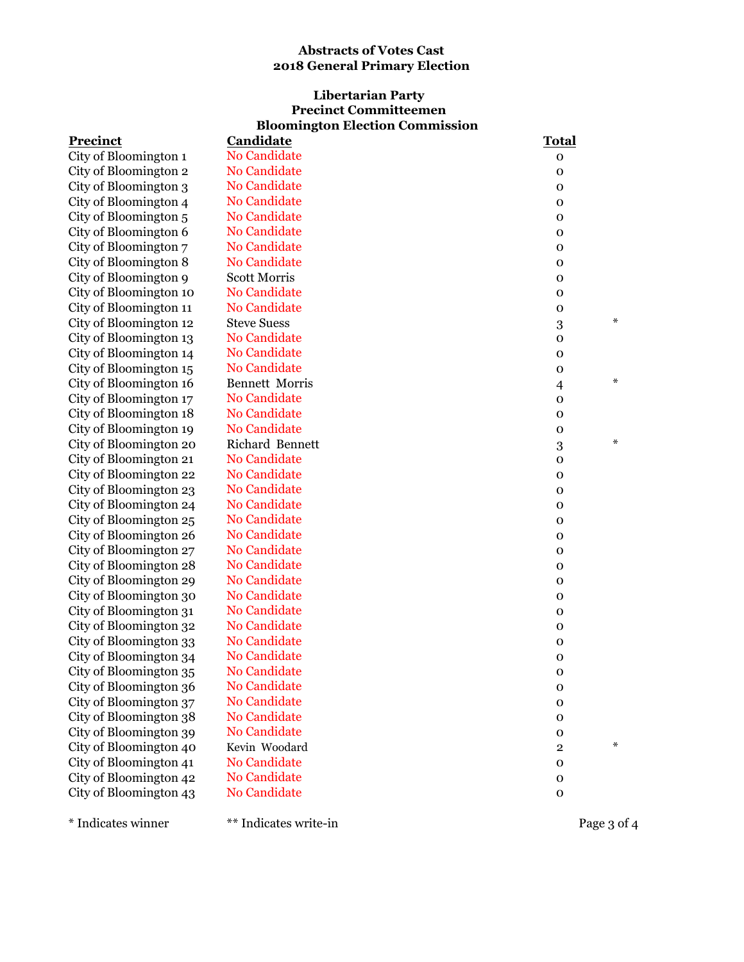# **Bloomington Election Commission Libertarian Party Precinct Committeemen**

| <b>Precinct</b>        | <b>Candidate</b>      | <b>Total</b>     |             |
|------------------------|-----------------------|------------------|-------------|
| City of Bloomington 1  | <b>No Candidate</b>   | 0                |             |
| City of Bloomington 2  | No Candidate          | 0                |             |
| City of Bloomington 3  | No Candidate          | $\mathbf{o}$     |             |
| City of Bloomington 4  | No Candidate          | $\mathbf{o}$     |             |
| City of Bloomington 5  | No Candidate          | $\mathbf 0$      |             |
| City of Bloomington 6  | No Candidate          | $\mathbf{o}$     |             |
| City of Bloomington 7  | No Candidate          | $\mathbf{o}$     |             |
| City of Bloomington 8  | No Candidate          | 0                |             |
| City of Bloomington 9  | <b>Scott Morris</b>   | 0                |             |
| City of Bloomington 10 | No Candidate          | $\mathbf{o}$     |             |
| City of Bloomington 11 | No Candidate          | $\mathbf{o}$     |             |
| City of Bloomington 12 | <b>Steve Suess</b>    | $\boldsymbol{3}$ | $\ast$      |
| City of Bloomington 13 | No Candidate          | $\mathbf 0$      |             |
| City of Bloomington 14 | No Candidate          | $\mathbf 0$      |             |
| City of Bloomington 15 | No Candidate          | $\mathbf{o}$     |             |
| City of Bloomington 16 | <b>Bennett Morris</b> | $\overline{4}$   | $\ast$      |
| City of Bloomington 17 | No Candidate          | $\mathbf 0$      |             |
| City of Bloomington 18 | <b>No Candidate</b>   | $\mathbf 0$      |             |
| City of Bloomington 19 | No Candidate          | $\mathbf 0$      |             |
| City of Bloomington 20 | Richard Bennett       | $\boldsymbol{3}$ | $\ast$      |
| City of Bloomington 21 | No Candidate          | 0                |             |
| City of Bloomington 22 | No Candidate          | $\mathbf 0$      |             |
| City of Bloomington 23 | No Candidate          | $\mathbf 0$      |             |
| City of Bloomington 24 | No Candidate          | $\mathbf 0$      |             |
| City of Bloomington 25 | No Candidate          | $\mathbf 0$      |             |
| City of Bloomington 26 | No Candidate          | $\mathbf 0$      |             |
| City of Bloomington 27 | No Candidate          | $\mathbf 0$      |             |
| City of Bloomington 28 | No Candidate          | $\mathbf 0$      |             |
| City of Bloomington 29 | No Candidate          | $\mathbf 0$      |             |
| City of Bloomington 30 | No Candidate          | $\mathbf 0$      |             |
| City of Bloomington 31 | <b>No Candidate</b>   | $\mathbf 0$      |             |
| City of Bloomington 32 | No Candidate          | $\mathbf 0$      |             |
| City of Bloomington 33 | <b>No Candidate</b>   | $\mathbf 0$      |             |
| City of Bloomington 34 | No Candidate          | 0                |             |
| City of Bloomington 35 | No Candidate          | 0                |             |
| City of Bloomington 36 | No Candidate          | $\mathbf 0$      |             |
| City of Bloomington 37 | No Candidate          | 0                |             |
| City of Bloomington 38 | No Candidate          | $\mathbf 0$      |             |
| City of Bloomington 39 | No Candidate          | $\mathbf 0$      |             |
| City of Bloomington 40 | Kevin Woodard         | $\mathbf{2}$     | ∗           |
| City of Bloomington 41 | No Candidate          | $\mathbf 0$      |             |
| City of Bloomington 42 | No Candidate          | o                |             |
| City of Bloomington 43 | No Candidate          | $\mathbf 0$      |             |
|                        |                       |                  |             |
| * Indicates winner     | ** Indicates write-in |                  | Page 3 of 4 |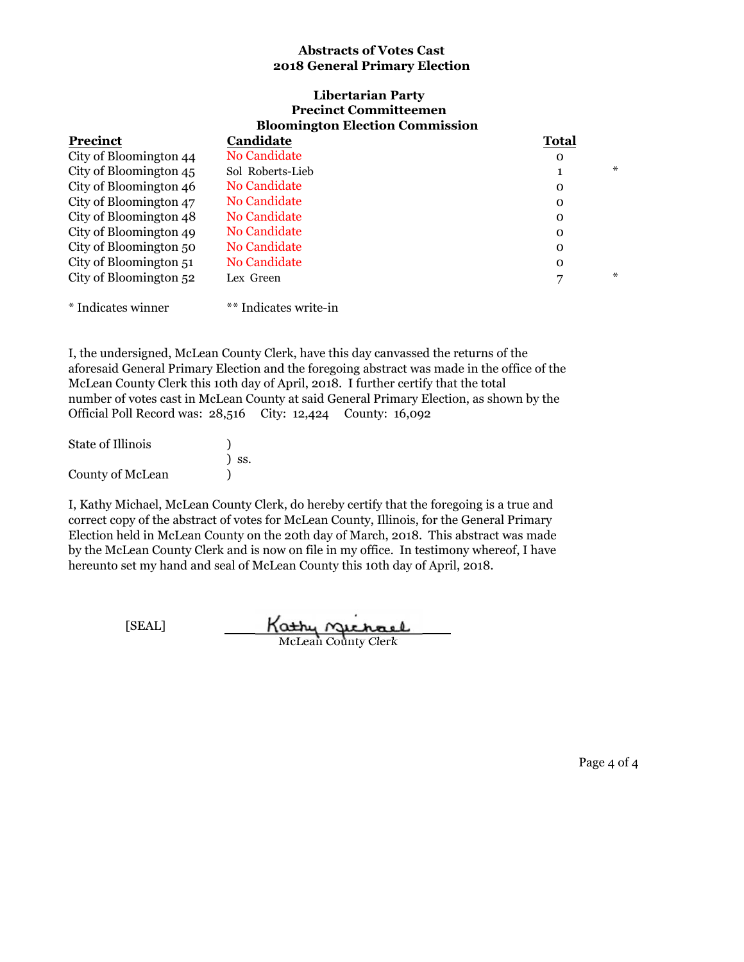#### **Bloomington Election Commission Libertarian Party Precinct Committeemen**

| <b>Precinct</b>        | Candidate           | <b>Total</b> |  |
|------------------------|---------------------|--------------|--|
| City of Bloomington 44 | <b>No Candidate</b> | 0            |  |
| City of Bloomington 45 | Sol Roberts-Lieb    | ⋇            |  |
| City of Bloomington 46 | <b>No Candidate</b> | $\Omega$     |  |
| City of Bloomington 47 | <b>No Candidate</b> | 0            |  |
| City of Bloomington 48 | No Candidate        | $\Omega$     |  |
| City of Bloomington 49 | <b>No Candidate</b> | $\Omega$     |  |
| City of Bloomington 50 | <b>No Candidate</b> | $\Omega$     |  |
| City of Bloomington 51 | <b>No Candidate</b> | $\Omega$     |  |
| City of Bloomington 52 | Lex Green           | ⋇            |  |
|                        |                     |              |  |

\* Indicates winner \*\* Indicates write-in

I, the undersigned, McLean County Clerk, have this day canvassed the returns of the aforesaid General Primary Election and the foregoing abstract was made in the office of the McLean County Clerk this 10th day of April, 2018. I further certify that the total number of votes cast in McLean County at said General Primary Election, as shown by the Official Poll Record was: 28,516 City: 12,424 County: 16,092

| <b>State of Illinois</b> |            |
|--------------------------|------------|
|                          | $\sum$ SS. |
| <b>County of McLean</b>  |            |

I, Kathy Michael, McLean County Clerk, do hereby certify that the foregoing is a true and correct copy of the abstract of votes for McLean County, Illinois, for the General Primary Election held in McLean County on the 20th day of March, 2018. This abstract was made by the McLean County Clerk and is now on file in my office. In testimony whereof, I have hereunto set my hand and seal of McLean County this 10th day of April, 2018.

[SEAL] Kathy Michael

Page 4 of 4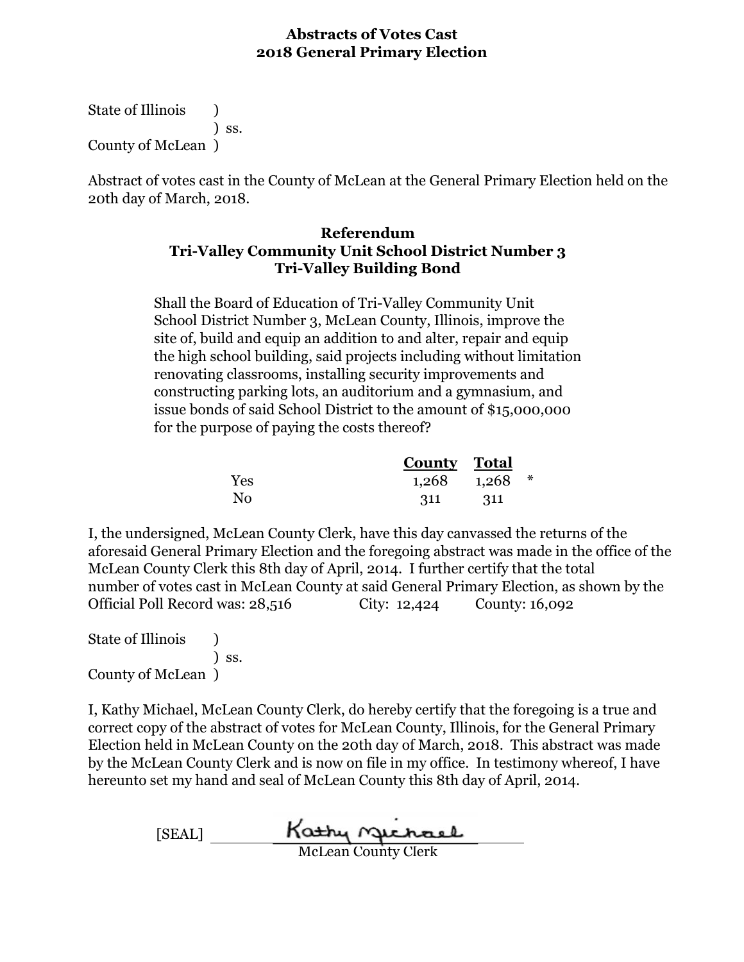State of Illinois (1) ) ss. County of McLean )

Abstract of votes cast in the County of McLean at the General Primary Election held on the 20th day of March, 2018.

# **Referendum Tri-Valley Community Unit School District Number 3 Tri-Valley Building Bond**

Shall the Board of Education of Tri-Valley Community Unit School District Number 3, McLean County, Illinois, improve the site of, build and equip an addition to and alter, repair and equip the high school building, said projects including without limitation renovating classrooms, installing security improvements and constructing parking lots, an auditorium and a gymnasium, and issue bonds of said School District to the amount of \$15,000,000 for the purpose of paying the costs thereof?

|                | County Total      |      |  |
|----------------|-------------------|------|--|
| Yes            | $1,268$ $1,268$ * |      |  |
| N <sub>0</sub> | 311               | -311 |  |

I, the undersigned, McLean County Clerk, have this day canvassed the returns of the aforesaid General Primary Election and the foregoing abstract was made in the office of the McLean County Clerk this 8th day of April, 2014. I further certify that the total number of votes cast in McLean County at said General Primary Election, as shown by the Official Poll Record was: 28,516 City: 12,424 County: 16,092

State of Illinois (1) ) ss. County of McLean )

[SEAL] McLean County Clerk